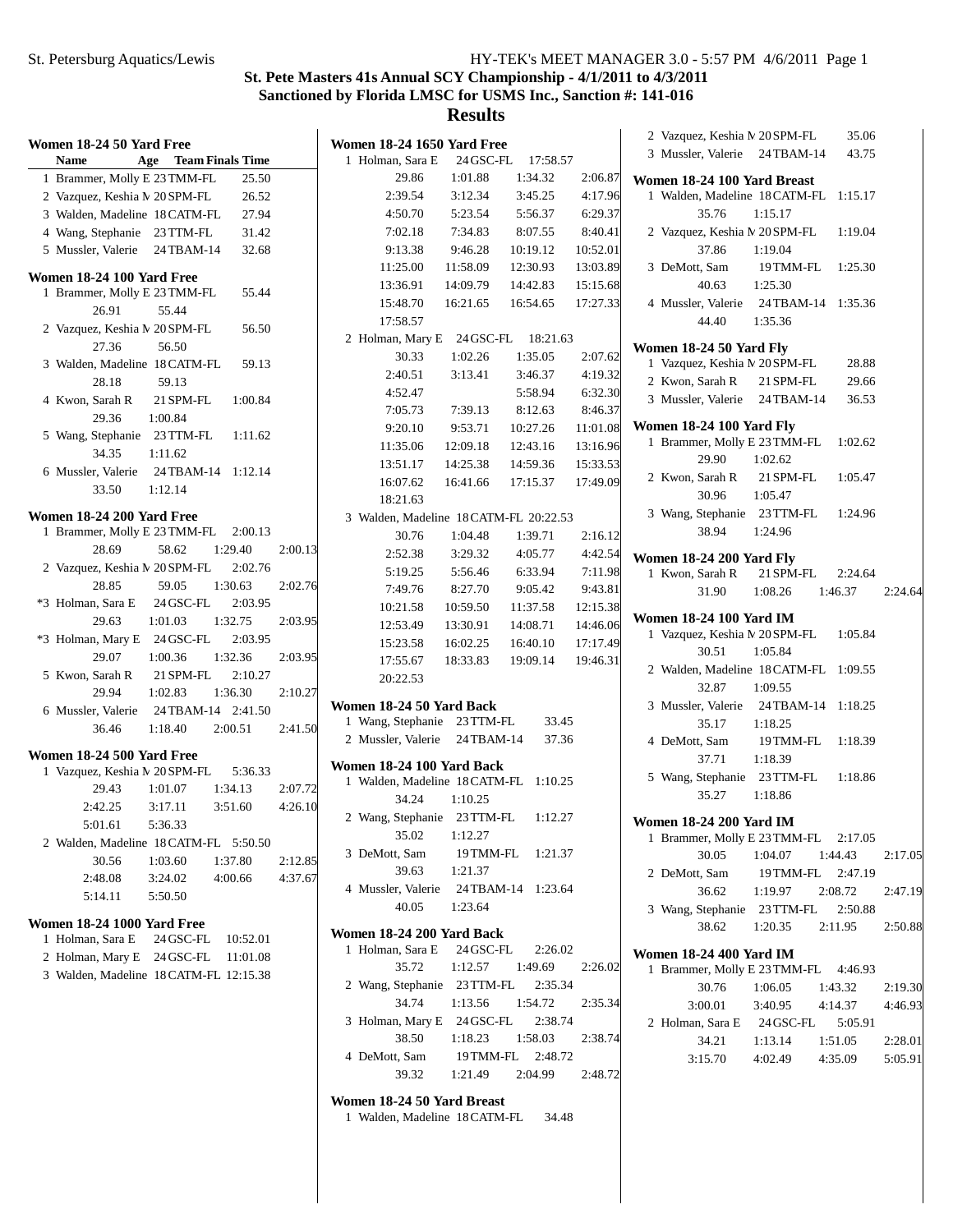# **St. Pete Masters 41s Annual SCY Championship - 4/1/2011 to 4/3/2011 Sanctioned by Florida LMSC for USMS Inc., Sanction #: 141-016**

| Women 18-24 50 Yard Free                                                        | <b>Women 18-24 1650 Yard Free</b><br>17:58.57                           | 35.06<br>2 Vazquez, Keshia M 20 SPM-FL<br>3 Mussler, Valerie 24 TBAM-14<br>43.75 |
|---------------------------------------------------------------------------------|-------------------------------------------------------------------------|----------------------------------------------------------------------------------|
| <b>Team Finals Time</b><br>Name<br>Age<br>1 Brammer, Molly E 23 TMM-FL<br>25.50 | 1 Holman, Sara E<br>24 GSC-FL<br>1:01.88<br>1:34.32<br>29.86<br>2:06.87 |                                                                                  |
| 26.52<br>2 Vazquez, Keshia M 20 SPM-FL                                          | 2:39.54<br>3:12.34<br>4:17.96<br>3:45.25                                | Women 18-24 100 Yard Breast<br>1 Walden, Madeline 18 CATM-FL 1:15.17             |
| 27.94<br>3 Walden, Madeline 18 CATM-FL                                          | 4:50.70<br>5:23.54<br>5:56.37<br>6:29.37                                | 35.76<br>1:15.17                                                                 |
| 4 Wang, Stephanie 23 TTM-FL<br>31.42                                            | 7:02.18<br>7:34.83<br>8:07.55<br>8:40.41                                | 2 Vazquez, Keshia N 20 SPM-FL<br>1:19.04                                         |
| 5 Mussler, Valerie 24TBAM-14<br>32.68                                           | 9:13.38<br>9:46.28<br>10:19.12<br>10:52.01                              | 37.86<br>1:19.04                                                                 |
|                                                                                 | 11:25.00<br>11:58.09<br>12:30.93<br>13:03.89                            | 3 DeMott, Sam<br>19 TMM-FL<br>1:25.30                                            |
| Women 18-24 100 Yard Free                                                       | 13:36.91<br>14:09.79<br>14:42.83<br>15:15.68                            | 1:25.30<br>40.63                                                                 |
| 1 Brammer, Molly E 23 TMM-FL<br>55.44                                           | 15:48.70<br>16:54.65<br>17:27.33<br>16:21.65                            | 4 Mussler, Valerie 24 TBAM-14 1:35.36                                            |
| 26.91<br>55.44                                                                  | 17:58.57                                                                | 44.40<br>1:35.36                                                                 |
| 2 Vazquez, Keshia M 20 SPM-FL<br>56.50                                          | 2 Holman, Mary E 24 GSC-FL<br>18:21.63                                  |                                                                                  |
| 27.36<br>56.50                                                                  | 30.33<br>1:02.26<br>1:35.05<br>2:07.62                                  | Women 18-24 50 Yard Fly                                                          |
| 3 Walden, Madeline 18 CATM-FL<br>59.13                                          | 2:40.51<br>3:13.41<br>3:46.37<br>4:19.32                                | 28.88<br>1 Vazquez, Keshia N 20 SPM-FL                                           |
| 28.18<br>59.13                                                                  | 5:58.94<br>6:32.30<br>4:52.47                                           | 29.66<br>2 Kwon, Sarah R<br>21 SPM-FL                                            |
| 4 Kwon, Sarah R<br>21 SPM-FL<br>1:00.84                                         | 7:39.13<br>8:12.63<br>8:46.37<br>7:05.73                                | 3 Mussler, Valerie 24 TBAM-14<br>36.53                                           |
| 29.36<br>1:00.84                                                                | 9:20.10<br>9:53.71<br>10:27.26<br>11:01.08                              | <b>Women 18-24 100 Yard Fly</b>                                                  |
| 5 Wang, Stephanie 23 TTM-FL<br>1:11.62                                          | 11:35.06<br>12:09.18<br>12:43.16<br>13:16.96                            | 1 Brammer, Molly E 23 TMM-FL<br>1:02.62                                          |
| 34.35<br>1:11.62                                                                | 13:51.17<br>14:25.38<br>14:59.36<br>15:33.53                            | 29.90<br>1:02.62                                                                 |
| 6 Mussler, Valerie<br>24TBAM-14 1:12.14                                         | 16:07.62<br>16:41.66<br>17:15.37<br>17:49.09                            | 2 Kwon, Sarah R<br>21 SPM-FL<br>1:05.47                                          |
| 33.50<br>1:12.14                                                                | 18:21.63                                                                | 30.96<br>1:05.47                                                                 |
| Women 18-24 200 Yard Free                                                       | 3 Walden, Madeline 18 CATM-FL 20:22.53                                  | 3 Wang, Stephanie 23 TTM-FL<br>1:24.96                                           |
| 2:00.13<br>1 Brammer, Molly E 23 TMM-FL                                         | 30.76<br>2:16.12<br>1:04.48<br>1:39.71                                  | 38.94<br>1:24.96                                                                 |
| 28.69<br>58.62<br>1:29.40<br>2:00.13                                            | 2:52.38<br>4:42.54<br>3:29.32<br>4:05.77                                |                                                                                  |
| 2 Vazquez, Keshia M 20 SPM-FL<br>2:02.76                                        | 6:33.94<br>7:11.98<br>5:19.25<br>5:56.46                                | <b>Women 18-24 200 Yard Fly</b><br>21 SPM-FL<br>1 Kwon, Sarah R<br>2:24.64       |
| 28.85<br>59.05<br>1:30.63<br>2:02.76                                            | 7:49.76<br>9:05.42<br>9:43.81<br>8:27.70                                | 31.90<br>1:08.26<br>1:46.37<br>2:24.64                                           |
| *3 Holman, Sara E<br>24 GSC-FL<br>2:03.95                                       | 11:37.58<br>10:21.58<br>10:59.50<br>12:15.38                            |                                                                                  |
| 29.63<br>1:32.75<br>1:01.03<br>2:03.95                                          | 14:46.06<br>12:53.49<br>14:08.71<br>13:30.91                            | <b>Women 18-24 100 Yard IM</b>                                                   |
| *3 Holman, Mary E 24 GSC-FL<br>2:03.95                                          | 15:23.58<br>16:40.10<br>17:17.49<br>16:02.25                            | 1 Vazquez, Keshia N 20 SPM-FL<br>1:05.84                                         |
| 29.07<br>1:00.36<br>1:32.36<br>2:03.95                                          | 17:55.67<br>19:09.14<br>19:46.31<br>18:33.83                            | 30.51<br>1:05.84                                                                 |
| 5 Kwon, Sarah R<br>21 SPM-FL<br>2:10.27                                         | 20:22.53                                                                | 2 Walden, Madeline 18 CATM-FL 1:09.55                                            |
| 29.94<br>1:02.83<br>1:36.30<br>2:10.27                                          |                                                                         | 32.87<br>1:09.55                                                                 |
| 24 TBAM-14 2:41.50<br>6 Mussler, Valerie                                        | Women 18-24 50 Yard Back                                                | 3 Mussler, Valerie 24 TBAM-14 1:18.25                                            |
| 2:41.50<br>36.46<br>1:18.40<br>2:00.51                                          | 1 Wang, Stephanie 23 TTM-FL<br>33.45                                    | 1:18.25<br>35.17                                                                 |
| Women 18-24 500 Yard Free                                                       | 2 Mussler, Valerie 24 TBAM-14<br>37.36                                  | 4 DeMott, Sam<br>19 TMM-FL<br>1:18.39                                            |
| 1 Vazquez, Keshia N 20 SPM-FL<br>5:36.33                                        | Women 18-24 100 Yard Back                                               | 37.71<br>1:18.39                                                                 |
| 2:07.72<br>29.43<br>1:01.07<br>1:34.13                                          | 1 Walden, Madeline 18 CATM-FL 1:10.25                                   | 5 Wang, Stephanie 23 TTM-FL<br>1:18.86                                           |
| 3:17.11<br>3:51.60<br>4:26.10<br>2:42.25                                        | 34.24<br>1:10.25                                                        | 35.27<br>1:18.86                                                                 |
| 5:01.61<br>5:36.33                                                              | 2 Wang, Stephanie 23 TTM-FL<br>1:12.27                                  | <b>Women 18-24 200 Yard IM</b>                                                   |
| 2 Walden, Madeline 18 CATM-FL 5:50.50                                           | 35.02<br>1:12.27                                                        | 1 Brammer, Molly E 23 TMM-FL 2:17.05                                             |
| 30.56<br>1:03.60<br>1:37.80<br>2:12.85                                          | 3 DeMott, Sam<br>19 TMM-FL<br>1:21.37                                   | 30.05<br>1:04.07<br>1:44.43<br>2:17.05                                           |
| 2:48.08<br>3:24.02<br>4:00.66<br>4:37.67                                        | 1:21.37<br>39.63                                                        | 2 DeMott, Sam<br>19 TMM-FL 2:47.19                                               |
| 5:50.50<br>5:14.11                                                              | 4 Mussler, Valerie<br>24 TBAM-14 1:23.64                                | 36.62<br>1:19.97<br>2:08.72<br>2:47.19                                           |
|                                                                                 | 40.05<br>1:23.64                                                        | 3 Wang, Stephanie 23 TTM-FL<br>2:50.88                                           |
| <b>Women 18-24 1000 Yard Free</b>                                               | Women 18-24 200 Yard Back                                               | 38.62<br>1:20.35<br>2:11.95<br>2:50.88                                           |
| 10:52.01<br>1 Holman, Sara E<br>24 GSC-FL                                       | 1 Holman, Sara E<br>24 GSC-FL<br>2:26.02                                | <b>Women 18-24 400 Yard IM</b>                                                   |
| 2 Holman, Mary E 24 GSC-FL<br>11:01.08                                          | 35.72<br>1:12.57<br>1:49.69<br>2:26.02                                  | 1 Brammer, Molly E 23 TMM-FL 4:46.93                                             |
| 3 Walden, Madeline 18 CATM-FL 12:15.38                                          | 2 Wang, Stephanie 23 TTM-FL<br>2:35.34                                  | 30.76<br>1:06.05<br>1:43.32<br>2:19.30                                           |
|                                                                                 | 34.74<br>1:13.56<br>1:54.72<br>2:35.34                                  | 3:00.01<br>3:40.95<br>4:14.37<br>4:46.93                                         |
|                                                                                 | 3 Holman, Mary E 24 GSC-FL<br>2:38.74                                   | 2 Holman, Sara E<br>24 GSC-FL<br>5:05.91                                         |
|                                                                                 | 38.50<br>1:58.03<br>1:18.23<br>2:38.74                                  | 34.21<br>1:51.05<br>2:28.01<br>1:13.14                                           |
|                                                                                 | 4 DeMott, Sam<br>19 TMM-FL 2:48.72                                      | 4:35.09<br>3:15.70<br>4:02.49<br>5:05.91                                         |
|                                                                                 | 39.32<br>1:21.49<br>2:04.99<br>2:48.72                                  |                                                                                  |
|                                                                                 |                                                                         |                                                                                  |
|                                                                                 | Women 18-24 50 Yard Breast<br>1 Walden, Madeline 18 CATM-FL<br>34.48    |                                                                                  |
|                                                                                 |                                                                         |                                                                                  |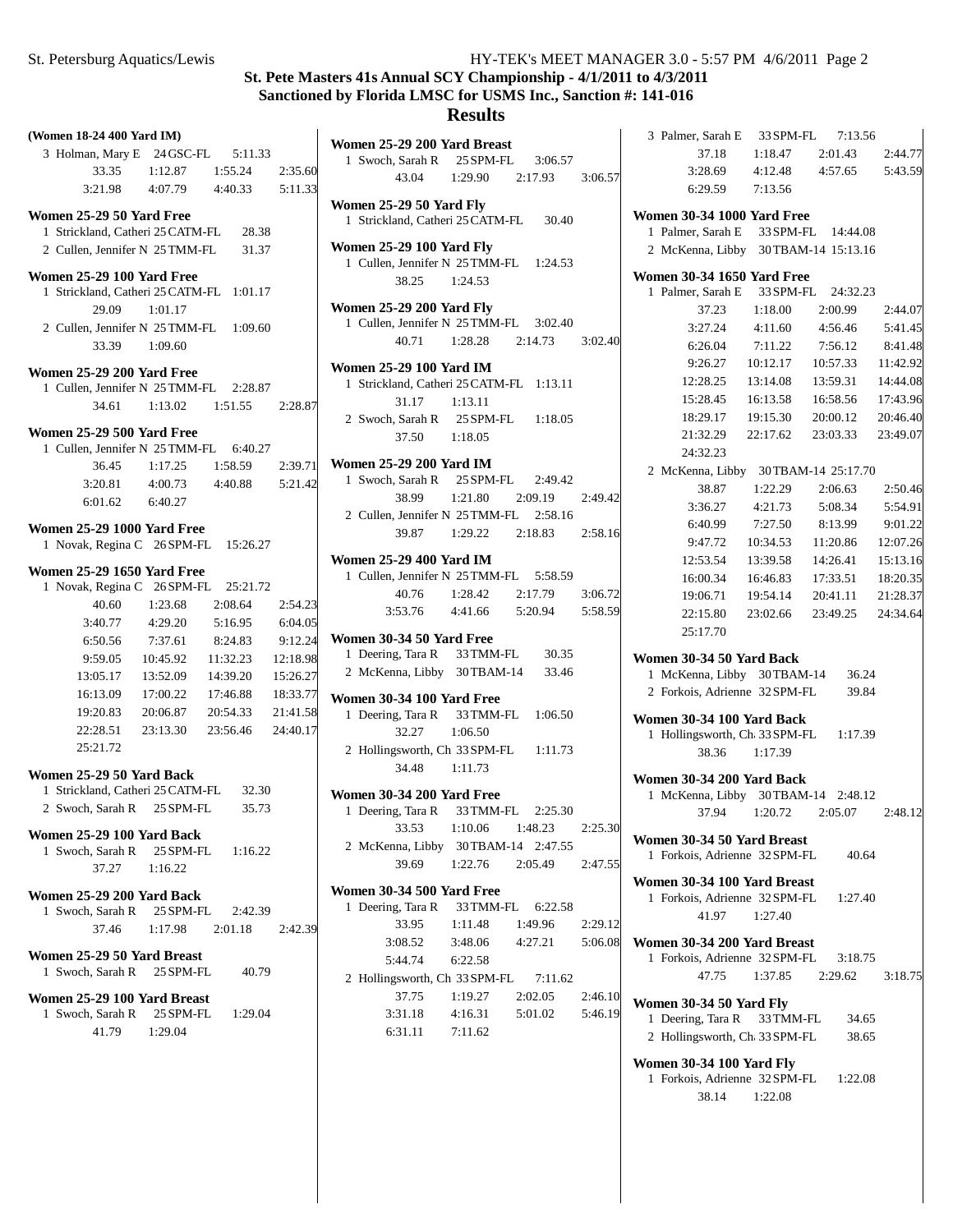# **St. Pete Masters 41s Annual SCY Championship - 4/1/2011 to 4/3/2011 Sanctioned by Florida LMSC for USMS Inc., Sanction #: 141-016**

# **Results Yard Breast**

| (Women 18-24 400 Yard IM)                                             |                                                                            |
|-----------------------------------------------------------------------|----------------------------------------------------------------------------|
| 3 Holman, Mary E 24 GSC-FL<br>5:11.33                                 | Women 25-29 200 Yard Breast<br>1 Swoch, Sarah R<br>25 SPM-FL<br>3:06.57    |
| 1:55.24<br>2:35.60<br>33.35<br>1:12.87                                | 43.04<br>1:29.90<br>2:17.93                                                |
| 3:21.98<br>5:11.33<br>4:07.79<br>4:40.33                              |                                                                            |
|                                                                       | Women 25-29 50 Yard Fly                                                    |
| Women 25-29 50 Yard Free<br>1 Strickland, Catheri 25 CATM-FL<br>28.38 | 1 Strickland, Catheri 25 CATM-FL<br>30.40                                  |
| 2 Cullen, Jennifer N 25 TMM-FL<br>31.37                               | <b>Women 25-29 100 Yard Fly</b>                                            |
|                                                                       | 1 Cullen, Jennifer N 25 TMM-FL<br>1:24.53                                  |
| Women 25-29 100 Yard Free                                             | 38.25<br>1:24.53                                                           |
| 1 Strickland, Catheri 25 CATM-FL<br>1:01.17                           |                                                                            |
| 29.09<br>1:01.17                                                      | <b>Women 25-29 200 Yard Fly</b>                                            |
| 2 Cullen, Jennifer N 25 TMM-FL<br>1:09.60                             | 1 Cullen, Jennifer N 25 TMM-FL<br>3:02.40                                  |
| 33.39<br>1:09.60                                                      | 40.71<br>1:28.28<br>2:14.73                                                |
| <b>Women 25-29 200 Yard Free</b>                                      | <b>Women 25-29 100 Yard IM</b>                                             |
| 1 Cullen, Jennifer N 25 TMM-FL<br>2:28.87                             | 1 Strickland, Catheri 25 CATM-FL<br>1:13.11                                |
| 34.61<br>1:13.02<br>1:51.55<br>2:28.87                                | 31.17<br>1:13.11                                                           |
|                                                                       | 2 Swoch, Sarah R<br>25 SPM-FL<br>1:18.05                                   |
| Women 25-29 500 Yard Free                                             | 37.50<br>1:18.05                                                           |
| 1 Cullen, Jennifer N 25 TMM-FL<br>6:40.27                             |                                                                            |
| 36.45<br>1:17.25<br>1:58.59<br>2:39.71                                | <b>Women 25-29 200 Yard IM</b><br>1 Swoch, Sarah R<br>25 SPM-FL<br>2:49.42 |
| 3:20.81<br>4:00.73<br>4:40.88<br>5:21.42                              | 38.99                                                                      |
| 6:01.62<br>6:40.27                                                    | 1:21.80<br>2:09.19                                                         |
| <b>Women 25-29 1000 Yard Free</b>                                     | 2 Cullen, Jennifer N 25 TMM-FL<br>2:58.16<br>39.87                         |
| 1 Novak, Regina C 26 SPM-FL<br>15:26.27                               | 1:29.22<br>2:18.83                                                         |
|                                                                       | <b>Women 25-29 400 Yard IM</b>                                             |
| <b>Women 25-29 1650 Yard Free</b>                                     | 1 Cullen, Jennifer N 25 TMM-FL<br>5:58.59                                  |
| 1 Novak, Regina C 26 SPM-FL<br>25:21.72                               | 1:28.42<br>2:17.79<br>40.76                                                |
| 40.60<br>1:23.68<br>2:08.64<br>2:54.23                                | 4:41.66<br>3:53.76<br>5:20.94                                              |
| 3:40.77<br>4:29.20<br>5:16.95<br>6:04.05                              |                                                                            |
| 7:37.61<br>8:24.83<br>9:12.24<br>6:50.56                              | Women 30-34 50 Yard Free<br>1 Deering, Tara R<br>33 TMM-FL<br>30.35        |
| 9:59.05<br>10:45.92<br>11:32.23<br>12:18.98                           | 2 McKenna, Libby<br>30 TBAM-14<br>33.46                                    |
| 13:52.09<br>14:39.20<br>15:26.27<br>13:05.17                          |                                                                            |
| 17:00.22<br>17:46.88<br>18:33.77<br>16:13.09                          | <b>Women 30-34 100 Yard Free</b>                                           |
| 21:41.58<br>19:20.83<br>20:06.87<br>20:54.33                          | 1 Deering, Tara R<br>33 TMM-FL<br>1:06.50                                  |
| 24:40.17<br>22:28.51<br>23:13.30<br>23:56.46                          | 32.27<br>1:06.50                                                           |
| 25:21.72                                                              | 2 Hollingsworth, Ch 33 SPM-FL<br>1:11.73                                   |
| Women 25-29 50 Yard Back                                              | 34.48<br>1:11.73                                                           |
| 1 Strickland, Catheri 25 CATM-FL<br>32.30                             | Women 30-34 200 Yard Free                                                  |
| 2 Swoch, Sarah R<br>25 SPM-FL<br>35.73                                | 1 Deering, Tara R<br>33 TMM-FL<br>2:25.30                                  |
|                                                                       | 33.53<br>1:10.06<br>1:48.23                                                |
| Women 25-29 100 Yard Back<br>1 Swoch, Sarah R<br>25 SPM-FL<br>1:16.22 | 2 McKenna, Libby<br>30 TBAM-14 2:47.55                                     |
| 37.27<br>1:16.22                                                      | 39.69<br>1:22.76<br>2:05.49                                                |
|                                                                       |                                                                            |
| Women 25-29 200 Yard Back                                             | Women 30-34 500 Yard Free                                                  |
| 1 Swoch, Sarah R<br>25 SPM-FL<br>2:42.39                              | 1 Deering, Tara R<br>33 TMM-FL<br>6:22.58                                  |
| 37.46<br>1:17.98<br>2:01.18<br>2:42.39                                | 33.95<br>1:11.48<br>1:49.96                                                |
| Women 25-29 50 Yard Breast                                            | 3:08.52<br>3:48.06<br>4:27.21                                              |
| 1 Swoch, Sarah R<br>25 SPM-FL<br>40.79                                | 5:44.74<br>6:22.58                                                         |
|                                                                       | 2 Hollingsworth, Ch 33 SPM-FL<br>7:11.62                                   |
| Women 25-29 100 Yard Breast                                           | 37.75<br>1:19.27<br>2:02.05                                                |
| 1 Swoch, Sarah R<br>25 SPM-FL<br>1:29.04                              | 3:31.18<br>4:16.31<br>5:01.02                                              |
| 41.79<br>1:29.04                                                      | 6:31.11<br>7:11.62                                                         |
|                                                                       |                                                                            |

| <b>Yard Breast</b>                 | 3 Palmer, Sarah E<br>33 SPM-FL<br>7:13.56                                     |
|------------------------------------|-------------------------------------------------------------------------------|
| 25 SPM-FL<br>3:06.57               | 37.18<br>1:18.47<br>2:01.43<br>2:44.77                                        |
| 1:29.90<br>2:17.93<br>3:06.57      | 3:28.69<br>4:12.48<br>4:57.65<br>5:43.59                                      |
|                                    | 6:29.59<br>7:13.56                                                            |
| ard Fly<br>eri 25 CATM-FL<br>30.40 | <b>Women 30-34 1000 Yard Free</b>                                             |
|                                    | 1 Palmer, Sarah E 33 SPM-FL<br>14:44.08                                       |
| <b>Yard Fly</b>                    | 2 McKenna, Libby 30TBAM-14 15:13.16                                           |
| N 25 TMM-FL<br>1:24.53             |                                                                               |
| 1:24.53                            | <b>Women 30-34 1650 Yard Free</b><br>1 Palmer, Sarah E 33 SPM-FL<br>24:32.23  |
| <b>Yard Flv</b>                    | 37.23<br>1:18.00<br>2:00.99<br>2:44.07                                        |
| N 25 TMM-FL<br>3:02.40             | 3:27.24<br>4:11.60<br>4:56.46<br>5:41.45                                      |
| 1:28.28<br>2:14.73<br>3:02.40      | 8:41.48<br>6:26.04<br>7:11.22<br>7:56.12                                      |
|                                    | 10:12.17<br>9:26.27<br>11:42.92<br>10:57.33                                   |
| Yard IM<br>eri 25 CATM-FL 1:13.11  | 12:28.25<br>13:14.08<br>14:44.08<br>13:59.31                                  |
| 1:13.11                            | 16:13.58<br>17:43.96<br>15:28.45<br>16:58.56                                  |
| 25 SPM-FL<br>1:18.05               | 18:29.17<br>20:46.40<br>19:15.30<br>20:00.12                                  |
| 1:18.05                            | 21:32.29<br>23:03.33<br>23:49.07<br>22:17.62                                  |
|                                    | 24:32.23                                                                      |
| Yard IM                            | 2 McKenna, Libby 30TBAM-14 25:17.70                                           |
| 25 SPM-FL<br>2:49.42               | 38.87<br>1:22.29<br>2:06.63<br>2:50.46                                        |
| 1:21.80<br>2:09.19<br>2:49.42      | 3:36.27<br>4:21.73<br>5:08.34<br>5:54.91                                      |
| N 25 TMM-FL<br>2:58.16             | 9:01.22<br>6:40.99<br>7:27.50<br>8:13.99                                      |
| 1:29.22<br>2:18.83<br>2:58.16      | 12:07.26<br>9:47.72<br>10:34.53<br>11:20.86                                   |
| Yard IM                            | 12:53.54<br>15:13.16<br>13:39.58<br>14:26.41                                  |
| N 25 TMM-FL<br>5:58.59             | 18:20.35<br>16:00.34<br>16:46.83<br>17:33.51                                  |
| 1:28.42<br>2:17.79<br>3:06.72      | 19:54.14<br>19:06.71<br>20:41.11<br>21:28.37                                  |
| 4:41.66<br>5:20.94<br>5:58.59      | 23:02.66<br>23:49.25<br>24:34.64<br>22:15.80                                  |
|                                    | 25:17.70                                                                      |
| ard Free<br>33 TMM-FL<br>30.35     |                                                                               |
| $y = 30$ TBAM-14<br>33.46          | Women 30-34 50 Yard Back                                                      |
|                                    | 1 McKenna, Libby 30TBAM-14<br>36.24<br>2 Forkois, Adrienne 32 SPM-FL<br>39.84 |
| <b>Yard Free</b>                   |                                                                               |
| 33 TMM-FL<br>1:06.50               | Women 30-34 100 Yard Back                                                     |
| 1:06.50                            | 1 Hollingsworth, Ch 33 SPM-FL<br>1:17.39                                      |
| $ch$ 33 SPM-FL<br>1:11.73          | 38.36 1:17.39                                                                 |
| 1:11.73                            | <b>Women 30-34 200 Yard Back</b>                                              |
| <b>Yard Free</b>                   | 1 McKenna, Libby 30TBAM-14 2:48.12                                            |
| 33 TMM-FL<br>2:25.30               | 37.94<br>1:20.72<br>2:05.07<br>2:48.12                                        |
| 1:10.06<br>1:48.23<br>2:25.30      | Women 30-34 50 Yard Breast                                                    |
| 30 TBAM-14<br>2:47.55              | 1 Forkois, Adrienne 32 SPM-FL<br>40.64                                        |
| 1:22.76<br>2:05.49<br>2:47.55      |                                                                               |
| <b>Yard Free</b>                   | Women 30-34 100 Yard Breast                                                   |
| 33 TMM-FL<br>6:22.58               | 1 Forkois, Adrienne 32 SPM-FL<br>1:27.40                                      |
| 1:11.48<br>1:49.96<br>2:29.12      | 1:27.40<br>41.97                                                              |
| 3:48.06<br>4:27.21<br>5:06.08      | Women 30-34 200 Yard Breast                                                   |
| 6:22.58                            | 1 Forkois, Adrienne 32 SPM-FL<br>3:18.75                                      |
| Ch 33 SPM-FL<br>7:11.62            | 47.75<br>1:37.85<br>2:29.62<br>3:18.75                                        |
| 1:19.27<br>2:02.05<br>2:46.10      | <b>Women 30-34 50 Yard Fly</b>                                                |
| 4:16.31<br>5:01.02<br>5:46.19      | 1 Deering, Tara R<br>33 TMM-FL<br>34.65                                       |
| 7:11.62                            | 2 Hollingsworth, Ch 33 SPM-FL<br>38.65                                        |
|                                    |                                                                               |
|                                    | <b>Women 30-34 100 Yard Fly</b>                                               |
|                                    | 1 Forkois, Adrienne 32 SPM-FL<br>1:22.08                                      |
|                                    | 38.14<br>1:22.08                                                              |
|                                    |                                                                               |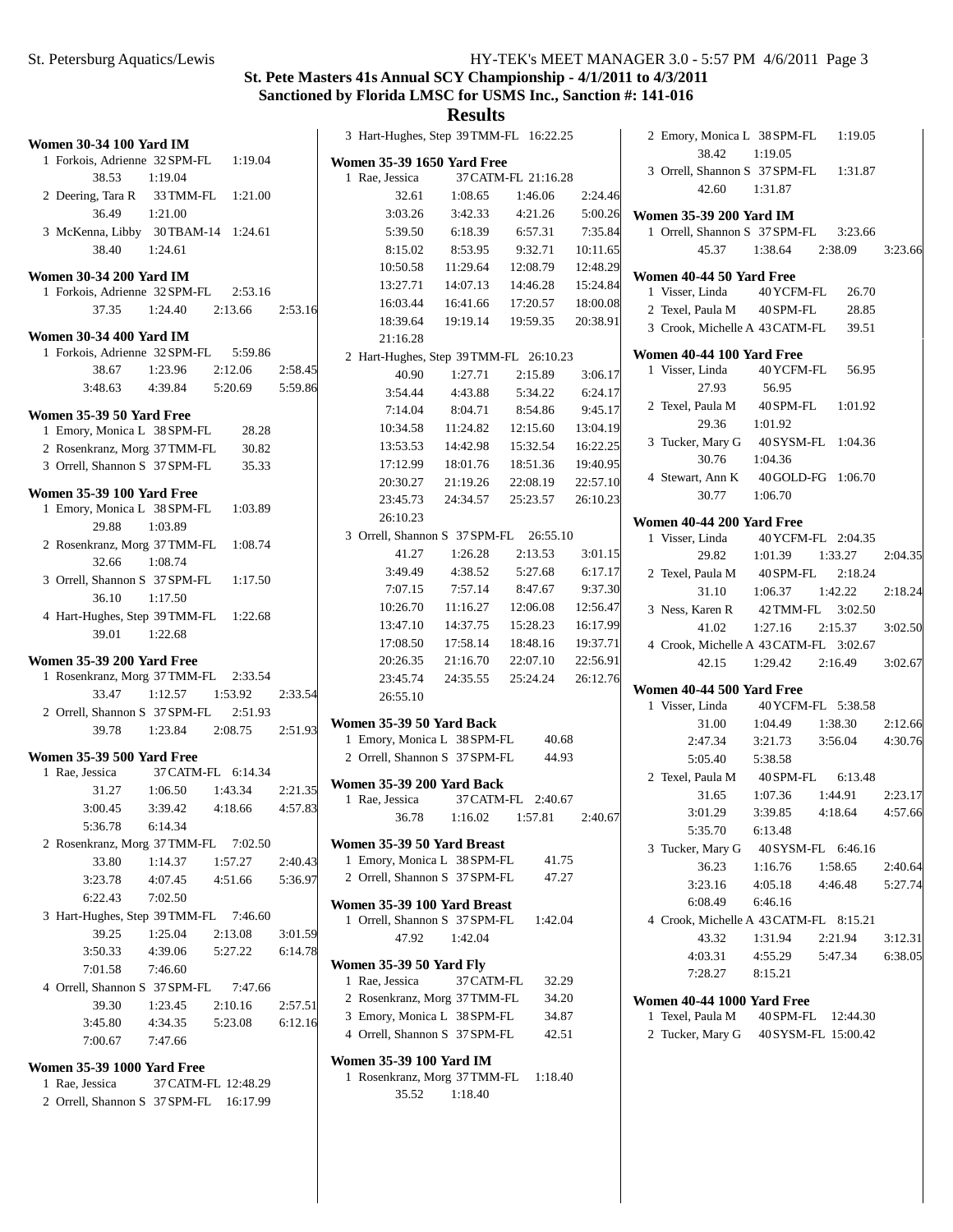3:23.66

 $2:04.35$ 

2:18.24

3:02.50

3:02.67

 $2:12.66$ 4:30.76

 $2:23.17$ 4:57.66

2:40.64 5:27.74

3:12.31 6:38.05

# **St. Pete Masters 41s Annual SCY Championship - 4/1/2011 to 4/3/2011 Sanctioned by Florida LMSC for USMS Inc., Sanction #: 141-016**

| <b>Women 30-34 100 Yard IM</b>                                  |           |                     |         | 3 Hart-Hughes, Step 39 TMM-FL 16:22.25 |            |                     |          | 2 Emory, Monica L 38 SPM-FL                  |                     | 1:19.05  |
|-----------------------------------------------------------------|-----------|---------------------|---------|----------------------------------------|------------|---------------------|----------|----------------------------------------------|---------------------|----------|
| 1 Forkois, Adrienne 32 SPM-FL                                   |           | 1:19.04             |         | <b>Women 35-39 1650 Yard Free</b>      |            |                     |          | 38.42                                        | 1:19.05             |          |
| 38.53                                                           | 1:19.04   |                     |         | 1 Rae, Jessica                         |            | 37 CATM-FL 21:16.28 |          | 3 Orrell, Shannon S 37 SPM-FL                |                     | 1:31.87  |
| 2 Deering, Tara R                                               | 33 TMM-FL | 1:21.00             |         | 32.61                                  | 1:08.65    | 1:46.06             | 2:24.46  | 42.60                                        | 1:31.87             |          |
| 36.49                                                           | 1:21.00   |                     |         | 3:03.26                                | 3:42.33    | 4:21.26             | 5:00.26  | Women 35-39 200 Yard IM                      |                     |          |
| 3 McKenna, Libby 30TBAM-14 1:24.61                              |           |                     |         | 5:39.50                                | 6:18.39    | 6:57.31             | 7:35.84  | 1 Orrell, Shannon S 37 SPM-FL                |                     | 3:23.66  |
| 38.40                                                           | 1:24.61   |                     |         | 8:15.02                                | 8:53.95    | 9:32.71             | 10:11.65 | 45.37                                        | 1:38.64             | 2:38.09  |
|                                                                 |           |                     |         | 10:50.58                               | 11:29.64   | 12:08.79            | 12:48.29 |                                              |                     |          |
| <b>Women 30-34 200 Yard IM</b><br>1 Forkois, Adrienne 32 SPM-FL |           | 2:53.16             |         | 13:27.71                               | 14:07.13   | 14:46.28            | 15:24.84 | Women 40-44 50 Yard Free<br>1 Visser, Linda  | 40 YCFM-FL          | 26.70    |
| 37.35                                                           | 1:24.40   | 2:13.66             | 2:53.16 | 16:03.44                               | 16:41.66   | 17:20.57            | 18:00.08 | 2 Texel, Paula M                             | 40 SPM-FL           | 28.85    |
|                                                                 |           |                     |         | 18:39.64                               | 19:19.14   | 19:59.35            | 20:38.91 | 3 Crook, Michelle A 43 CATM-FL               |                     | 39.51    |
| <b>Women 30-34 400 Yard IM</b>                                  |           |                     |         | 21:16.28                               |            |                     |          |                                              |                     |          |
| 1 Forkois, Adrienne 32 SPM-FL                                   |           | 5:59.86             |         | 2 Hart-Hughes, Step 39 TMM-FL 26:10.23 |            |                     |          | Women 40-44 100 Yard Free                    |                     |          |
| 38.67                                                           | 1:23.96   | 2:12.06             | 2:58.45 | 40.90                                  | 1:27.71    | 2:15.89             | 3:06.17  | 1 Visser, Linda                              | 40 YCFM-FL          | 56.95    |
| 3:48.63                                                         | 4:39.84   | 5:20.69             | 5:59.86 | 3:54.44                                | 4:43.88    | 5:34.22             | 6:24.17  | 27.93                                        | 56.95               |          |
| Women 35-39 50 Yard Free                                        |           |                     |         | 7:14.04                                | 8:04.71    | 8:54.86             | 9:45.17  | 2 Texel, Paula M                             | 40 SPM-FL           | 1:01.92  |
| 1 Emory, Monica L 38 SPM-FL                                     |           | 28.28               |         | 10:34.58                               | 11:24.82   | 12:15.60            | 13:04.19 | 29.36                                        | 1:01.92             |          |
| 2 Rosenkranz, Morg 37 TMM-FL                                    |           | 30.82               |         | 13:53.53                               | 14:42.98   | 15:32.54            | 16:22.25 | 3 Tucker, Mary G                             | 40 SYSM-FL 1:04.36  |          |
| 3 Orrell, Shannon S 37 SPM-FL                                   |           | 35.33               |         | 17:12.99                               | 18:01.76   | 18:51.36            | 19:40.95 | 30.76                                        | 1:04.36             |          |
|                                                                 |           |                     |         | 20:30.27                               | 21:19.26   | 22:08.19            | 22:57.10 | 4 Stewart, Ann K                             | 40 GOLD-FG 1:06.70  |          |
| <b>Women 35-39 100 Yard Free</b>                                |           |                     |         | 23:45.73                               | 24:34.57   | 25:23.57            | 26:10.23 | 30.77                                        | 1:06.70             |          |
| 1 Emory, Monica L 38 SPM-FL                                     |           | 1:03.89             |         | 26:10.23                               |            |                     |          |                                              |                     |          |
| 29.88                                                           | 1:03.89   |                     |         | 3 Orrell, Shannon S 37 SPM-FL          |            | 26:55.10            |          | Women 40-44 200 Yard Free<br>1 Visser, Linda | 40 YCFM-FL 2:04.35  |          |
| 2 Rosenkranz, Morg 37TMM-FL                                     |           | 1:08.74             |         | 41.27                                  | 1:26.28    | 2:13.53             | 3:01.15  | 29.82                                        | 1:01.39             | 1:33.27  |
| 32.66                                                           | 1:08.74   |                     |         | 3:49.49                                | 4:38.52    | 5:27.68             | 6:17.17  | 2 Texel, Paula M                             | 40 SPM-FL           | 2:18.24  |
| 3 Orrell, Shannon S 37 SPM-FL                                   |           | 1:17.50             |         | 7:07.15                                | 7:57.14    | 8:47.67             | 9:37.30  | 31.10                                        | 1:06.37             | 1:42.22  |
| 36.10                                                           | 1:17.50   |                     |         | 10:26.70                               | 11:16.27   | 12:06.08            | 12:56.47 |                                              |                     |          |
| 4 Hart-Hughes, Step 39 TMM-FL 1:22.68                           |           |                     |         | 13:47.10                               | 14:37.75   | 15:28.23            | 16:17.99 | 3 Ness, Karen R                              | 42 TMM-FL           | 3:02.50  |
| 39.01                                                           | 1:22.68   |                     |         | 17:08.50                               | 17:58.14   | 18:48.16            | 19:37.71 | 41.02                                        | 1:27.16             | 2:15.37  |
| <b>Women 35-39 200 Yard Free</b>                                |           |                     |         | 20:26.35                               | 21:16.70   | 22:07.10            | 22:56.91 | 4 Crook, Michelle A 43 CATM-FL 3:02.67       |                     |          |
| 1 Rosenkranz, Morg 37 TMM-FL 2:33.54                            |           |                     |         | 23:45.74                               | 24:35.55   | 25:24.24            | 26:12.76 | 42.15                                        | 1:29.42             | 2:16.49  |
| 33.47                                                           | 1:12.57   | 1:53.92             | 2:33.54 |                                        |            |                     |          | Women 40-44 500 Yard Free                    |                     |          |
| 2 Orrell, Shannon S 37 SPM-FL                                   |           | 2:51.93             |         | 26:55.10                               |            |                     |          | 1 Visser, Linda                              | 40 YCFM-FL 5:38.58  |          |
| 39.78                                                           | 1:23.84   | 2:08.75             | 2:51.93 | Women 35-39 50 Yard Back               |            |                     |          | 31.00                                        | 1:04.49             | 1:38.30  |
|                                                                 |           |                     |         | 1 Emory, Monica L 38 SPM-FL            |            | 40.68               |          | 2:47.34                                      | 3:21.73             | 3:56.04  |
| <b>Women 35-39 500 Yard Free</b>                                |           |                     |         | 2 Orrell, Shannon S 37 SPM-FL          |            | 44.93               |          | 5:05.40                                      | 5:38.58             |          |
| 1 Rae, Jessica                                                  |           | 37 CATM-FL 6:14.34  |         | Women 35-39 200 Yard Back              |            |                     |          | 2 Texel, Paula M                             | 40 SPM-FL           | 6:13.48  |
| 31.27                                                           | 1:06.50   | 1:43.34             | 2:21.35 | 1 Rae, Jessica                         |            | 37 CATM-FL 2:40.67  |          | 31.65                                        | 1:07.36             | 1:44.91  |
| 3:00.45                                                         | 3:39.42   | 4:18.66             | 4:57.83 | 36.78                                  | 1:16.02    | 1:57.81             | 2:40.67  | 3:01.29                                      | 3:39.85             | 4:18.64  |
| 5:36.78                                                         | 6:14.34   |                     |         |                                        |            |                     |          | 5:35.70                                      | 6:13.48             |          |
| 2 Rosenkranz, Morg 37TMM-FL 7:02.50                             |           |                     |         | Women 35-39 50 Yard Breast             |            |                     |          | 3 Tucker, Mary G                             | 40 SYSM-FL 6:46.16  |          |
| 33.80                                                           | 1:14.37   | 1:57.27             | 2:40.43 | 1 Emory, Monica L 38 SPM-FL            |            | 41.75               |          | 36.23                                        | 1:16.76             | 1:58.65  |
| 3:23.78                                                         | 4:07.45   | 4:51.66             | 5:36.97 | 2 Orrell, Shannon S 37 SPM-FL          |            | 47.27               |          | 3:23.16                                      | 4:05.18             | 4:46.48  |
| 6:22.43                                                         | 7:02.50   |                     |         | Women 35-39 100 Yard Breast            |            |                     |          | 6:08.49                                      | 6:46.16             |          |
| 3 Hart-Hughes, Step 39 TMM-FL 7:46.60                           |           |                     |         | 1 Orrell, Shannon S 37 SPM-FL          |            | 1:42.04             |          | 4 Crook, Michelle A 43 CATM-FL 8:15.21       |                     |          |
| 39.25                                                           | 1:25.04   | 2:13.08             | 3:01.59 | 47.92                                  | 1:42.04    |                     |          | 43.32                                        | 1:31.94             | 2:21.94  |
| 3:50.33                                                         | 4:39.06   | 5:27.22             | 6:14.78 |                                        |            |                     |          | 4:03.31                                      | 4:55.29             | 5:47.34  |
| 7:01.58                                                         | 7:46.60   |                     |         | <b>Women 35-39 50 Yard Fly</b>         |            |                     |          | 7:28.27                                      | 8:15.21             |          |
| 4 Orrell, Shannon S 37 SPM-FL                                   |           | 7:47.66             |         | 1 Rae, Jessica                         | 37 CATM-FL | 32.29               |          |                                              |                     |          |
| 39.30                                                           | 1:23.45   | 2:10.16             | 2:57.51 | 2 Rosenkranz, Morg 37 TMM-FL           |            | 34.20               |          | Women 40-44 1000 Yard Free                   |                     |          |
| 3:45.80                                                         | 4:34.35   | 5:23.08             | 6:12.16 | 3 Emory, Monica L 38 SPM-FL            |            | 34.87               |          | 1 Texel, Paula M                             | 40 SPM-FL           | 12:44.30 |
| 7:00.67                                                         | 7:47.66   |                     |         | 4 Orrell, Shannon S 37 SPM-FL          |            | 42.51               |          | 2 Tucker, Mary G                             | 40 SYSM-FL 15:00.42 |          |
|                                                                 |           |                     |         | Women 35-39 100 Yard IM                |            |                     |          |                                              |                     |          |
| <b>Women 35-39 1000 Yard Free</b>                               |           |                     |         | 1 Rosenkranz, Morg 37 TMM-FL           |            | 1:18.40             |          |                                              |                     |          |
| 1 Rae, Jessica                                                  |           | 37 CATM-FL 12:48.29 |         | 35.52                                  | 1:18.40    |                     |          |                                              |                     |          |
| 2 Orrell, Shannon S 37 SPM-FL 16:17.99                          |           |                     |         |                                        |            |                     |          |                                              |                     |          |
|                                                                 |           |                     |         |                                        |            |                     |          |                                              |                     |          |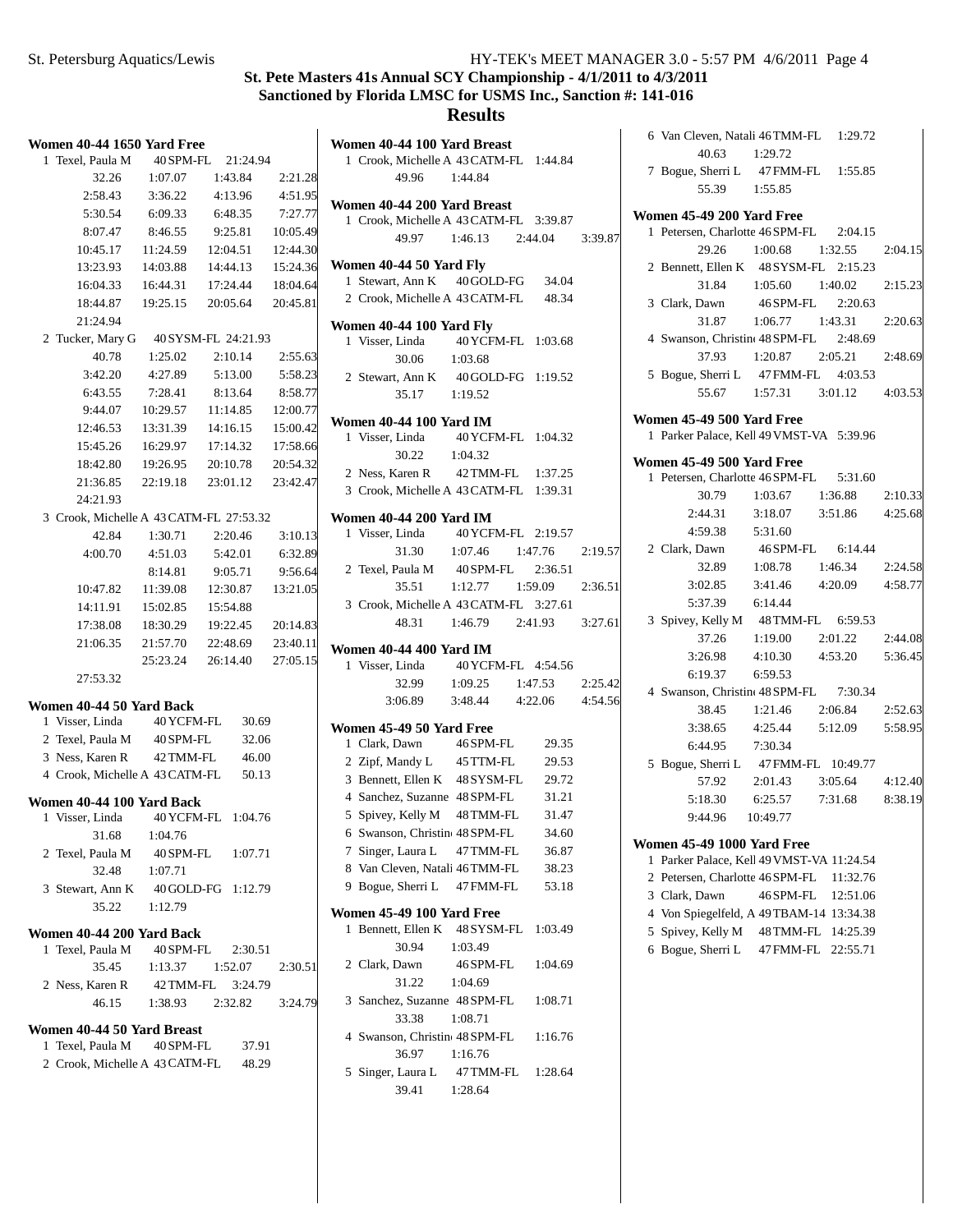## **Results**

| <b>Women 40-44 1650 Yard Free</b>              |            |                     |          | Women 40-44 100 Yard Breast    |           |
|------------------------------------------------|------------|---------------------|----------|--------------------------------|-----------|
| 1 Texel, Paula M                               | 40 SPM-FL  | 21:24.94            |          | 1 Crook, Michelle A 43 CATM-F  |           |
| 32.26                                          | 1:07.07    | 1:43.84             | 2:21.28  | 49.96                          | 1:44.84   |
| 2:58.43                                        | 3:36.22    | 4:13.96             | 4:51.95  | Women 40-44 200 Yard Breast    |           |
| 5:30.54                                        | 6:09.33    | 6:48.35             | 7:27.77  | 1 Crook, Michelle A 43 CATM-F  |           |
| 8:07.47                                        | 8:46.55    | 9:25.81             | 10:05.49 | 49.97                          | 1:46.13   |
| 10:45.17                                       | 11:24.59   | 12:04.51            | 12:44.30 |                                |           |
| 13:23.93                                       | 14:03.88   | 14:44.13            | 15:24.36 | Women 40-44 50 Yard Fly        |           |
| 16:04.33                                       | 16:44.31   | 17:24.44            | 18:04.64 | 1 Stewart, Ann K               | 40 GOLD-F |
| 18:44.87                                       | 19:25.15   | 20:05.64            | 20:45.81 | 2 Crook, Michelle A 43 CATM-F  |           |
| 21:24.94                                       |            |                     |          | Women 40-44 100 Yard Fly       |           |
| 2 Tucker, Mary G                               |            | 40 SYSM-FL 24:21.93 |          | 1 Visser, Linda                | 40 YCFM-F |
| 40.78                                          | 1:25.02    | 2:10.14             | 2:55.63  | 30.06                          | 1:03.68   |
| 3:42.20                                        | 4:27.89    | 5:13.00             | 5:58.23  | 2 Stewart, Ann K               | 40 GOLD-F |
| 6:43.55                                        | 7:28.41    | 8:13.64             | 8:58.77  | 35.17                          | 1:19.52   |
| 9:44.07                                        | 10:29.57   | 11:14.85            | 12:00.77 |                                |           |
| 12:46.53                                       | 13:31.39   | 14:16.15            | 15:00.42 | <b>Women 40-44 100 Yard IM</b> |           |
| 15:45.26                                       | 16:29.97   | 17:14.32            | 17:58.66 | 1 Visser, Linda                | 40 YCFM-F |
| 18:42.80                                       | 19:26.95   | 20:10.78            | 20:54.32 | 30.22                          | 1:04.32   |
| 21:36.85                                       | 22:19.18   | 23:01.12            | 23:42.47 | 2 Ness, Karen R                | 42 TMM-FI |
| 24:21.93                                       |            |                     |          | 3 Crook, Michelle A 43 CATM-F  |           |
| 3 Crook, Michelle A 43 CATM-FL 27:53.32        |            |                     |          | <b>Women 40-44 200 Yard IM</b> |           |
| 42.84                                          | 1:30.71    | 2:20.46             | 3:10.13  | 1 Visser, Linda                | 40 YCFM-F |
| 4:00.70                                        | 4:51.03    | 5:42.01             | 6:32.89  | 31.30                          | 1:07.46   |
|                                                | 8:14.81    | 9:05.71             | 9:56.64  | 2 Texel, Paula M               | 40 SPM-FL |
| 10:47.82                                       | 11:39.08   | 12:30.87            | 13:21.05 | 35.51                          | 1:12.77   |
| 14:11.91                                       | 15:02.85   | 15:54.88            |          | 3 Crook, Michelle A 43 CATM-F  |           |
| 17:38.08                                       | 18:30.29   | 19:22.45            | 20:14.83 | 48.31                          | 1:46.79   |
| 21:06.35                                       | 21:57.70   | 22:48.69            | 23:40.11 | <b>Women 40-44 400 Yard IM</b> |           |
|                                                | 25:23.24   | 26:14.40            | 27:05.15 | 1 Visser, Linda                | 40 YCFM-F |
| 27:53.32                                       |            |                     |          | 32.99                          | 1:09.25   |
|                                                |            |                     |          | 3:06.89                        | 3:48.44   |
| Women 40-44 50 Yard Back<br>1 Visser, Linda    | 40 YCFM-FL | 30.69               |          |                                |           |
| 2 Texel, Paula M                               | 40 SPM-FL  | 32.06               |          | Women 45-49 50 Yard Free       |           |
| 3 Ness, Karen R                                | 42 TMM-FL  | 46.00               |          | 1 Clark, Dawn                  | 46 SPM-FL |
| 4 Crook, Michelle A 43 CATM-FL                 |            | 50.13               |          | 2 Zipf, Mandy L                | 45 TTM-FL |
|                                                |            |                     |          | 3 Bennett, Ellen K             | 48 SYSM-F |
| Women 40-44 100 Yard Back                      |            |                     |          | 4 Sanchez, Suzanne 48 SPM-FL   |           |
| 1 Visser, Linda                                | 40 YCFM-FL | 1:04.76             |          | 5 Spivey, Kelly M              | 48 TMM-FI |
| 31.68                                          | 1:04.76    |                     |          | 6 Swanson, Christin 48 SPM-FL  |           |
| 2 Texel, Paula M                               | 40 SPM-FL  | 1:07.71             |          | 7 Singer, Laura L              | 47 TMM-FI |
| 32.48                                          | 1:07.71    |                     |          | 8 Van Cleven, Natali 46 TMM-FI |           |
| 3 Stewart, Ann K                               |            | 40 GOLD-FG 1:12.79  |          | 9 Bogue, Sherri L              | 47 FMM-FI |
| 35.22                                          | 1:12.79    |                     |          | Women 45-49 100 Yard Free      |           |
| Women 40-44 200 Yard Back                      |            |                     |          | 1 Bennett, Ellen K             | 48 SYSM-F |
| 1 Texel, Paula M                               | 40 SPM-FL  | 2:30.51             |          | 30.94                          | 1:03.49   |
| 35.45                                          | 1:13.37    | 1:52.07             | 2:30.51  | 2 Clark, Dawn                  | 46 SPM-FL |
| 2 Ness, Karen R                                | 42 TMM-FL  | 3:24.79             |          | 31.22                          | 1:04.69   |
| 46.15                                          | 1:38.93    | 2:32.82             | 3:24.79  | 3 Sanchez, Suzanne 48 SPM-FL   |           |
|                                                |            |                     |          | 33.38                          | 1:08.71   |
| Women 40-44 50 Yard Breast<br>1 Texel, Paula M | 40 SPM-FL  | 37.91               |          | 4 Swanson, Christine 48 SPM-FL |           |
| 2 Crook, Michelle A 43 CATM-FL                 |            | 48.29               |          | 36.97                          | 1:16.76   |
|                                                |            |                     |          | 5 Singer, Laura L              | 47 TMM-FI |
|                                                |            |                     |          | 39.41                          | 1:28.64   |

|                 | 49.96                          | 1 Crook, Michelle A 43 CATM-FL 1:44.84<br>1:44.84                     |                 |         |
|-----------------|--------------------------------|-----------------------------------------------------------------------|-----------------|---------|
|                 |                                | Women 40-44 200 Yard Breast<br>1 Crook, Michelle A 43 CATM-FL 3:39.87 |                 |         |
|                 |                                | 49.97 1:46.13                                                         | 2:44.04 3:39.87 |         |
|                 | Women 40-44 50 Yard Fly        |                                                                       |                 |         |
|                 |                                | 1 Stewart, Ann K 40 GOLD-FG 34.04                                     |                 |         |
|                 |                                | 2 Crook, Michelle A 43 CATM-FL 48.34                                  |                 |         |
|                 | Women 40-44 100 Yard Fly       |                                                                       |                 |         |
| 1 Visser, Linda |                                | 40 YCFM-FL 1:03.68                                                    |                 |         |
|                 | 30.06                          | 1:03.68                                                               |                 |         |
|                 | 2 Stewart, Ann K               | 40 GOLD-FG 1:19.52                                                    |                 |         |
|                 | 35.17 1:19.52                  |                                                                       |                 |         |
|                 | <b>Women 40-44 100 Yard IM</b> |                                                                       |                 |         |
|                 |                                | 1 Visser, Linda   40 YCFM-FL   1:04.32                                |                 |         |
|                 | 30.22 1:04.32                  |                                                                       |                 |         |
|                 |                                | 2 Ness, Karen R 42 TMM-FL 1:37.25                                     |                 |         |
|                 |                                | 3 Crook, Michelle A 43 CATM-FL 1:39.31                                |                 |         |
|                 | <b>Women 40-44 200 Yard IM</b> |                                                                       |                 |         |
|                 |                                | 1 Visser, Linda 40 YCFM-FL 2:19.57                                    |                 |         |
|                 |                                | 31.30 1:07.46 1:47.76 2:19.57                                         |                 |         |
|                 |                                | 2 Texel, Paula M 40 SPM-FL 2:36.51                                    |                 |         |
|                 | 35.51                          | $1:12.77$ $1:59.09$ $2:36.51$                                         |                 |         |
|                 |                                | 3 Crook, Michelle A 43 CATM-FL 3:27.61                                |                 |         |
|                 | 48.31                          | 1:46.79 2:41.93 3:27.61                                               |                 |         |
|                 |                                |                                                                       |                 |         |
|                 |                                |                                                                       |                 |         |
| 1 Visser, Linda | <b>Women 40-44 400 Yard IM</b> | 40 YCFM-FL 4:54.56                                                    |                 |         |
|                 | 32.99                          | 1:09.25 1:47.53                                                       |                 | 2:25.42 |
|                 |                                | 3:06.89 3:48.44 4:22.06 4:54.56                                       |                 |         |
|                 |                                |                                                                       |                 |         |
| 1 Clark, Dawn   | Women 45-49 50 Yard Free       |                                                                       | 29.35           |         |
|                 |                                | $46\,$ SPM-FL                                                         | 29.53           |         |
|                 |                                | 2 Zipf, Mandy L 45 TTM-FL<br>3 Bennett, Ellen K 48 SYSM-FL            | 29.72           |         |
|                 |                                | 4 Sanchez, Suzanne 48 SPM-FL                                          | 31.21           |         |
|                 |                                | 5 Spivey, Kelly M 48 TMM-FL                                           | 31.47           |         |
|                 |                                | 6 Swanson, Christine 48 SPM-FL 34.60                                  |                 |         |
|                 |                                | 7 Singer, Laura L 47 TMM-FL                                           | 36.87           |         |
|                 |                                | 8 Van Cleven, Natali 46 TMM-FL 38.23                                  |                 |         |
|                 |                                | 9 Bogue, Sherri L 47 FMM-FL 53.18                                     |                 |         |
|                 | Women 45-49 100 Yard Free      |                                                                       |                 |         |
|                 |                                |                                                                       |                 |         |
|                 | 30.94                          | 1 Bennett, Ellen K 48 SYSM-FL 1:03.49<br>1:03.49                      |                 |         |
|                 | 2 Clark, Dawn                  | 46 SPM-FL 1:04.69                                                     |                 |         |
|                 | $31.22 \t1:04.69$              |                                                                       |                 |         |
|                 |                                | 3 Sanchez, Suzanne 48 SPM-FL 1:08.71                                  |                 |         |
|                 | 33.38                          | 1:08.71                                                               |                 |         |
|                 |                                | 4 Swanson, Christine 48 SPM-FL 1:16.76                                |                 |         |
|                 | 36.97                          | 1:16.76                                                               |                 |         |
|                 | 39.41 1:28.64                  | 5 Singer, Laura L  47 TMM-FL  1:28.64                                 |                 |         |

| 6 Van Cleven, Natali 46 TMM-FL 1:29.72                         |                                                                                                      |                    |         |
|----------------------------------------------------------------|------------------------------------------------------------------------------------------------------|--------------------|---------|
| 40.63                                                          | 1:29.72                                                                                              |                    |         |
| 7 Bogue, Sherri L 47 FMM-FL 1:55.85                            |                                                                                                      |                    |         |
| 55.39                                                          | 1:55.85                                                                                              |                    |         |
| Women 45-49 200 Yard Free                                      |                                                                                                      |                    |         |
| 1 Petersen, Charlotte 46 SPM-FL 2:04.15                        |                                                                                                      |                    |         |
| 29.26                                                          | 1:00.68 1:32.55                                                                                      |                    | 2:04.15 |
|                                                                |                                                                                                      |                    |         |
| 2 Bennett, Ellen K 48 SYSM-FL 2:15.23<br>31.84 1:05.60 1:40.02 |                                                                                                      |                    | 2:15.23 |
| 3 Clark, Dawn 46 SPM-FL 2:20.63                                |                                                                                                      |                    |         |
| 31.87                                                          | $1:06.77$ $1:43.31$                                                                                  |                    | 2:20.63 |
| 4 Swanson, Christine 48 SPM-FL 2:48.69                         |                                                                                                      |                    |         |
| 37.93                                                          | $1:20.87$ $2:05.21$                                                                                  |                    | 2:48.69 |
| 5 Bogue, Sherri L                                              | 47 FMM-FL 4:03.53                                                                                    |                    |         |
|                                                                | 55.67 1:57.31 3:01.12 4:03.53                                                                        |                    |         |
| Women 45-49 500 Yard Free                                      |                                                                                                      |                    |         |
| 1 Parker Palace, Kell 49 VMST-VA 5:39.96                       |                                                                                                      |                    |         |
| Women 45-49 500 Yard Free                                      |                                                                                                      |                    |         |
| 1 Petersen, Charlotte 46 SPM-FL 5:31.60                        |                                                                                                      |                    |         |
| 30.79                                                          |                                                                                                      |                    |         |
| 2:44.31                                                        | $\begin{array}{cccc} 1:03.67 & & 1:36.88 & & 2:10.33 \\ 3:18.07 & & 3:51.86 & & 4:25.68 \end{array}$ |                    |         |
| $4:59.38$ $5:31.60$                                            |                                                                                                      |                    |         |
| 2 Clark, Dawn                                                  | 46 SPM-FL 6:14.44                                                                                    |                    |         |
| 32.89                                                          | $1:08.78$ $1:46.34$ $2:24.58$                                                                        |                    |         |
|                                                                | 3:02.85 3:41.46 4:20.09 4:58.77                                                                      |                    |         |
| 5:37.39                                                        | 6:14.44                                                                                              |                    |         |
| 3 Spivey, Kelly M 48 TMM-FL 6:59.53                            |                                                                                                      |                    |         |
| 37.26                                                          | 1:19.00                                                                                              | 2:01.22 2:44.08    |         |
| 3:26.98                                                        | 4:10.30                                                                                              | 4:53.20    5:36.45 |         |
| 6:19.37 6:59.53                                                |                                                                                                      |                    |         |
| 4 Swanson, Christine 48 SPM-FL 7:30.34                         |                                                                                                      |                    |         |
| 38.45                                                          | 1:21.46<br>3:38.65 4:25.44 5:12.09 5:58.95                                                           | 2:06.84 2:52.63    |         |
|                                                                |                                                                                                      |                    |         |
| 6:44.95<br>5 Bogue, Sherri L                                   | 7:30.34<br>47 FMM-FL 10:49.77                                                                        |                    |         |
| 57.92                                                          | 2:01.43 3:05.64 4:12.40                                                                              |                    |         |
| 5:18.30                                                        | 6:25.57                                                                                              | 7:31.68 8:38.19    |         |
| 9:44.96 10:49.77                                               |                                                                                                      |                    |         |
|                                                                |                                                                                                      |                    |         |
| <b>Women 45-49 1000 Yard Free</b>                              |                                                                                                      |                    |         |
| 1 Parker Palace, Kell 49 VMST-VA 11:24.54                      |                                                                                                      |                    |         |
| 2 Petersen, Charlotte 46 SPM-FL 11:32.76                       |                                                                                                      |                    |         |
| 3 Clark, Dawn<br>4 Von Spiegelfeld, A 49 TBAM-14 13:34.38      | 46 SPM-FL 12:51.06                                                                                   |                    |         |
| 5 Spivey, Kelly M 48 TMM-FL 14:25.39                           |                                                                                                      |                    |         |
|                                                                |                                                                                                      |                    |         |

6 Bogue, Sherri L 47 FMM-FL 22:55.71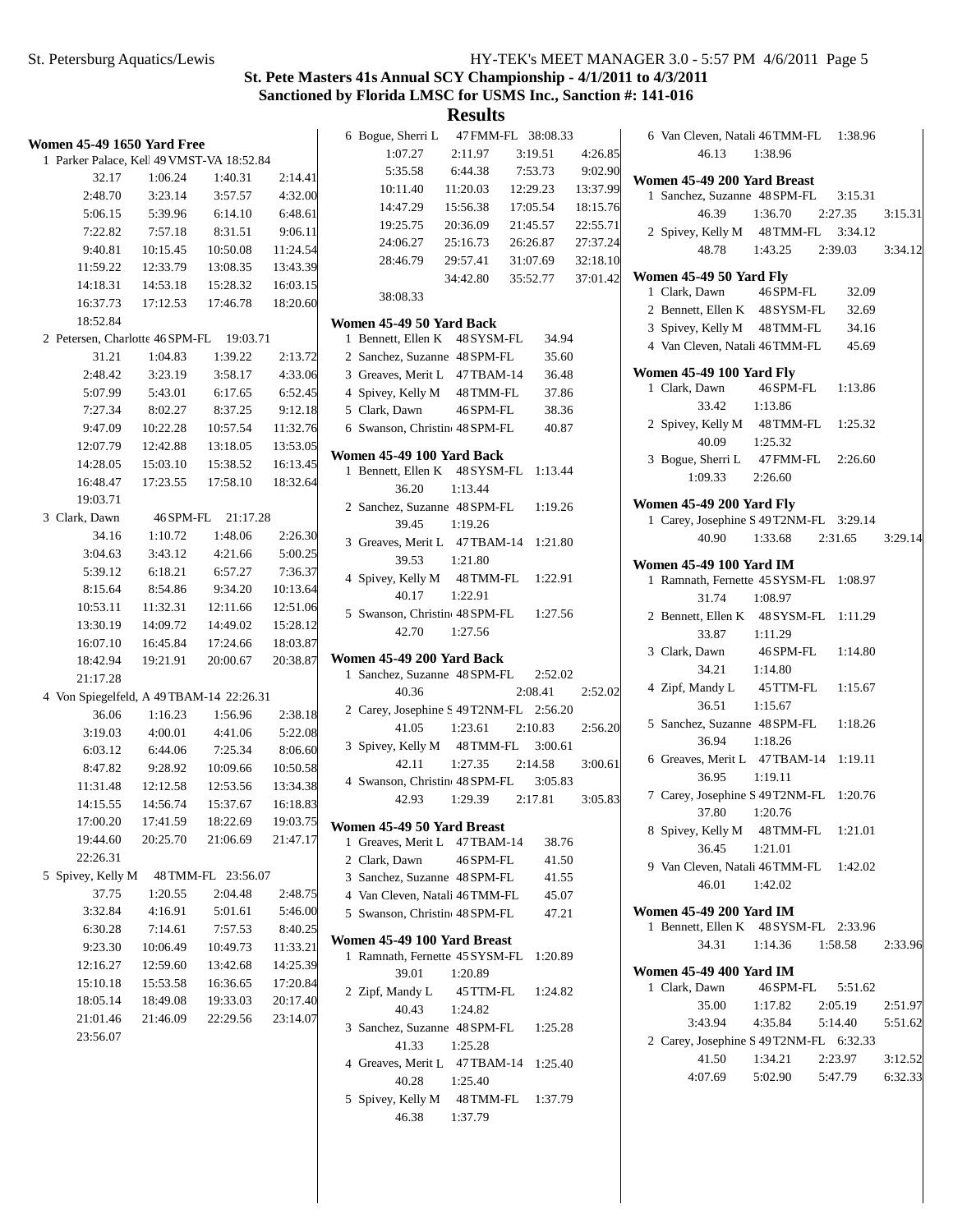# **St. Pete Masters 41s Annual SCY Championship - 4/1/2011 to 4/3/2011 Sanctioned by Florida LMSC for USMS Inc., Sanction #: 141-016**

| Women 45-49 1650 Yard Free                |          |                    |          | 6 Bogue, Sherri L<br>1:07.27            | 2:11.97   | 47 FMM-FL 38:08.33<br>3:19.51 | 4:26.85  | 6 Van Cleven, Natali 46 TMM-FL<br>46.13 | 1:38.96   | 1:38.96 |         |
|-------------------------------------------|----------|--------------------|----------|-----------------------------------------|-----------|-------------------------------|----------|-----------------------------------------|-----------|---------|---------|
| 1 Parker Palace, Kell 49 VMST-VA 18:52.84 |          |                    |          | 5:35.58                                 | 6:44.38   |                               | 9:02.90  |                                         |           |         |         |
| 32.17                                     | 1:06.24  | 1:40.31            | 2:14.41  |                                         |           | 7:53.73                       |          | Women 45-49 200 Yard Breast             |           |         |         |
| 2:48.70                                   | 3:23.14  | 3:57.57            | 4:32.00  | 10:11.40                                | 11:20.03  | 12:29.23                      | 13:37.99 | 1 Sanchez, Suzanne 48 SPM-FL            |           | 3:15.31 |         |
| 5:06.15                                   | 5:39.96  | 6:14.10            | 6:48.61  | 14:47.29                                | 15:56.38  | 17:05.54                      | 18:15.76 | 46.39                                   | 1:36.70   | 2:27.35 | 3:15.31 |
| 7:22.82                                   | 7:57.18  | 8:31.51            | 9:06.11  | 19:25.75                                | 20:36.09  | 21:45.57                      | 22:55.71 | 2 Spivey, Kelly M 48 TMM-FL 3:34.12     |           |         |         |
| 9:40.81                                   | 10:15.45 | 10:50.08           | 11:24.54 | 24:06.27                                | 25:16.73  | 26:26.87                      | 27:37.24 | 48.78                                   | 1:43.25   | 2:39.03 | 3:34.12 |
| 11:59.22                                  | 12:33.79 | 13:08.35           | 13:43.39 | 28:46.79                                | 29:57.41  | 31:07.69                      | 32:18.10 | Women 45-49 50 Yard Fly                 |           |         |         |
| 14:18.31                                  | 14:53.18 | 15:28.32           | 16:03.15 |                                         | 34:42.80  | 35:52.77                      | 37:01.42 | 1 Clark, Dawn                           | 46 SPM-FL | 32.09   |         |
| 16:37.73                                  | 17:12.53 | 17:46.78           | 18:20.60 | 38:08.33                                |           |                               |          | 2 Bennett, Ellen K 48 SYSM-FL           |           | 32.69   |         |
| 18:52.84                                  |          |                    |          | Women 45-49 50 Yard Back                |           |                               |          | 3 Spivey, Kelly M 48 TMM-FL             |           | 34.16   |         |
| 2 Petersen, Charlotte 46 SPM-FL 19:03.71  |          |                    |          | 1 Bennett, Ellen K 48 SYSM-FL           |           | 34.94                         |          | 4 Van Cleven, Natali 46 TMM-FL          |           | 45.69   |         |
| 31.21                                     | 1:04.83  | 1:39.22            | 2:13.72  | 2 Sanchez, Suzanne 48 SPM-FL            |           | 35.60                         |          |                                         |           |         |         |
| 2:48.42                                   | 3:23.19  | 3:58.17            | 4:33.06  | 3 Greaves, Merit L 47 TBAM-14           |           | 36.48                         |          | <b>Women 45-49 100 Yard Fly</b>         |           |         |         |
| 5:07.99                                   | 5:43.01  | 6:17.65            | 6:52.45  | 4 Spivey, Kelly M 48 TMM-FL             |           | 37.86                         |          | 1 Clark, Dawn                           | 46 SPM-FL | 1:13.86 |         |
| 7:27.34                                   | 8:02.27  | 8:37.25            | 9:12.18  | 5 Clark, Dawn                           | 46 SPM-FL | 38.36                         |          | 33.42                                   | 1:13.86   |         |         |
| 9:47.09                                   | 10:22.28 | 10:57.54           | 11:32.76 | 6 Swanson, Christine 48 SPM-FL          |           | 40.87                         |          | 2 Spivey, Kelly M 48 TMM-FL             |           | 1:25.32 |         |
| 12:07.79                                  | 12:42.88 | 13:18.05           | 13:53.05 | Women 45-49 100 Yard Back               |           |                               |          | 40.09                                   | 1:25.32   |         |         |
| 14:28.05                                  | 15:03.10 | 15:38.52           | 16:13.45 | 1 Bennett, Ellen K 48 SYSM-FL 1:13.44   |           |                               |          | 3 Bogue, Sherri L 47 FMM-FL             |           | 2:26.60 |         |
| 16:48.47                                  | 17:23.55 | 17:58.10           | 18:32.64 | 36.20                                   | 1:13.44   |                               |          | 1:09.33                                 | 2:26.60   |         |         |
| 19:03.71                                  |          |                    |          | 2 Sanchez, Suzanne 48 SPM-FL            |           | 1:19.26                       |          | <b>Women 45-49 200 Yard Fly</b>         |           |         |         |
| 3 Clark, Dawn                             |          | 46 SPM-FL 21:17.28 |          | 39.45                                   | 1:19.26   |                               |          | 1 Carey, Josephine S 49 T2NM-FL 3:29.14 |           |         |         |
| 34.16                                     | 1:10.72  | 1:48.06            | 2:26.30  | 3 Greaves, Merit L 47 TBAM-14 1:21.80   |           |                               |          | 40.90                                   | 1:33.68   | 2:31.65 | 3:29.14 |
| 3:04.63                                   | 3:43.12  | 4:21.66            | 5:00.25  | 39.53                                   | 1:21.80   |                               |          | Women 45-49 100 Yard IM                 |           |         |         |
| 5:39.12                                   | 6:18.21  | 6:57.27            | 7:36.37  | 4 Spivey, Kelly M 48 TMM-FL             |           | 1:22.91                       |          | 1 Ramnath, Fernette 45 SYSM-FL 1:08.97  |           |         |         |
| 8:15.64                                   | 8:54.86  | 9:34.20            | 10:13.64 | 40.17                                   | 1:22.91   |                               |          | 31.74                                   | 1:08.97   |         |         |
| 10:53.11                                  | 11:32.31 | 12:11.66           | 12:51.06 | 5 Swanson, Christin 48 SPM-FL           |           | 1:27.56                       |          | 2 Bennett, Ellen K 48 SYSM-FL 1:11.29   |           |         |         |
| 13:30.19                                  | 14:09.72 | 14:49.02           | 15:28.12 | 42.70                                   | 1:27.56   |                               |          | 33.87                                   | 1:11.29   |         |         |
| 16:07.10                                  | 16:45.84 | 17:24.66           | 18:03.87 |                                         |           |                               |          | 3 Clark, Dawn                           | 46 SPM-FL | 1:14.80 |         |
| 18:42.94                                  | 19:21.91 | 20:00.67           | 20:38.87 | Women 45-49 200 Yard Back               |           |                               |          | 34.21                                   | 1:14.80   |         |         |
| 21:17.28                                  |          |                    |          | 1 Sanchez, Suzanne 48 SPM-FL            |           | 2:52.02                       |          | 4 Zipf, Mandy L                         | 45 TTM-FL | 1:15.67 |         |
| 4 Von Spiegelfeld, A 49TBAM-14 22:26.31   |          |                    |          | 40.36                                   |           | 2:08.41                       | 2:52.02  | 36.51                                   | 1:15.67   |         |         |
| 36.06                                     | 1:16.23  | 1:56.96            | 2:38.18  | 2 Carey, Josephine S 49 T2NM-FL 2:56.20 |           |                               |          | 5 Sanchez, Suzanne 48 SPM-FL            |           | 1:18.26 |         |
| 3:19.03                                   | 4:00.01  | 4:41.06            | 5:22.08  | 41.05                                   | 1:23.61   | 2:10.83                       | 2:56.20  | 36.94                                   | 1:18.26   |         |         |
| 6:03.12                                   | 6:44.06  | 7:25.34            | 8:06.60  | 3 Spivey, Kelly M 48 TMM-FL 3:00.61     |           |                               |          | 6 Greaves, Merit L 47 TBAM-14 1:19.11   |           |         |         |
| 8:47.82                                   | 9:28.92  | 10:09.66           | 10:50.58 | 42.11                                   | 1:27.35   | 2:14.58<br>3:05.83            | 3:00.61  | 36.95                                   | 1:19.11   |         |         |
| 11:31.48                                  | 12:12.58 | 12:53.56           | 13:34.38 | 4 Swanson, Christine 48 SPM-FL<br>42.93 | 1:29.39   | 2:17.81                       | 3:05.83  | 7 Carey, Josephine S 49 T2NM-FL 1:20.76 |           |         |         |
| 14:15.55                                  | 14:56.74 | 15:37.67           | 16:18.83 |                                         |           |                               |          | 37.80                                   | 1:20.76   |         |         |
| 17:00.20                                  | 17:41.59 | 18:22.69           | 19:03.75 | Women 45-49 50 Yard Breast              |           |                               |          | 8 Spivey, Kelly M 48 TMM-FL             |           | 1:21.01 |         |
| 19:44.60                                  | 20:25.70 | 21:06.69           | 21:47.17 | 1 Greaves, Merit L 47 TBAM-14           |           | 38.76                         |          | 36.45                                   | 1:21.01   |         |         |
| 22:26.31                                  |          |                    |          | 2 Clark, Dawn                           | 46 SPM-FL | 41.50                         |          | 9 Van Cleven, Natali 46 TMM-FL          |           | 1:42.02 |         |
| 5 Spivey, Kelly M                         |          | 48 TMM-FL 23:56.07 |          | 3 Sanchez, Suzanne 48 SPM-FL            |           | 41.55                         |          | 46.01                                   | 1:42.02   |         |         |
| 37.75                                     | 1:20.55  | 2:04.48            | 2:48.75  | 4 Van Cleven, Natali 46 TMM-FL          |           | 45.07                         |          |                                         |           |         |         |
| 3:32.84                                   | 4:16.91  | 5:01.61            | 5:46.00  | 5 Swanson, Christine 48 SPM-FL          |           | 47.21                         |          | <b>Women 45-49 200 Yard IM</b>          |           |         |         |
| 6:30.28                                   | 7:14.61  | 7:57.53            | 8:40.25  | Women 45-49 100 Yard Breast             |           |                               |          | 1 Bennett, Ellen K 48 SYSM-FL 2:33.96   |           |         |         |
| 9:23.30                                   | 10:06.49 | 10:49.73           | 11:33.21 | 1 Ramnath, Fernette 45 SYSM-FL 1:20.89  |           |                               |          | 34.31                                   | 1:14.36   | 1:58.58 | 2:33.96 |
| 12:16.27                                  | 12:59.60 | 13:42.68           | 14:25.39 | 39.01                                   | 1:20.89   |                               |          | <b>Women 45-49 400 Yard IM</b>          |           |         |         |
| 15:10.18                                  | 15:53.58 | 16:36.65           | 17:20.84 | 2 Zipf, Mandy L                         | 45 TTM-FL | 1:24.82                       |          | 1 Clark, Dawn                           | 46 SPM-FL | 5:51.62 |         |
| 18:05.14                                  | 18:49.08 | 19:33.03           | 20:17.40 | 40.43                                   | 1:24.82   |                               |          | 35.00                                   | 1:17.82   | 2:05.19 | 2:51.97 |
| 21:01.46                                  | 21:46.09 | 22:29.56           | 23:14.07 | 3 Sanchez, Suzanne 48 SPM-FL            |           | 1:25.28                       |          | 3:43.94                                 | 4:35.84   | 5:14.40 | 5:51.62 |
| 23:56.07                                  |          |                    |          | 41.33                                   | 1:25.28   |                               |          | 2 Carey, Josephine S 49 T2NM-FL 6:32.33 |           |         |         |
|                                           |          |                    |          | 4 Greaves, Merit L 47 TBAM-14 1:25.40   |           |                               |          | 41.50                                   | 1:34.21   | 2:23.97 | 3:12.52 |
|                                           |          |                    |          | 40.28                                   | 1:25.40   |                               |          | 4:07.69                                 | 5:02.90   | 5:47.79 | 6:32.33 |
|                                           |          |                    |          | 5 Spivey, Kelly M                       |           | 48 TMM-FL 1:37.79             |          |                                         |           |         |         |
|                                           |          |                    |          | 46.38                                   | 1:37.79   |                               |          |                                         |           |         |         |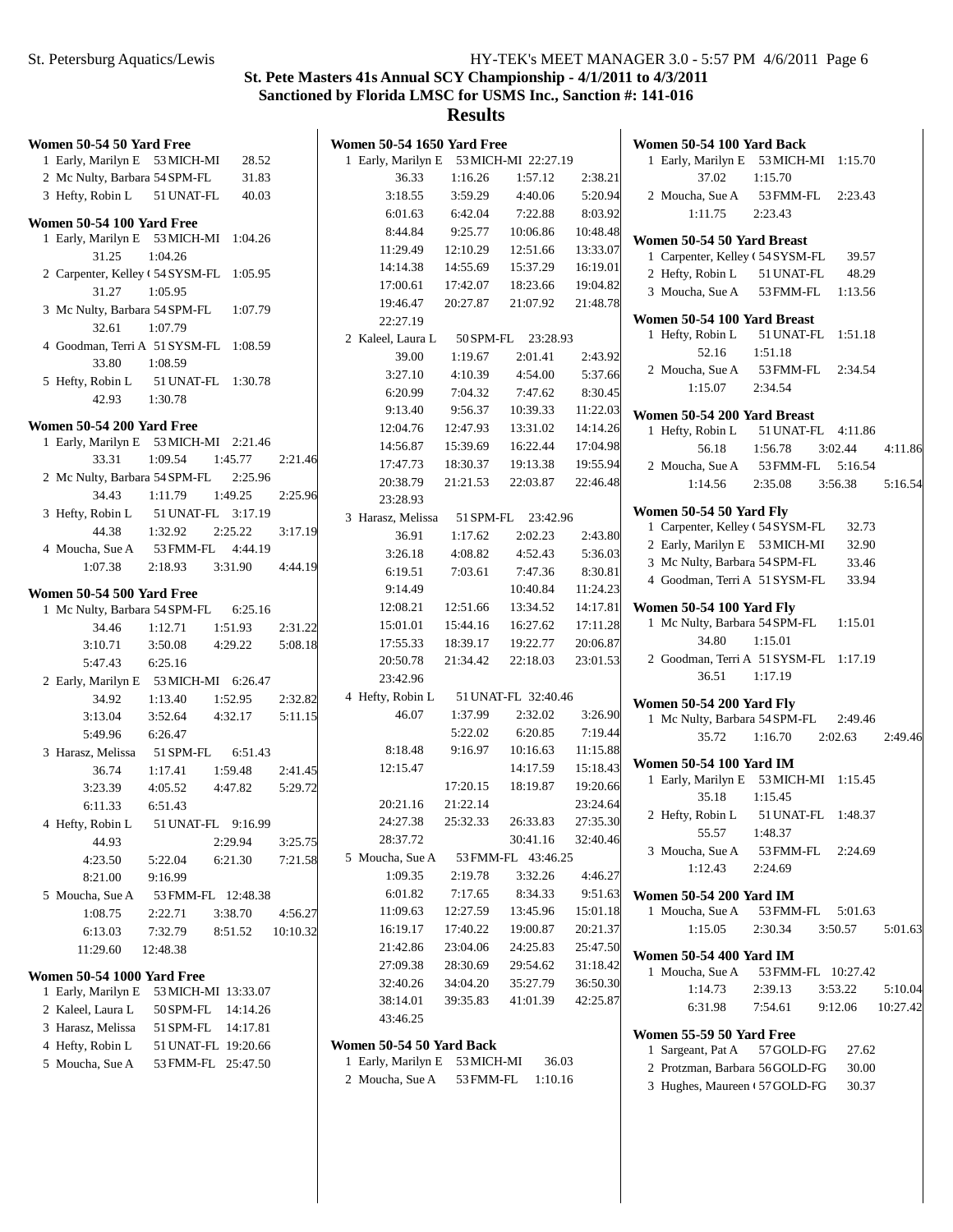## **Results**

| Women 50-54 50 Yard Free                 |            |                     |          | <b>Women 50-54 1650 Yard Free</b>      |                      |                      |                      | Women 50-54 100 Yard Back                                               |                    |         |
|------------------------------------------|------------|---------------------|----------|----------------------------------------|----------------------|----------------------|----------------------|-------------------------------------------------------------------------|--------------------|---------|
| 1 Early, Marilyn E 53 MICH-MI            |            | 28.52               |          | 1 Early, Marilyn E 53 MICH-MI 22:27.19 |                      |                      |                      | 1 Early, Marilyn E 53 MICH-MI 1:15.70                                   |                    |         |
| 2 Mc Nulty, Barbara 54 SPM-FL            |            | 31.83               |          | 36.33                                  | 1:16.26              | 1:57.12              | 2:38.21              | 37.02                                                                   | 1:15.70            |         |
| 3 Hefty, Robin L                         | 51 UNAT-FL | 40.03               |          | 3:18.55                                | 3:59.29              | 4:40.06              | 5:20.94              | 2 Moucha, Sue A                                                         | 53 FMM-FL          | 2:23.43 |
|                                          |            |                     |          | 6:01.63                                | 6:42.04              | 7:22.88              | 8:03.92              | 1:11.75                                                                 | 2:23.43            |         |
| Women 50-54 100 Yard Free                |            |                     |          | 8:44.84                                | 9:25.77              | 10:06.86             | 10:48.48             |                                                                         |                    |         |
| 1 Early, Marilyn E 53 MICH-MI 1:04.26    |            |                     |          | 11:29.49                               | 12:10.29             | 12:51.66             | 13:33.07             | Women 50-54 50 Yard Breast                                              |                    |         |
| 31.25                                    | 1:04.26    |                     |          | 14:14.38                               | 14:55.69             | 15:37.29             | 16:19.01             | 1 Carpenter, Kelley (54 SYSM-FL                                         |                    | 39.57   |
| 2 Carpenter, Kelley ( 54 SYSM-FL 1:05.95 |            |                     |          | 17:00.61                               | 17:42.07             | 18:23.66             | 19:04.82             | 2 Hefty, Robin L                                                        | 51 UNAT-FL         | 48.29   |
| 31.27                                    | 1:05.95    |                     |          | 19:46.47                               | 20:27.87             | 21:07.92             | 21:48.78             | 3 Moucha, Sue A                                                         | 53 FMM-FL          | 1:13.56 |
| 3 Mc Nulty, Barbara 54 SPM-FL            |            | 1:07.79             |          | 22:27.19                               |                      |                      |                      | Women 50-54 100 Yard Breast                                             |                    |         |
| 32.61                                    | 1:07.79    |                     |          | 2 Kaleel, Laura L                      |                      | 50 SPM-FL 23:28.93   |                      | 1 Hefty, Robin L                                                        | 51 UNAT-FL         | 1:51.18 |
| 4 Goodman, Terri A 51 SYSM-FL 1:08.59    |            |                     |          | 39.00                                  | 1:19.67              | 2:01.41              | 2:43.92              | 52.16                                                                   | 1:51.18            |         |
| 33.80                                    | 1:08.59    |                     |          | 3:27.10                                | 4:10.39              | 4:54.00              | 5:37.66              | 2 Moucha, Sue A                                                         | 53 FMM-FL          | 2:34.54 |
| 5 Hefty, Robin L                         |            | 51 UNAT-FL 1:30.78  |          | 6:20.99                                | 7:04.32              | 7:47.62              | 8:30.45              | 1:15.07                                                                 | 2:34.54            |         |
| 42.93                                    | 1:30.78    |                     |          | 9:13.40                                | 9:56.37              | 10:39.33             |                      |                                                                         |                    |         |
| <b>Women 50-54 200 Yard Free</b>         |            |                     |          |                                        |                      |                      | 11:22.03             | Women 50-54 200 Yard Breast                                             |                    |         |
| 1 Early, Marilyn E 53 MICH-MI 2:21.46    |            |                     |          | 12:04.76                               | 12:47.93<br>15:39.69 | 13:31.02<br>16:22.44 | 14:14.26<br>17:04.98 | 1 Hefty, Robin L                                                        | 51 UNAT-FL 4:11.86 |         |
| 33.31                                    | 1:09.54    | 1:45.77             | 2:21.46  | 14:56.87                               |                      |                      |                      | 56.18                                                                   | 1:56.78            | 3:02.44 |
| 2 Mc Nulty, Barbara 54 SPM-FL            |            | 2:25.96             |          | 17:47.73                               | 18:30.37             | 19:13.38             | 19:55.94             | 2 Moucha, Sue A                                                         | 53 FMM-FL          | 5:16.54 |
| 34.43                                    | 1:11.79    | 1:49.25             | 2:25.96  | 20:38.79                               | 21:21.53             | 22:03.87             | 22:46.48             | 1:14.56                                                                 | 2:35.08            | 3:56.38 |
| 3 Hefty, Robin L                         |            | 51 UNAT-FL 3:17.19  |          | 23:28.93                               |                      |                      |                      | Women 50-54 50 Yard Fly                                                 |                    |         |
| 44.38                                    | 1:32.92    | 2:25.22             | 3:17.19  | 3 Harasz, Melissa                      |                      | 51 SPM-FL 23:42.96   |                      | 1 Carpenter, Kelley (54 SYSM-FL                                         |                    | 32.73   |
| 4 Moucha, Sue A                          | 53 FMM-FL  | 4:44.19             |          | 36.91                                  | 1:17.62              | 2:02.23              | 2:43.80              | 2 Early, Marilyn E 53 MICH-MI                                           |                    | 32.90   |
| 1:07.38                                  | 2:18.93    | 3:31.90             | 4:44.19  | 3:26.18                                | 4:08.82              | 4:52.43              | 5:36.03              | 3 Mc Nulty, Barbara 54 SPM-FL                                           |                    | 33.46   |
|                                          |            |                     |          | 6:19.51                                | 7:03.61              | 7:47.36              | 8:30.81              | 4 Goodman, Terri A 51 SYSM-FL                                           |                    | 33.94   |
| Women 50-54 500 Yard Free                |            |                     |          | 9:14.49                                |                      | 10:40.84             | 11:24.23             |                                                                         |                    |         |
| 1 Mc Nulty, Barbara 54 SPM-FL            |            | 6:25.16             |          | 12:08.21                               | 12:51.66             | 13:34.52             | 14:17.81             | <b>Women 50-54 100 Yard Fly</b>                                         |                    |         |
| 34.46                                    | 1:12.71    | 1:51.93             | 2:31.22  | 15:01.01                               | 15:44.16             | 16:27.62             | 17:11.28             | 1 Mc Nulty, Barbara 54 SPM-FL                                           |                    | 1:15.01 |
| 3:10.71                                  | 3:50.08    | 4:29.22             | 5:08.18  | 17:55.33                               | 18:39.17             | 19:22.77             | 20:06.87             | 34.80                                                                   | 1:15.01            |         |
| 5:47.43                                  | 6:25.16    |                     |          | 20:50.78                               | 21:34.42             | 22:18.03             | 23:01.53             | 2 Goodman, Terri A 51 SYSM-FL 1:17.19                                   |                    |         |
| 2 Early, Marilyn E 53 MICH-MI 6:26.47    |            |                     |          | 23:42.96                               |                      |                      |                      | 36.51                                                                   | 1:17.19            |         |
| 34.92                                    | 1:13.40    | 1:52.95             | 2:32.82  | 4 Hefty, Robin L                       |                      | 51 UNAT-FL 32:40.46  |                      | <b>Women 50-54 200 Yard Fly</b>                                         |                    |         |
| 3:13.04                                  | 3:52.64    | 4:32.17             | 5:11.15  | 46.07                                  | 1:37.99              | 2:32.02              | 3:26.90              | 1 Mc Nulty, Barbara 54 SPM-FL                                           |                    | 2:49.46 |
| 5:49.96                                  | 6:26.47    |                     |          |                                        | 5:22.02              | 6:20.85              | 7:19.44              | 35.72                                                                   | 1:16.70            | 2:02.63 |
| 3 Harasz, Melissa                        | 51 SPM-FL  | 6:51.43             |          | 8:18.48                                | 9:16.97              | 10:16.63             | 11:15.88             |                                                                         |                    |         |
| 36.74                                    | 1:17.41    | 1:59.48             | 2:41.45  | 12:15.47                               |                      | 14:17.59             | 15:18.43             | <b>Women 50-54 100 Yard IM</b><br>1 Early, Marilyn E 53 MICH-MI 1:15.45 |                    |         |
| 3:23.39                                  | 4:05.52    | 4:47.82             | 5:29.72  |                                        | 17:20.15             | 18:19.87             | 19:20.66             | 35.18                                                                   | 1:15.45            |         |
| 6:11.33                                  | 6:51.43    |                     |          | 20:21.16                               | 21:22.14             |                      | 23:24.64             | 2 Hefty, Robin L                                                        | 51 UNAT-FL 1:48.37 |         |
| 4 Hefty, Robin L                         |            | 51 UNAT-FL 9:16.99  |          | 24:27.38                               | 25:32.33             | 26:33.83             | 27:35.30             | 55.57                                                                   | 1:48.37            |         |
| 44.93                                    |            | 2:29.94             | 3:25.75  | 28:37.72                               |                      | 30:41.16             | 32:40.46             | 3 Moucha, Sue A                                                         | 53 FMM-FL          |         |
| 4:23.50                                  | 5:22.04    | 6:21.30             | 7:21.58  | 5 Moucha, Sue A                        |                      | 53 FMM-FL 43:46.25   |                      |                                                                         |                    | 2:24.69 |
| 8:21.00                                  | 9:16.99    |                     |          | 1:09.35                                | 2:19.78              | 3:32.26              | 4:46.27              | 1:12.43                                                                 | 2:24.69            |         |
| 5 Moucha, Sue A                          |            | 53 FMM-FL 12:48.38  |          | 6:01.82                                | 7:17.65              | 8:34.33              | 9:51.63              | <b>Women 50-54 200 Yard IM</b>                                          |                    |         |
| 1:08.75                                  | 2:22.71    | 3:38.70             | 4:56.27  | 11:09.63                               | 12:27.59             | 13:45.96             | 15:01.18             | 1 Moucha, Sue A                                                         | 53 FMM-FL          | 5:01.63 |
| 6:13.03                                  | 7:32.79    | 8:51.52             | 10:10.32 | 16:19.17                               | 17:40.22             | 19:00.87             | 20:21.37             | 1:15.05                                                                 | 2:30.34            | 3:50.57 |
| 11:29.60                                 | 12:48.38   |                     |          | 21:42.86                               | 23:04.06             | 24:25.83             | 25:47.50             | Women 50-54 400 Yard IM                                                 |                    |         |
|                                          |            |                     |          | 27:09.38                               | 28:30.69             | 29:54.62             | 31:18.42             | 1 Moucha, Sue A                                                         | 53 FMM-FL 10:27.42 |         |
| <b>Women 50-54 1000 Yard Free</b>        |            |                     |          | 32:40.26                               | 34:04.20             | 35:27.79             | 36:50.30             | 1:14.73                                                                 | 2:39.13            | 3:53.22 |
| 1 Early, Marilyn E                       |            | 53 MICH-MI 13:33.07 |          | 38:14.01                               | 39:35.83             | 41:01.39             | 42:25.87             | 6:31.98                                                                 | 7:54.61            | 9:12.06 |
| 2 Kaleel, Laura L                        |            | 50 SPM-FL 14:14.26  |          | 43:46.25                               |                      |                      |                      |                                                                         |                    |         |
| 3 Harasz, Melissa                        |            | 51 SPM-FL 14:17.81  |          |                                        |                      |                      |                      | Women 55-59 50 Yard Free                                                |                    |         |
| 4 Hefty, Robin L                         |            | 51 UNAT-FL 19:20.66 |          | Women 50-54 50 Yard Back               |                      |                      |                      | 1 Sargeant, Pat A                                                       | 57 GOLD-FG         | 27.62   |
| 5 Moucha, Sue A                          |            | 53 FMM-FL 25:47.50  |          | 1 Early, Marilyn E 53 MICH-MI          |                      | 36.03                |                      | 2 Protzman, Barbara 56 GOLD-FG                                          |                    | 30.00   |
|                                          |            |                     |          | 2 Moucha, Sue A 53 FMM-FL 1:10.16      |                      |                      |                      |                                                                         | $57CO$ LD EC       | 20.27   |

3 Hughes, Maureen (57 GOLD-FG 30.37

4:11.86

5:16.54

 $2:49.46$ 

5:01.63

5:10.04 10:27.42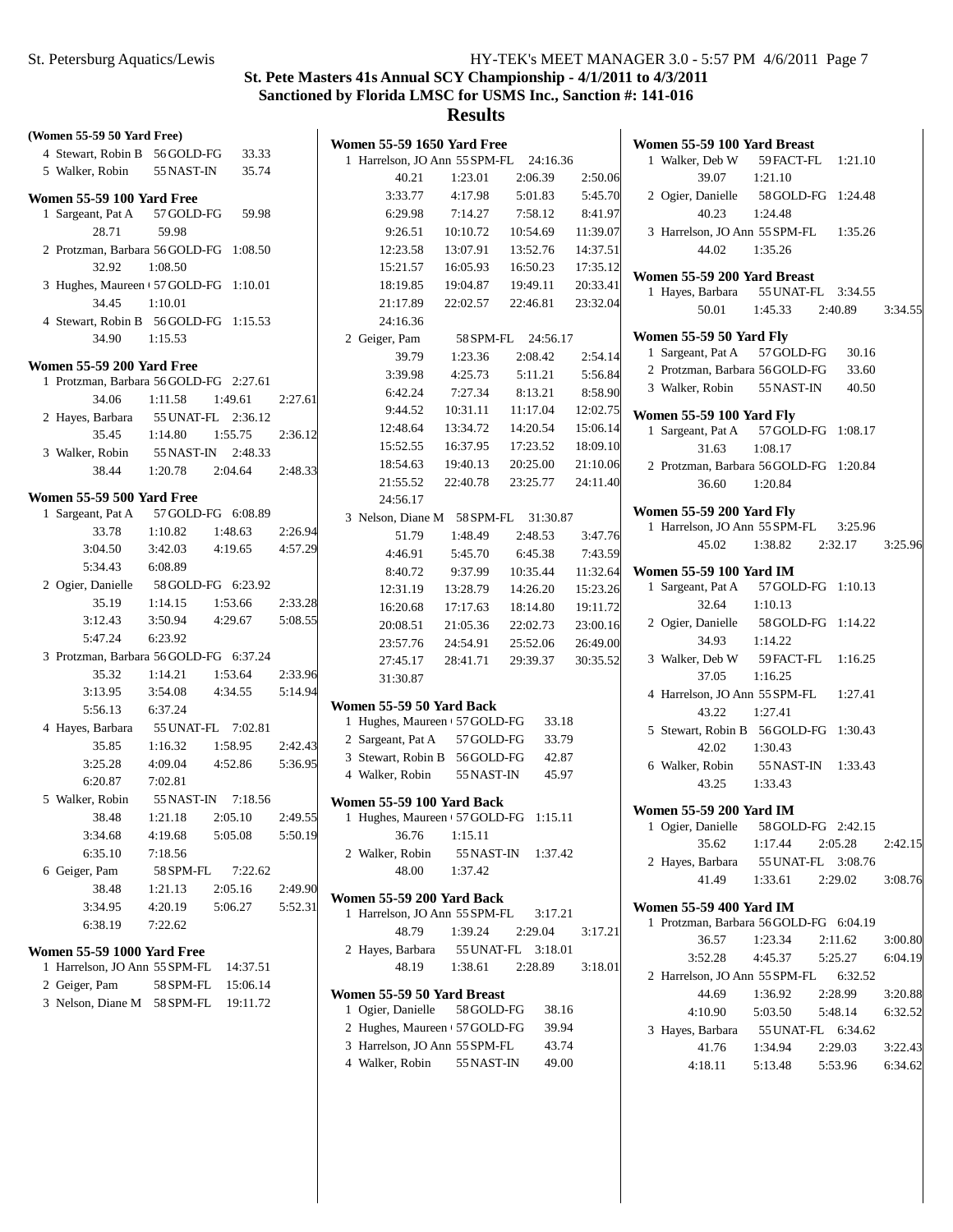| (Women 55-59 50 Yard Free)                            | <b>Women 55-59 1650 Yard Free</b>                       | Wom            |
|-------------------------------------------------------|---------------------------------------------------------|----------------|
| 4 Stewart, Robin B<br>56GOLD-FG<br>33.33              | 1 Harrelson, JO Ann 55 SPM-FL<br>24:16.36               | 1 <sup>1</sup> |
| 5 Walker, Robin<br>55 NAST-IN<br>35.74                | 40.21<br>1:23.01<br>2:06.39<br>2:50.06                  |                |
| <b>Women 55-59 100 Yard Free</b>                      | 5:45.70<br>3:33.77<br>4:17.98<br>5:01.83                | 2 <sub>0</sub> |
| 1 Sargeant, Pat A<br>57 GOLD-FG<br>59.98              | 6:29.98<br>7:14.27<br>7:58.12<br>8:41.97                |                |
| 28.71<br>59.98                                        | 9:26.51<br>10:10.72<br>10:54.69<br>11:39.07             | 3 <sub>1</sub> |
| 2 Protzman, Barbara 56GOLD-FG 1:08.50                 | 14:37.51<br>12:23.58<br>13:07.91<br>13:52.76            |                |
| 32.92<br>1:08.50                                      | 17:35.12<br>15:21.57<br>16:05.93<br>16:50.23            |                |
| 3 Hughes, Maureen ( 57 GOLD-FG 1:10.01                | 20:33.41<br>18:19.85<br>19:04.87<br>19:49.11            | Wom            |
| 34.45<br>1:10.01                                      | 21:17.89<br>22:02.57<br>22:46.81<br>23:32.04            | 1 <sub>1</sub> |
| 4 Stewart, Robin B 56 GOLD-FG 1:15.53                 | 24:16.36                                                |                |
| 34.90<br>1:15.53                                      | 2 Geiger, Pam<br>58 SPM-FL<br>24:56.17                  | Wom            |
|                                                       | 1:23.36<br>2:08.42<br>39.79<br>2:54.14                  | 1 <sup>5</sup> |
| <b>Women 55-59 200 Yard Free</b>                      |                                                         | 2 <sub>1</sub> |
| 1 Protzman, Barbara 56 GOLD-FG 2:27.61                | 3:39.98<br>4:25.73<br>5:11.21<br>5:56.84                | 3 <sup>1</sup> |
| 34.06<br>1:11.58<br>1:49.61                           | 7:27.34<br>8:58.90<br>6:42.24<br>8:13.21<br>2:27.61     |                |
| 2 Hayes, Barbara<br>55 UNAT-FL 2:36.12                | 9:44.52<br>10:31.11<br>11:17.04<br>12:02.75             | Wom            |
| 35.45<br>1:14.80<br>1:55.75                           | 13:34.72<br>15:06.14<br>12:48.64<br>14:20.54<br>2:36.12 | 1 <sup>5</sup> |
| 3 Walker, Robin<br>55 NAST-IN<br>2:48.33              | 18:09.10<br>15:52.55<br>16:37.95<br>17:23.52            |                |
| 38.44<br>1:20.78<br>2:04.64                           | 18:54.63<br>19:40.13<br>20:25.00<br>21:10.06<br>2:48.33 | 2 <sub>1</sub> |
|                                                       | 21:55.52<br>22:40.78<br>23:25.77<br>24:11.40            |                |
| <b>Women 55-59 500 Yard Free</b><br>1 Sargeant, Pat A | 24:56.17                                                | Wom            |
| 57 GOLD-FG 6:08.89                                    | 3 Nelson, Diane M 58 SPM-FL<br>31:30.87                 | 1 <sub>1</sub> |
| 33.78<br>1:10.82<br>1:48.63                           | 2:26.94<br>1:48.49<br>2:48.53<br>51.79<br>3:47.76       |                |
| 3:04.50<br>3:42.03<br>4:19.65                         | 4:57.29<br>4:46.91<br>5:45.70<br>6:45.38<br>7:43.59     |                |
| 5:34.43<br>6:08.89                                    | 8:40.72<br>9:37.99<br>10:35.44<br>11:32.64              | Wom            |
| 2 Ogier, Danielle<br>58 GOLD-FG 6:23.92               | 15:23.26<br>12:31.19<br>13:28.79<br>14:26.20            | 1 <sup>5</sup> |
| 35.19<br>1:14.15<br>1:53.66                           | 2:33.28<br>16:20.68<br>17:17.63<br>18:14.80<br>19:11.72 |                |
| 3:12.43<br>3:50.94<br>4:29.67                         | 5:08.55<br>20:08.51<br>21:05.36<br>22:02.73<br>23:00.16 | 2 <sub>0</sub> |
| 5:47.24<br>6:23.92                                    | 23:57.76<br>24:54.91<br>25:52.06<br>26:49.00            |                |
| 3 Protzman, Barbara 56GOLD-FG 6:37.24                 | 30:35.52<br>27:45.17<br>28:41.71<br>29:39.37            | 3 <sup>1</sup> |
| 35.32<br>1:14.21<br>1:53.64                           | 2:33.96<br>31:30.87                                     |                |
| 3:13.95<br>3:54.08<br>4:34.55                         | 5:14.94                                                 | 4 I            |
| 5:56.13<br>6:37.24                                    | Women 55-59 50 Yard Back                                |                |
| 4 Hayes, Barbara<br>55 UNAT-FL 7:02.81                | 1 Hughes, Maureen ( 57 GOLD-FG<br>33.18                 | 5 <sup>°</sup> |
| 35.85<br>1:58.95<br>1:16.32                           | 2 Sargeant, Pat A<br>57 GOLD-FG<br>33.79<br>2:42.43     |                |
| 3:25.28<br>4:09.04<br>4:52.86                         | 3 Stewart, Robin B 56 GOLD-FG<br>42.87<br>5:36.95       | 6 <sup>1</sup> |
| 6:20.87<br>7:02.81                                    | 4 Walker, Robin<br>55 NAST-IN<br>45.97                  |                |
| 5 Walker, Robin<br>55 NAST-IN<br>7:18.56              | Women 55-59 100 Yard Back                               |                |
| 38.48<br>2:05.10<br>1:21.18                           | 2:49.55<br>1 Hughes, Maureen (57 GOLD-FG 1:15.11        | Wom            |
| 3:34.68<br>4:19.68<br>5:05.08                         | 5:50.19<br>36.76<br>1:15.11                             | 1 <sup>1</sup> |
| 6:35.10<br>7:18.56                                    | 2 Walker, Robin<br>55 NAST-IN<br>1:37.42                |                |
| 6 Geiger, Pam<br>58 SPM-FL<br>7:22.62                 | 48.00<br>1:37.42                                        | 2 <sub>1</sub> |
| 38.48<br>2:05.16<br>1:21.13                           | 2:49.90                                                 |                |
| 3:34.95<br>4:20.19<br>5:06.27                         | <b>Women 55-59 200 Yard Back</b><br>5:52.31             | Wom            |
| 6:38.19<br>7:22.62                                    | 1 Harrelson, JO Ann 55 SPM-FL<br>3:17.21                | 1 I            |
|                                                       | 48.79<br>1:39.24<br>2:29.04<br>3:17.21                  |                |
| <b>Women 55-59 1000 Yard Free</b>                     | 2 Hayes, Barbara<br>55 UNAT-FL 3:18.01                  |                |
| 1 Harrelson, JO Ann 55 SPM-FL<br>14:37.51             | 48.19<br>1:38.61<br>2:28.89<br>3:18.01                  | 2 <sub>1</sub> |
| 2 Geiger, Pam<br>58 SPM-FL<br>15:06.14                | Women 55-59 50 Yard Breast                              |                |
| 3 Nelson, Diane M 58 SPM-FL<br>19:11.72               | 1 Ogier, Danielle<br>58 GOLD-FG<br>38.16                |                |
|                                                       | 2 Hughes, Maureen ( 57 GOLD-FG<br>39.94                 | 3 <sub>1</sub> |
|                                                       | 3 Harrelson, JO Ann 55 SPM-FL<br>43.74                  |                |
|                                                       | 4 Walker, Robin<br>55 NAST-IN<br>49.00                  |                |
|                                                       |                                                         |                |

|   | Women 55-59 100 Yard Breast                                     |                         |         |         |
|---|-----------------------------------------------------------------|-------------------------|---------|---------|
|   | 1 Walker, Deb W 59 FACT-FL 1:21.10<br>39.07 1:21.10             |                         |         |         |
|   |                                                                 |                         |         |         |
|   | 2 Ogier, Danielle                                               | 58 GOLD-FG 1:24.48      |         |         |
|   | 40.23                                                           | 1:24.48                 |         |         |
|   | 3 Harrelson, JO Ann 55 SPM-FL 1:35.26                           |                         |         |         |
|   | 44.02 1:35.26                                                   |                         |         |         |
|   |                                                                 |                         |         |         |
|   | Women 55-59 200 Yard Breast                                     |                         |         |         |
|   | 1 Hayes, Barbara 55 UNAT-FL 3:34.55                             |                         |         |         |
|   |                                                                 | 50.01 1:45.33 2:40.89   |         | 3:34.55 |
|   | <b>Women 55-59 50 Yard Fly</b>                                  |                         |         |         |
|   | 1 Sargeant, Pat A 57 GOLD-FG 30.16                              |                         |         |         |
|   | 2 Protzman, Barbara 56 GOLD-FG 33.60                            |                         |         |         |
|   | 3 Walker, Robin 55 NAST-IN 40.50                                |                         |         |         |
|   |                                                                 |                         |         |         |
|   | <b>Women 55-59 100 Yard Fly</b>                                 |                         |         |         |
|   | 1 Sargeant, Pat A 57 GOLD-FG 1:08.17                            |                         |         |         |
|   | 31.63 1:08.17                                                   |                         |         |         |
|   | 2 Protzman, Barbara 56 GOLD-FG 1:20.84                          |                         |         |         |
|   | 36.60 1:20.84                                                   |                         |         |         |
|   | <b>Women 55-59 200 Yard Fly</b>                                 |                         |         |         |
|   | 1 Harrelson, JO Ann 55 SPM-FL 3:25.96                           |                         |         |         |
|   |                                                                 | 45.02  1:38.82  2:32.17 |         | 3:25.96 |
|   |                                                                 |                         |         |         |
|   | Women 55-59 100 Yard IM<br>1 Sargeant, Pat A 57 GOLD-FG 1:10.13 |                         |         |         |
|   | 32.64                                                           | 1:10.13                 |         |         |
|   | 2 Ogier, Danielle 58 GOLD-FG 1:14.22                            |                         |         |         |
|   | 34.93 1:14.22                                                   |                         |         |         |
|   |                                                                 |                         |         |         |
|   | 3 Walker, Deb W 59 FACT-FL 1:16.25                              |                         |         |         |
|   | 37.05 1:16.25                                                   |                         |         |         |
|   | 4 Harrelson, JO Ann 55 SPM-FL 1:27.41                           |                         |         |         |
|   | 43.22                                                           | 1:27.41                 |         |         |
|   | 5 Stewart, Robin B 56 GOLD-FG 1:30.43                           |                         |         |         |
|   | 42.02                                                           | 1:30.43                 |         |         |
|   | 6 Walker, Robin<br>$43.25$ 1:33.43                              | 55 NAST-IN 1:33.43      |         |         |
|   |                                                                 |                         |         |         |
|   | <b>Women 55-59 200 Yard IM</b>                                  |                         |         |         |
| 1 | Ogier, Danielle                                                 | 58 GOLD-FG 2:42.15      |         |         |
|   | 35.62                                                           | 1:17.44                 | 2:05.28 | 2:42.15 |
|   | 2 Hayes, Barbara 55 UNAT-FL 3:08.76                             |                         |         |         |
|   | 41.49                                                           | 1:33.61                 | 2:29.02 | 3:08.76 |
|   | Women 55-59 400 Yard IM                                         |                         |         |         |
| 1 | Protzman, Barbara 56 GOLD-FG 6:04.19                            |                         |         |         |
|   | 36.57                                                           | 1:23.34                 | 2:11.62 | 3:00.80 |
|   | 3:52.28                                                         | 4:45.37                 | 5:25.27 | 6:04.19 |
|   | 2 Harrelson, JO Ann 55 SPM-FL 6:32.52                           |                         |         |         |
|   | 44.69                                                           | 1:36.92                 |         | 3:20.88 |
|   |                                                                 |                         | 2:28.99 |         |
|   | 4:10.90                                                         | 5:03.50                 | 5:48.14 | 6:32.52 |
|   | 3 Hayes, Barbara 55 UNAT-FL 6:34.62                             |                         |         |         |
|   | 41.76                                                           | 1:34.94                 | 2:29.03 | 3:22.43 |
|   | 4:18.11                                                         | 5:13.48                 | 5:53.96 | 6:34.62 |
|   |                                                                 |                         |         |         |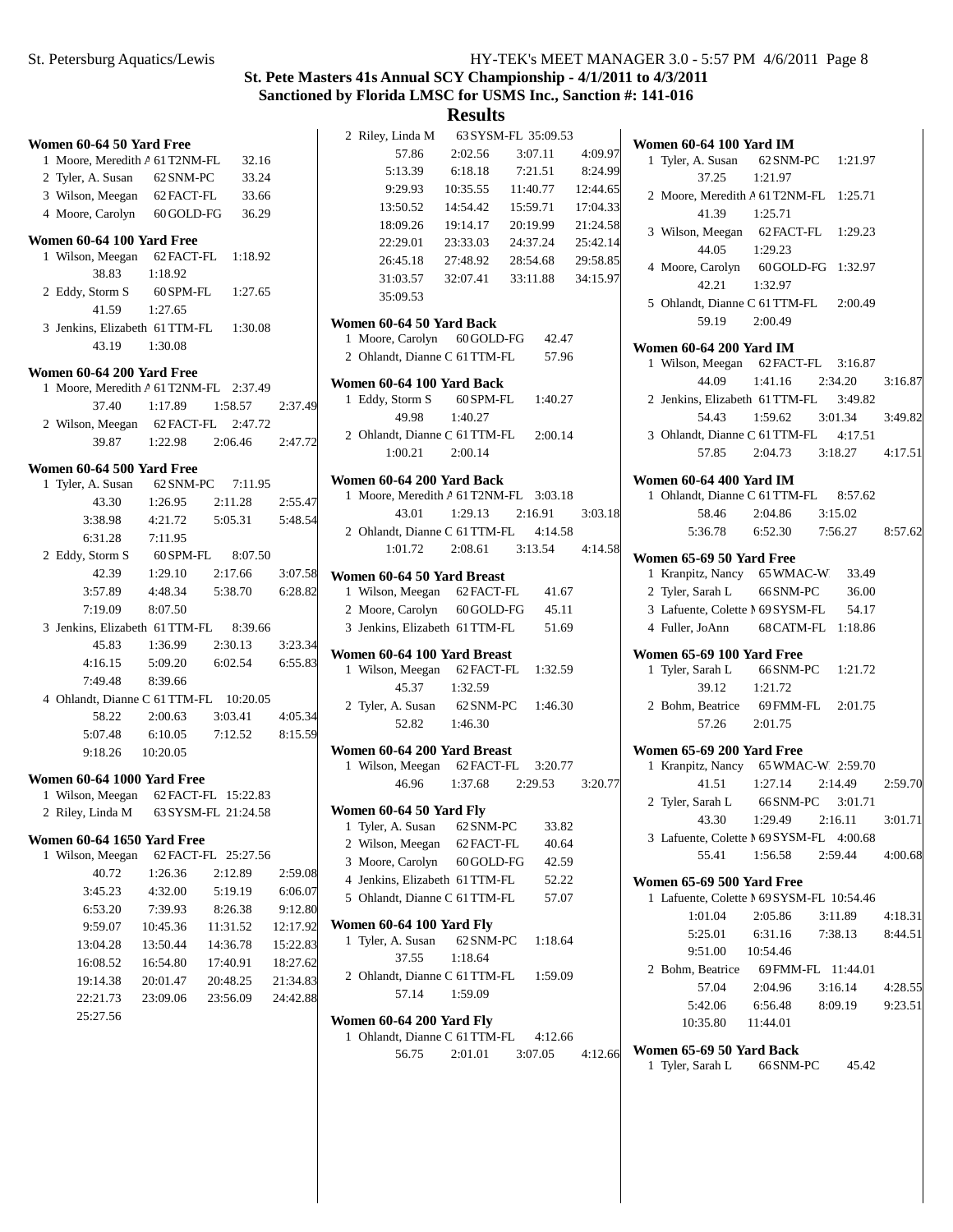## **Results**

|                                        |            |                     |          | 2 Riley, Linda M                                                    |            | 63 SYSM-FL 35:09.53 |          |                                                                 |            |                    |         |
|----------------------------------------|------------|---------------------|----------|---------------------------------------------------------------------|------------|---------------------|----------|-----------------------------------------------------------------|------------|--------------------|---------|
| Women 60-64 50 Yard Free               |            |                     |          | 57.86                                                               | 2:02.56    | 3:07.11             | 4:09.97  | Women 60-64 100 Yard IM                                         |            |                    |         |
| 1 Moore, Meredith A 61 T2NM-FL         |            | 32.16               |          | 5:13.39                                                             | 6:18.18    | 7:21.51             | 8:24.99  | 1 Tyler, A. Susan                                               | 62 SNM-PC  | 1:21.97            |         |
| 2 Tyler, A. Susan                      | 62 SNM-PC  | 33.24               |          | 9:29.93                                                             | 10:35.55   | 11:40.77            | 12:44.65 | 37.25                                                           | 1:21.97    |                    |         |
| 3 Wilson, Meegan                       | 62 FACT-FL | 33.66               |          | 13:50.52                                                            | 14:54.42   | 15:59.71            | 17:04.33 | 2 Moore, Meredith A 61 T2NM-FL 1:25.71                          |            |                    |         |
| 4 Moore, Carolyn                       | 60 GOLD-FG | 36.29               |          | 18:09.26                                                            | 19:14.17   | 20:19.99            | 21:24.58 | 41.39                                                           | 1:25.71    | 62 FACT-FL 1:29.23 |         |
| Women 60-64 100 Yard Free              |            |                     |          | 22:29.01                                                            | 23:33.03   | 24:37.24            | 25:42.14 | 3 Wilson, Meegan                                                |            |                    |         |
| 1 Wilson, Meegan                       | 62 FACT-FL | 1:18.92             |          | 26:45.18                                                            | 27:48.92   | 28:54.68            | 29:58.85 | 44.05                                                           | 1:29.23    |                    |         |
| 38.83                                  | 1:18.92    |                     |          | 31:03.57                                                            | 32:07.41   | 33:11.88            | 34:15.97 | 4 Moore, Carolyn                                                |            | 60 GOLD-FG 1:32.97 |         |
| 2 Eddy, Storm S                        | 60 SPM-FL  | 1:27.65             |          | 35:09.53                                                            |            |                     |          | 42.21                                                           | 1:32.97    |                    |         |
| 41.59                                  | 1:27.65    |                     |          |                                                                     |            |                     |          | 5 Ohlandt, Dianne C 61 TTM-FL                                   |            | 2:00.49            |         |
| 3 Jenkins, Elizabeth 61 TTM-FL         |            | 1:30.08             |          | Women 60-64 50 Yard Back                                            |            |                     |          | 59.19                                                           | 2:00.49    |                    |         |
| 43.19                                  | 1:30.08    |                     |          | 1 Moore, Carolyn                                                    | 60 GOLD-FG | 42.47               |          | <b>Women 60-64 200 Yard IM</b>                                  |            |                    |         |
| Women 60-64 200 Yard Free              |            |                     |          | 2 Ohlandt, Dianne C 61 TTM-FL                                       |            | 57.96               |          | 1 Wilson, Meegan                                                | 62 FACT-FL | 3:16.87            |         |
| 1 Moore, Meredith A 61 T2NM-FL 2:37.49 |            |                     |          | Women 60-64 100 Yard Back                                           |            |                     |          | 44.09                                                           | 1:41.16    | 2:34.20            | 3:16.87 |
| 37.40                                  | 1:17.89    | 1:58.57             | 2:37.49  | 1 Eddy, Storm S                                                     | 60 SPM-FL  | 1:40.27             |          | 2 Jenkins, Elizabeth 61 TTM-FL                                  |            | 3:49.82            |         |
| 2 Wilson, Meegan                       |            | 62 FACT-FL 2:47.72  |          | 49.98                                                               | 1:40.27    |                     |          | 54.43                                                           | 1:59.62    | 3:01.34            | 3:49.82 |
| 39.87                                  | 1:22.98    | 2:06.46             | 2:47.72  | 2 Ohlandt, Dianne C 61 TTM-FL                                       |            | 2:00.14             |          | 3 Ohlandt, Dianne C 61 TTM-FL                                   |            | 4:17.51            |         |
|                                        |            |                     |          | 1:00.21                                                             | 2:00.14    |                     |          | 57.85                                                           | 2:04.73    | 3:18.27            | 4:17.51 |
| Women 60-64 500 Yard Free              |            |                     |          |                                                                     |            |                     |          |                                                                 |            |                    |         |
| 1 Tyler, A. Susan                      | 62 SNM-PC  | 7:11.95             |          | Women 60-64 200 Yard Back<br>1 Moore, Meredith A 61 T2NM-FL 3:03.18 |            |                     |          | <b>Women 60-64 400 Yard IM</b><br>1 Ohlandt, Dianne C 61 TTM-FL |            | 8:57.62            |         |
| 43.30                                  | 1:26.95    | 2:11.28             | 2:55.47  | 43.01                                                               | 1:29.13    | 2:16.91             | 3:03.18  | 58.46                                                           | 2:04.86    | 3:15.02            |         |
| 3:38.98                                | 4:21.72    | 5:05.31             | 5:48.54  | 2 Ohlandt, Dianne C 61 TTM-FL                                       |            | 4:14.58             |          | 5:36.78                                                         | 6:52.30    | 7:56.27            | 8:57.62 |
| 6:31.28                                | 7:11.95    |                     |          | 1:01.72                                                             | 2:08.61    | 3:13.54             | 4:14.58  |                                                                 |            |                    |         |
| 2 Eddy, Storm S                        | 60 SPM-FL  | 8:07.50             |          |                                                                     |            |                     |          | Women 65-69 50 Yard Free                                        |            |                    |         |
| 42.39                                  | 1:29.10    | 2:17.66             | 3:07.58  | Women 60-64 50 Yard Breast                                          |            |                     |          | 1 Kranpitz, Nancy                                               | 65 WMAC-W  | 33.49              |         |
| 3:57.89                                | 4:48.34    | 5:38.70             | 6:28.82  | 1 Wilson, Meegan 62 FACT-FL                                         |            | 41.67               |          | 2 Tyler, Sarah L                                                | 66 SNM-PC  | 36.00              |         |
| 7:19.09                                | 8:07.50    |                     |          | 2 Moore, Carolyn                                                    | 60 GOLD-FG | 45.11               |          | 3 Lafuente, Colette M 69 SYSM-FL                                |            | 54.17              |         |
| 3 Jenkins, Elizabeth 61 TTM-FL         |            | 8:39.66             |          | 3 Jenkins, Elizabeth 61 TTM-FL                                      |            | 51.69               |          | 4 Fuller, JoAnn                                                 |            | 68 CATM-FL 1:18.86 |         |
| 45.83                                  | 1:36.99    | 2:30.13             | 3:23.34  | Women 60-64 100 Yard Breast                                         |            |                     |          | Women 65-69 100 Yard Free                                       |            |                    |         |
| 4:16.15                                | 5:09.20    | 6:02.54             | 6:55.83  | 1 Wilson, Meegan                                                    | 62 FACT-FL | 1:32.59             |          | 1 Tyler, Sarah L                                                | 66 SNM-PC  | 1:21.72            |         |
| 7:49.48                                | 8:39.66    |                     |          | 45.37                                                               | 1:32.59    |                     |          | 39.12                                                           | 1:21.72    |                    |         |
| 4 Ohlandt, Dianne C 61 TTM-FL 10:20.05 |            |                     |          | 2 Tyler, A. Susan                                                   | 62 SNM-PC  | 1:46.30             |          | 2 Bohm, Beatrice                                                | 69 FMM-FL  | 2:01.75            |         |
| 58.22                                  | 2:00.63    | 3:03.41             | 4:05.34  | 52.82                                                               | 1:46.30    |                     |          | 57.26                                                           | 2:01.75    |                    |         |
| 5:07.48                                | 6:10.05    | 7:12.52             | 8:15.59  |                                                                     |            |                     |          |                                                                 |            |                    |         |
| 9:18.26                                | 10:20.05   |                     |          | Women 60-64 200 Yard Breast                                         |            |                     |          | Women 65-69 200 Yard Free                                       |            |                    |         |
| Women 60-64 1000 Yard Free             |            |                     |          | 1 Wilson, Meegan 62 FACT-FL                                         |            | 3:20.77             |          | 1 Kranpitz, Nancy                                               |            | 65 WMAC-W 2:59.70  |         |
| 1 Wilson, Meegan 62 FACT-FL 15:22.83   |            |                     |          | 46.96                                                               | 1:37.68    | 2:29.53             | 3:20.77  | 41.51                                                           | 1:27.14    | 2:14.49            | 2:59.70 |
| 2 Riley, Linda M                       |            | 63 SYSM-FL 21:24.58 |          | Women 60-64 50 Yard Fly                                             |            |                     |          | 2 Tyler, Sarah L                                                |            | 66 SNM-PC 3:01.71  |         |
|                                        |            |                     |          | 1 Tyler, A. Susan                                                   | 62 SNM-PC  | 33.82               |          | 43.30                                                           | 1:29.49    | 2:16.11            | 3:01.71 |
| <b>Women 60-64 1650 Yard Free</b>      |            |                     |          | 2 Wilson, Meegan                                                    | 62 FACT-FL | 40.64               |          | 3 Lafuente, Colette 1 69 SYSM-FL 4:00.68                        |            |                    |         |
| 1 Wilson, Meegan                       |            | 62 FACT-FL 25:27.56 |          | 3 Moore, Carolyn                                                    | 60 GOLD-FG | 42.59               |          | 55.41                                                           | 1:56.58    | 2:59.44            | 4:00.68 |
| 40.72                                  | 1:26.36    | 2:12.89             | 2:59.08  | 4 Jenkins, Elizabeth 61 TTM-FL                                      |            | 52.22               |          | Women 65-69 500 Yard Free                                       |            |                    |         |
| 3:45.23                                | 4:32.00    | 5:19.19             | 6:06.07  | 5 Ohlandt, Dianne C 61 TTM-FL                                       |            | 57.07               |          | 1 Lafuente, Colette I 69 SYSM-FL 10:54.46                       |            |                    |         |
| 6:53.20                                | 7:39.93    | 8:26.38             | 9:12.80  |                                                                     |            |                     |          | 1:01.04                                                         | 2:05.86    | 3:11.89            | 4:18.31 |
| 9:59.07                                | 10:45.36   | 11:31.52            | 12:17.92 | <b>Women 60-64 100 Yard Fly</b>                                     |            |                     |          | 5:25.01                                                         | 6:31.16    | 7:38.13            | 8:44.51 |
| 13:04.28                               | 13:50.44   | 14:36.78            | 15:22.83 | 1 Tyler, A. Susan                                                   | 62 SNM-PC  | 1:18.64             |          | 9:51.00                                                         | 10:54.46   |                    |         |
| 16:08.52                               | 16:54.80   | 17:40.91            | 18:27.62 | 37.55                                                               | 1:18.64    |                     |          | 2 Bohm, Beatrice                                                |            | 69 FMM-FL 11:44.01 |         |
| 19:14.38                               | 20:01.47   | 20:48.25            | 21:34.83 | 2 Ohlandt, Dianne C 61 TTM-FL                                       |            | 1:59.09             |          | 57.04                                                           | 2:04.96    | 3:16.14            | 4:28.55 |
| 22:21.73                               | 23:09.06   | 23:56.09            | 24:42.88 | 57.14                                                               | 1:59.09    |                     |          | 5:42.06                                                         | 6:56.48    | 8:09.19            | 9:23.51 |
| 25:27.56                               |            |                     |          | Women 60-64 200 Yard Fly                                            |            |                     |          | 10:35.80                                                        | 11:44.01   |                    |         |
|                                        |            |                     |          | 1 Ohlandt, Dianne C 61 TTM-FL                                       |            | 4:12.66             |          |                                                                 |            |                    |         |
|                                        |            |                     |          | 56.75                                                               | 2:01.01    | 3:07.05             | 4:12.66  | Women 65-69 50 Yard Back                                        |            |                    |         |

**d Back**<br>66 SNM-PC 1 Tyler, Sarah L 66 SNM-PC 45.42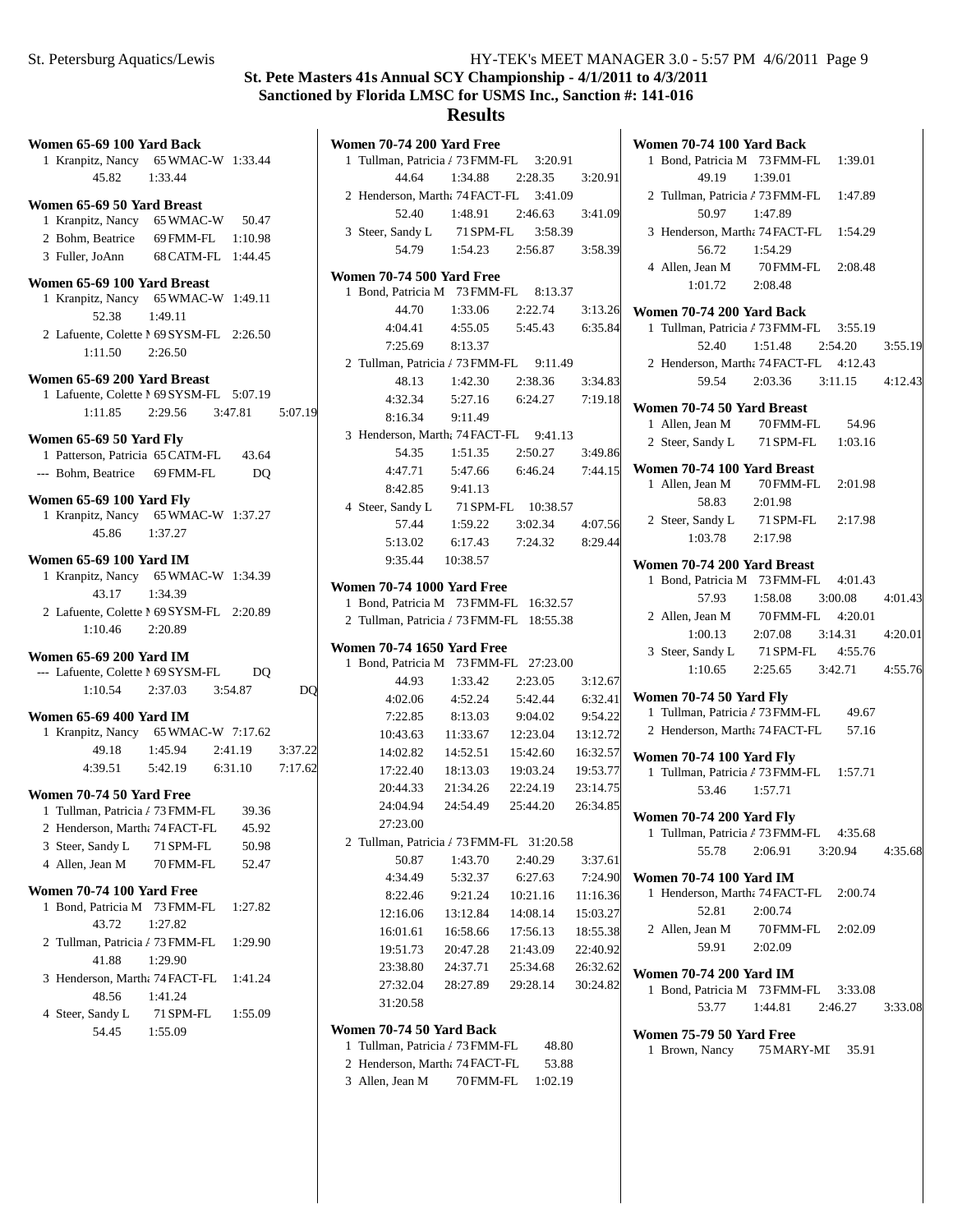**Women 70-74 200 Yard Free**

|   | Women 65-69 100 Yard Back                                            |                   |                |    |
|---|----------------------------------------------------------------------|-------------------|----------------|----|
|   | 1 Kranpitz, Nancy 65 WMAC-W 1:33.44                                  |                   |                |    |
|   | 45.82 1:33.44                                                        |                   |                |    |
|   | Women 65-69 50 Yard Breast                                           |                   |                |    |
|   | 1 Kranpitz, Nancy 65 WMAC-W 50.47                                    |                   |                |    |
|   | 2 Bohm, Beatrice                                                     | 69 FMM-FL 1:10.98 |                |    |
|   | 3 Fuller, JoAnn 68 CATM-FL 1:44.45                                   |                   |                |    |
|   |                                                                      |                   |                |    |
|   | Women 65-69 100 Yard Breast                                          |                   |                |    |
|   | 1 Kranpitz, Nancy 65 WMAC-W 1:49.11                                  |                   |                |    |
|   | 52.38                                                                | 1:49.11           |                |    |
|   | 2 Lafuente, Colette M 69 SYSM-FL 2:26.50                             |                   |                |    |
|   | 1:11.50  2:26.50                                                     |                   |                |    |
|   | Women 65-69 200 Yard Breast                                          |                   |                |    |
|   | 1 Lafuente, Colette M 69 SYSM-FL 5:07.19                             |                   |                |    |
|   | 1:11.85 2:29.56 3:47.81 5:07.19                                      |                   |                |    |
|   |                                                                      |                   |                |    |
|   | Women 65-69 50 Yard Fly                                              |                   |                |    |
|   | 1 Patterson, Patricia 65 CATM-FL 43.64                               |                   |                |    |
|   | --- Bohm, Beatrice 69 FMM-FL                                         |                   | D <sub>O</sub> |    |
|   | Women 65-69 100 Yard Fly                                             |                   |                |    |
|   | 1 Kranpitz, Nancy 65 WMAC-W 1:37.27                                  |                   |                |    |
|   | 45.86                                                                | 1:37.27           |                |    |
|   | Women 65-69 100 Yard IM                                              |                   |                |    |
|   | 1 Kranpitz, Nancy 65 WMAC-W 1:34.39                                  |                   |                |    |
|   | 43.17                                                                | 1:34.39           |                |    |
|   | 2 Lafuente, Colette M 69 SYSM-FL 2:20.89                             |                   |                |    |
|   | $1:10.46$ $2:20.89$                                                  |                   |                |    |
|   |                                                                      |                   |                |    |
|   | <b>Women 65-69 200 Yard IM</b>                                       |                   |                |    |
|   | --- Lafuente, Colette 1 69 SYSM-FL                                   |                   | DO             |    |
|   | $1:10.54$ $2:37.03$ $3:54.87$                                        |                   |                | DQ |
|   | Women 65-69 400 Yard IM                                              |                   |                |    |
|   |                                                                      |                   |                |    |
|   | 1 Kranpitz, Nancy 65 WMAC-W 7:17.62<br>49.18 1:45.94 2:41.19 3:37.22 |                   |                |    |
|   | 4:39.51   5:42.19   6:31.10   7:17.62                                |                   |                |    |
|   |                                                                      |                   |                |    |
|   | Women 70-74 50 Yard Free                                             |                   |                |    |
|   | 1 Tullman, Patricia / 73 FMM-FL 39.36                                |                   |                |    |
|   | 2 Henderson, Martha 74 FACT-FL                                       |                   | 45.92          |    |
|   | 3 Steer, Sandy L                                                     | 71 SPM-FL         | 50.98          |    |
|   | 4 Allen, Jean M                                                      | 70 FMM-FL         | 52.47          |    |
|   | Women 70-74 100 Yard Free                                            |                   |                |    |
| 1 | Bond, Patricia M 73 FMM-FL                                           |                   | 1:27.82        |    |
|   | 43.72                                                                | 1:27.82           |                |    |
|   | 2 Tullman, Patricia / 73 FMM-FL                                      |                   | 1:29.90        |    |
|   | 41.88                                                                | 1:29.90           |                |    |
| 3 | Henderson, Martha 74 FACT-FL 1:41.24                                 |                   |                |    |
|   | 48.56                                                                | 1:41.24           |                |    |
|   | 4 Steer, Sandy L                                                     | 71 SPM-FL 1:55.09 |                |    |
|   | 54.45                                                                |                   |                |    |
|   |                                                                      | 1:55.09           |                |    |

| 1 Tullman, Patricia / 73 FMM-FL 3:20.91  |                     |                                        |          |
|------------------------------------------|---------------------|----------------------------------------|----------|
| 44.64                                    |                     | 1:34.88 2:28.35 3:20.91                |          |
| 2 Henderson, Martha 74 FACT-FL 3:41.09   |                     |                                        |          |
|                                          |                     | 52.40 1:48.91 2:46.63 3:41.09          |          |
| 3 Steer, Sandy L 71 SPM-FL 3:58.39       |                     |                                        |          |
|                                          |                     | 54.79   1:54.23   2:56.87   3:58.39    |          |
| Women 70-74 500 Yard Free                |                     |                                        |          |
| 1 Bond, Patricia M 73 FMM-FL 8:13.37     |                     |                                        |          |
| 44.70                                    |                     | $1:33.06$ $2:22.74$ $3:13.26$          |          |
|                                          |                     | 4:04.41 4:55.05 5:45.43 6:35.84        |          |
| 7:25.69 8:13.37                          |                     |                                        |          |
| 2 Tullman, Patricia / 73 FMM-FL 9:11.49  |                     |                                        |          |
| 48.13                                    |                     | 1:42.30 2:38.36 3:34.83                |          |
|                                          |                     | 4:32.34 5:27.16 6:24.27 7:19.18        |          |
| 8:16.34 9:11.49                          |                     |                                        |          |
| 3 Henderson, Martha 74 FACT-FL 9:41.13   |                     |                                        |          |
| 54.35                                    | 1:51.35             | 2:50.27 3:49.86                        |          |
| 4:47.71                                  |                     | 5:47.66 6:46.24 7:44.15                |          |
| 8:42.85                                  | 9:41.13             |                                        |          |
| 4 Steer, Sandy L                         |                     | 71 SPM-FL 10:38.57                     |          |
| 57.44                                    |                     | $1:59.22$ $3:02.34$ $4:07.56$          |          |
| 5:13.02                                  |                     | 6:17.43 7:24.32                        | 8:29.44  |
|                                          | 9:35.44 10:38.57    |                                        |          |
| <b>Women 70-74 1000 Yard Free</b>        |                     |                                        |          |
| 1 Bond, Patricia M 73 FMM-FL 16:32.57    |                     |                                        |          |
|                                          |                     |                                        |          |
| 2 Tullman, Patricia / 73 FMM-FL 18:55.38 |                     |                                        |          |
| <b>Women 70-74 1650 Yard Free</b>        |                     |                                        |          |
| 1 Bond, Patricia M 73 FMM-FL 27:23.00    |                     |                                        |          |
| 44.93                                    | $1:33.42$ $2:23.05$ |                                        | 3:12.67  |
|                                          |                     | 4:02.06 4:52.24 5:42.44 6:32.41        |          |
|                                          |                     | 7:22.85 8:13.03 9:04.02 9:54.22        |          |
|                                          |                     | 10:43.63  11:33.67  12:23.04  13:12.72 |          |
|                                          |                     | 14:02.82  14:52.51  15:42.60  16:32.57 |          |
|                                          |                     | 17:22.40  18:13.03  19:03.24  19:53.77 |          |
| 20:44.33                                 | 21:34.26            | 22:24.19 23:14.75                      |          |
| 24:04.94                                 |                     | 24:54.49 25:44.20 26:34.85             |          |
| 27:23.00                                 |                     |                                        |          |
| 2 Tullman, Patricia / 73 FMM-FL 31:20.58 |                     |                                        |          |
| 50.87                                    | 1:43.70             | 2:40.29                                | 3:37.61  |
| 4:34.49                                  | 5:32.37             | 6:27.63                                | 7:24.90  |
| 8:22.46                                  | 9:21.24             | 10:21.16                               | 11:16.36 |
| 12:16.06                                 | 13:12.84            | 14:08.14                               | 15:03.27 |
| 16:01.61                                 | 16:58.66            | 17:56.13                               | 18:55.38 |
| 19:51.73                                 | 20:47.28            | 21:43.09                               | 22:40.92 |
| 23:38.80                                 | 24:37.71            | 25:34.68                               | 26:32.62 |
| 27:32.04<br>31:20.58                     | 28:27.89            | 29:28.14                               | 30:24.82 |

#### **Women 70-74 50 Yard Back**

1 Tullman, Patricia / 73 FMM-FL 48.80

- 2 Henderson, Martha 74 FACT-FL 53.88
- 3 Allen, Jean M 70 FMM-FL 1:02.19

|   | Women 70-74 100 Yard Back                                                                                |                                         |         |
|---|----------------------------------------------------------------------------------------------------------|-----------------------------------------|---------|
|   | 1 Bond, Patricia M 73 FMM-FL 1:39.01                                                                     |                                         |         |
|   | 49.19                                                                                                    | 1:39.01                                 |         |
|   | 2 Tullman, Patricia / 73 FMM-FL 1:47.89                                                                  |                                         |         |
|   | 50.97 1:47.89                                                                                            |                                         |         |
|   | 3 Henderson, Martha 74 FACT-FL 1:54.29                                                                   |                                         |         |
|   | 56.72 1:54.29                                                                                            |                                         |         |
|   | 4 Allen, Jean M 70 FMM-FL 2:08.48                                                                        |                                         |         |
|   | $1:01.72$ $2:08.48$                                                                                      |                                         |         |
|   |                                                                                                          |                                         |         |
|   | Women 70-74 200 Yard Back                                                                                |                                         |         |
|   | 1 Tullman, Patricia / 73 FMM-FL 3:55.19                                                                  |                                         |         |
|   |                                                                                                          | 52.40 1:51.48 2:54.20 3:55.19           |         |
|   | 2 Henderson, Martha 74 FACT-FL 4:12.43                                                                   |                                         |         |
|   |                                                                                                          | 59.54 2:03.36 3:11.15 4:12.43           |         |
|   |                                                                                                          |                                         |         |
|   | Women 70-74 50 Yard Breast                                                                               |                                         |         |
|   | 1 Allen, Jean M 70 FMM-FL 54.96                                                                          |                                         |         |
|   | 2 Steer, Sandy L 71 SPM-FL 1:03.16                                                                       |                                         |         |
|   | Women 70-74 100 Yard Breast                                                                              |                                         |         |
|   | 1 Allen, Jean M 70 FMM-FL 2:01.98                                                                        |                                         |         |
|   | 58.83                                                                                                    | 2:01.98                                 |         |
|   | 2 Steer, Sandy L 71 SPM-FL 2:17.98                                                                       |                                         |         |
|   | $1:03.78$ $2:17.98$                                                                                      |                                         |         |
|   |                                                                                                          |                                         |         |
|   | Women 70-74 200 Yard Breast                                                                              |                                         |         |
|   | 1 Bond, Patricia M 73 FMM-FL 4:01.43                                                                     |                                         |         |
|   |                                                                                                          |                                         |         |
|   | $57.93 \qquad 1:58.08 \qquad 3:00.08 \qquad 4:01.43$ 2 Allen, Jean M $\qquad 70$ FMM-FL $\qquad 4:20.01$ |                                         |         |
|   | 1:00.13                                                                                                  | 2:07.08 3:14.31 4:20.01                 |         |
|   | 3 Steer, Sandy L 71 SPM-FL 4:55.76                                                                       |                                         |         |
|   |                                                                                                          | $1:10.65$ $2:25.65$ $3:42.71$ $4:55.76$ |         |
|   |                                                                                                          |                                         |         |
|   | Women 70-74 50 Yard Fly                                                                                  |                                         |         |
|   | 1 Tullman, Patricia / 73 FMM-FL 49.67                                                                    |                                         |         |
|   | 2 Henderson, Martha 74 FACT-FL 57.16                                                                     |                                         |         |
|   |                                                                                                          |                                         |         |
|   | <b>Women 70-74 100 Yard Fly</b>                                                                          |                                         |         |
|   | 1 Tullman, Patricia / 73 FMM-FL 1:57.71                                                                  |                                         |         |
|   | 53.46 1:57.71                                                                                            |                                         |         |
|   | <b>Women 70-74 200 Yard Fly</b>                                                                          |                                         |         |
|   | 1 Tullman, Patricia / 73 FMM-FL 4:35.68                                                                  |                                         |         |
|   | 55.78                                                                                                    | 2:06.91 3:20.94 4:35.68                 |         |
|   |                                                                                                          |                                         |         |
|   | <b>Women 70-74 100 Yard IM</b>                                                                           |                                         |         |
|   | 1 Henderson, Martha 74 FACT-FL 2:00.74                                                                   |                                         |         |
|   | 52.81                                                                                                    | 2:00.74                                 |         |
|   | 2 Allen, Jean M 70 FMM-FL 2:02.09                                                                        |                                         |         |
|   | 59.91 2:02.09                                                                                            |                                         |         |
|   |                                                                                                          |                                         |         |
|   | <b>Women 70-74 200 Yard IM</b>                                                                           |                                         |         |
|   | 1 Bond, Patricia M 73 FMM-FL 3:33.08                                                                     | 53.77 1:44.81 2:46.27                   |         |
|   |                                                                                                          |                                         | 3:33.08 |
|   | Women 75-79 50 Yard Free                                                                                 |                                         |         |
| 1 | Brown, Nancy 75 MARY-MI 35.91                                                                            |                                         |         |
|   |                                                                                                          |                                         |         |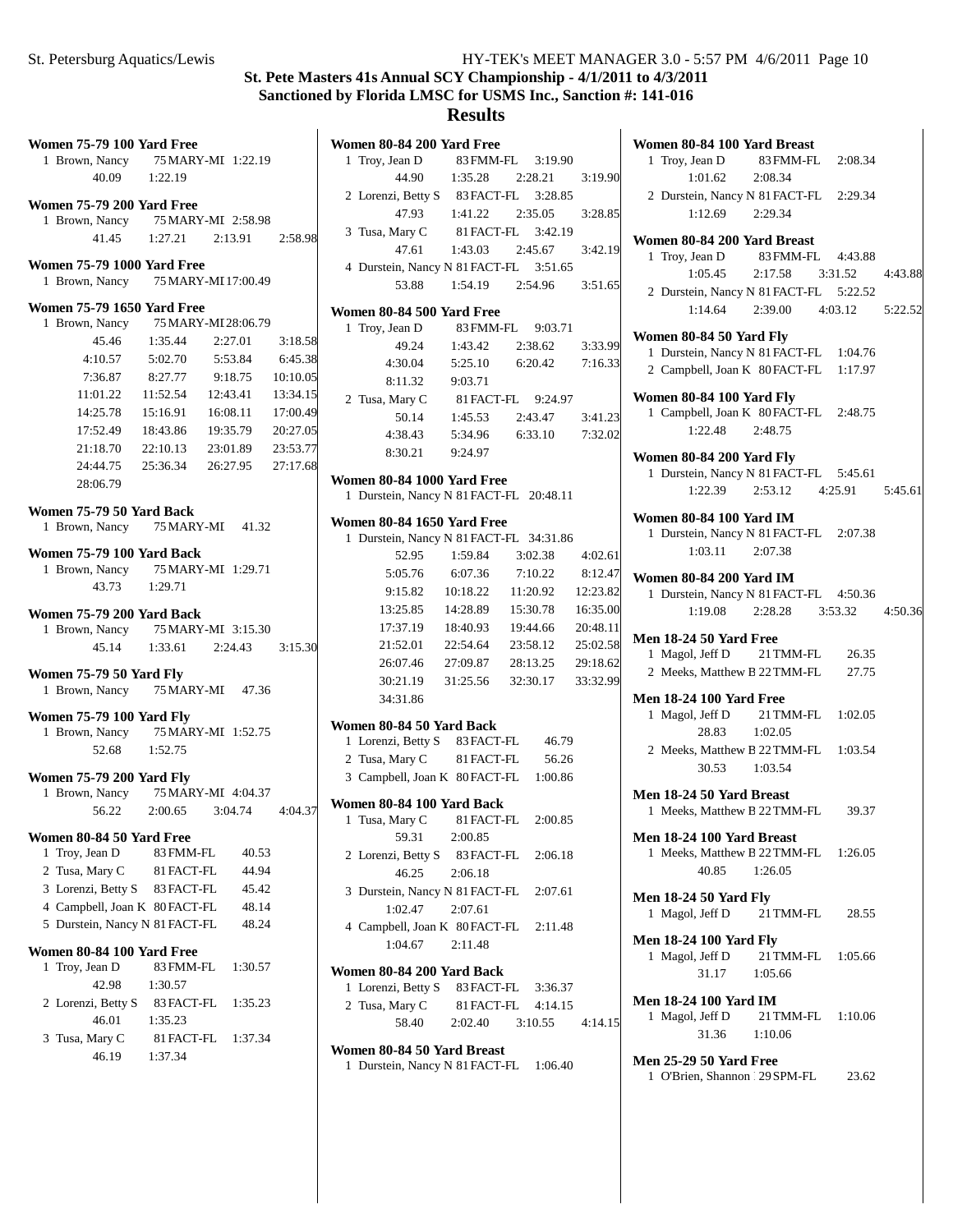# **Results**

|   | <b>Women 75-79 100 Yard Free</b>                                        |                               |         |                 |
|---|-------------------------------------------------------------------------|-------------------------------|---------|-----------------|
|   | 1 Brown, Nancy 75 MARY-MI 1:22.19<br>40.09 1:22.19                      |                               |         |                 |
|   | <b>Women 75-79 200 Yard Free</b>                                        |                               |         |                 |
|   | 1 Brown, Nancy 75 MARY-MI 2:58.98                                       |                               |         |                 |
|   |                                                                         | 41.45 1:27.21 2:13.91 2:58.98 |         |                 |
|   | <b>Women 75-79 1000 Yard Free</b><br>1 Brown, Nancy 75 MARY-MI 17:00.49 |                               |         |                 |
|   | <b>Women 75-79 1650 Yard Free</b>                                       |                               |         |                 |
|   | 1 Brown, Nancy 75 MARY-MI 28:06.79<br>45.46 1:35.44 2:27.01             |                               |         | 3:18.58         |
|   | $4:10.57$ $5:02.70$                                                     |                               |         | 5:53.84 6:45.38 |
|   | 7:36.87 8:27.77 9:18.75 10:10.05                                        |                               |         |                 |
|   | 11:01.22  11:52.54  12:43.41                                            |                               |         | 13:34.15        |
|   | 14:25.78  15:16.91  16:08.11  17:00.49                                  |                               |         |                 |
|   | 17:52.49  18:43.86  19:35.79  20:27.05                                  |                               |         |                 |
|   | 21:18.70  22:10.13  23:01.89  23:53.77                                  |                               |         |                 |
|   | 24:44.75  25:36.34  26:27.95  27:17.68                                  |                               |         |                 |
|   | 28:06.79                                                                |                               |         |                 |
|   | Women 75-79 50 Yard Back                                                |                               |         |                 |
|   | 1 Brown, Nancy 75 MARY-MI 41.32                                         |                               |         |                 |
|   | Women 75-79 100 Yard Back                                               |                               |         |                 |
|   | 1 Brown, Nancy 75 MARY-MI 1:29.71                                       |                               |         |                 |
|   | 43.73 1:29.71                                                           |                               |         |                 |
|   |                                                                         |                               |         |                 |
|   | <b>Women 75-79 200 Yard Back</b><br>1 Brown, Nancy 75 MARY-MI 3:15.30   |                               |         |                 |
|   |                                                                         | 45.14 1:33.61 2:24.43 3:15.30 |         |                 |
|   |                                                                         |                               |         |                 |
|   | Women 75-79 50 Yard Fly<br>1 Brown, Nancy 75 MARY-MI 47.36              |                               |         |                 |
|   | <b>Women 75-79 100 Yard Fly</b>                                         |                               |         |                 |
|   | 1 Brown, Nancy 75 MARY-MI 1:52.75                                       |                               |         |                 |
|   | 52.68 1:52.75                                                           |                               |         |                 |
|   | <b>Women 75-79 200 Yard Fly</b>                                         |                               |         |                 |
|   | 1 Brown, Nancy 75 MARY-MI 4:04.37                                       |                               |         |                 |
|   |                                                                         | 56.22 2:00.65                 |         | 3:04.74 4:04.37 |
|   | Women 80-84 50 Yard Free                                                |                               |         |                 |
|   | 1 Troy, Jean D                                                          | 83 FMM-FL                     | 40.53   |                 |
|   | 2 Tusa, Mary C 81 FACT-FL                                               |                               | 44.94   |                 |
|   | 3 Lorenzi, Betty S 83 FACT-FL                                           |                               | 45.42   |                 |
|   | 4 Campbell, Joan K 80 FACT-FL                                           |                               | 48.14   |                 |
|   | 5 Durstein, Nancy N 81 FACT-FL                                          |                               | 48.24   |                 |
|   |                                                                         |                               |         |                 |
|   | Women 80-84 100 Yard Free                                               |                               |         |                 |
| 1 | Troy, Jean D                                                            | 83 FMM-FL                     | 1:30.57 |                 |
|   | 42.98                                                                   | 1:30.57                       |         |                 |
|   | 2 Lorenzi, Betty S 83 FACT-FL                                           |                               | 1:35.23 |                 |
|   | 46.01                                                                   | 1:35.23                       |         |                 |
|   | 3 Tusa, Mary C 81 FACT-FL 1:37.34                                       |                               |         |                 |
|   | 46.19                                                                   | 1:37.34                       |         |                 |
|   |                                                                         |                               |         |                 |

|              | Women 80-84 200 Yard Free               |                           |          |                               |
|--------------|-----------------------------------------|---------------------------|----------|-------------------------------|
|              | 1 Troy, Jean D                          | 83 FMM-FL 3:19.90         |          |                               |
|              |                                         | 44.90 1:35.28 2:28.21     |          | 3:19.90                       |
|              | 2 Lorenzi, Betty S 83 FACT-FL 3:28.85   |                           |          |                               |
|              |                                         | 47.93   1:41.22   2:35.05 |          | 3:28.85                       |
|              | 3 Tusa, Mary C 81 FACT-FL 3:42.19       |                           |          |                               |
|              | 47.61                                   | 1:43.03 2:45.67           |          | 3:42.19                       |
|              | 4 Durstein, Nancy N 81 FACT-FL 3:51.65  |                           |          |                               |
|              | 53.88                                   |                           |          | 1:54.19 2:54.96 3:51.65       |
|              |                                         |                           |          |                               |
|              | Women 80-84 500 Yard Free               |                           |          |                               |
|              | 1 Troy, Jean D                          | 83 FMM-FL 9:03.71         |          | 49.24 1:43.42 2:38.62 3:33.99 |
|              |                                         |                           |          |                               |
|              | 4:30.04 5:25.10 6:20.42 7:16.33         |                           |          |                               |
|              | 8:11.32 9:03.71                         |                           |          |                               |
|              | 2 Tusa, Mary C 81 FACT-FL 9:24.97       |                           |          |                               |
|              |                                         |                           |          | 50.14 1:45.53 2:43.47 3:41.23 |
|              | 4:38.43                                 |                           |          | 5:34.96 6:33.10 7:32.02       |
|              | 8:30.21 9:24.97                         |                           |          |                               |
|              | <b>Women 80-84 1000 Yard Free</b>       |                           |          |                               |
|              | 1 Durstein, Nancy N 81 FACT-FL 20:48.11 |                           |          |                               |
|              |                                         |                           |          |                               |
|              | <b>Women 80-84 1650 Yard Free</b>       |                           |          |                               |
|              | 1 Durstein, Nancy N 81 FACT-FL 34:31.86 | 1:59.84                   |          |                               |
|              | 52.95                                   |                           | 3:02.38  | 4:02.61                       |
|              | 5:05.76                                 | 6:07.36                   | 7:10.22  | 8:12.47                       |
|              | 9:15.82                                 | 10:18.22                  | 11:20.92 | 12:23.82                      |
|              | 13:25.85                                | 14:28.89                  | 15:30.78 | 16:35.00                      |
|              | 17:37.19                                | 18:40.93                  | 19:44.66 | 20:48.11                      |
|              | 21:52.01 22:54.64                       |                           | 23:58.12 | 25:02.58                      |
|              | 26:07.46 27:09.87 28:13.25 29:18.62     |                           |          |                               |
|              | 30:21.19 31:25.56 32:30.17 33:32.99     |                           |          |                               |
|              | 34:31.86                                |                           |          |                               |
|              | Women 80-84 50 Yard Back                |                           |          |                               |
|              | 1 Lorenzi, Betty S $83$ FACT-FL $46.79$ |                           |          |                               |
|              | 2 Tusa, Mary C 81 FACT-FL               |                           | 56.26    |                               |
|              | 3 Campbell, Joan K 80 FACT-FL 1:00.86   |                           |          |                               |
|              | Women 80-84 100 Yard Back               |                           |          |                               |
| $\mathbf{1}$ | Tusa, Mary C 81 FACT-FL 2:00.85         |                           |          |                               |
|              |                                         | 59.31 2:00.85             |          |                               |
|              | 2 Lorenzi, Betty S 83 FACT-FL 2:06.18   |                           |          |                               |
|              |                                         | 46.25 2:06.18             |          |                               |
|              | 3 Durstein, Nancy N 81 FACT-FL 2:07.61  |                           |          |                               |
|              | 1:02.47 2:07.61                         |                           |          |                               |
|              |                                         |                           |          |                               |
|              | 4 Campbell, Joan K 80 FACT-FL 2:11.48   |                           |          |                               |
|              | $1:04.67$ $2:11.48$                     |                           |          |                               |
|              | Women 80-84 200 Yard Back               |                           |          |                               |
|              | 1 Lorenzi, Betty S 83 FACT-FL 3:36.37   |                           |          |                               |
|              | 2 Tusa, Mary C 81 FACT-FL 4:14.15       |                           |          |                               |
|              |                                         |                           |          | 58.40 2:02.40 3:10.55 4:14.15 |
|              |                                         |                           |          |                               |

**Women 80-84 50 Yard Breast** 1 Durstein, Nancy N 81 FACT-FL 1:06.40

| Women 80-84 100 Yard Breast                                            |  |
|------------------------------------------------------------------------|--|
| 1 Troy, Jean D<br>83 FMM-FL 2:08.34                                    |  |
| $1:01.62$ $2:08.34$                                                    |  |
| 2 Durstein, Nancy N 81 FACT-FL 2:29.34                                 |  |
| 1:12.69<br>2:29.34                                                     |  |
| Women 80-84 200 Yard Breast                                            |  |
| 1 Troy, Jean D<br>83 FMM-FL 4:43.88                                    |  |
| 1:05.45<br>2:17.58 3:31.52 4:43.88                                     |  |
| 2 Durstein, Nancy N 81 FACT-FL 5:22.52                                 |  |
| 1:14.64<br>2:39.00 4:03.12 5:22.52                                     |  |
|                                                                        |  |
| Women 80-84 50 Yard Fly                                                |  |
| 1 Durstein, Nancy N 81 FACT-FL 1:04.76                                 |  |
| 2 Campbell, Joan K 80 FACT-FL 1:17.97                                  |  |
| Women 80-84 100 Yard Fly                                               |  |
| 1 Campbell, Joan K 80 FACT-FL 2:48.75                                  |  |
| $1:22.48$ $2:48.75$                                                    |  |
|                                                                        |  |
| Women 80-84 200 Yard Fly                                               |  |
| 1 Durstein, Nancy N 81 FACT-FL 5:45.61                                 |  |
| 1:22.39   2:53.12   4:25.91   5:45.61                                  |  |
| <b>Women 80-84 100 Yard IM</b>                                         |  |
| 1 Durstein, Nancy N 81 FACT-FL 2:07.38                                 |  |
| 2:07.38<br>1:03.11                                                     |  |
|                                                                        |  |
| <b>Women 80-84 200 Yard IM</b>                                         |  |
| 1 Durstein, Nancy N 81 FACT-FL 4:50.36                                 |  |
| 1:19.08<br>2:28.28 3:53.32 4:50.36                                     |  |
|                                                                        |  |
|                                                                        |  |
| <b>Men 18-24 50 Yard Free</b>                                          |  |
| 1 Magol, Jeff D 21 TMM-FL 26.35                                        |  |
| 2 Meeks, Matthew B 22 TMM-FL 27.75                                     |  |
| <b>Men 18-24 100 Yard Free</b>                                         |  |
| 1 Magol, Jeff D 21 TMM-FL 1:02.05                                      |  |
| 28.83 1:02.05                                                          |  |
| 2 Meeks, Matthew B 22 TMM-FL 1:03.54                                   |  |
| 30.53 1:03.54                                                          |  |
|                                                                        |  |
| Men 18-24 50 Yard Breast                                               |  |
| 1 Meeks, Matthew B 22 TMM-FL 39.37                                     |  |
| Men 18-24 100 Yard Breast                                              |  |
| 1 Meeks, Matthew B 22 TMM-FL 1:26.05                                   |  |
| 40.85<br>1:26.05                                                       |  |
|                                                                        |  |
| <b>Men 18-24 50 Yard Fly</b><br>21 TMM-FL<br>28.55                     |  |
| 1 Magol, Jeff D                                                        |  |
| <b>Men 18-24 100 Yard Fly</b>                                          |  |
| 1 Magol, Jeff D<br>21 TMM-FL 1:05.66                                   |  |
| 31.17<br>1:05.66                                                       |  |
| <b>Men 18-24 100 Yard IM</b>                                           |  |
| 1 Magol, Jeff D 21 TMM-FL 1:10.06                                      |  |
| 31.36<br>1:10.06                                                       |  |
|                                                                        |  |
| <b>Men 25-29 50 Yard Free</b><br>1 O'Brien, Shannon 29 SPM-FL<br>23.62 |  |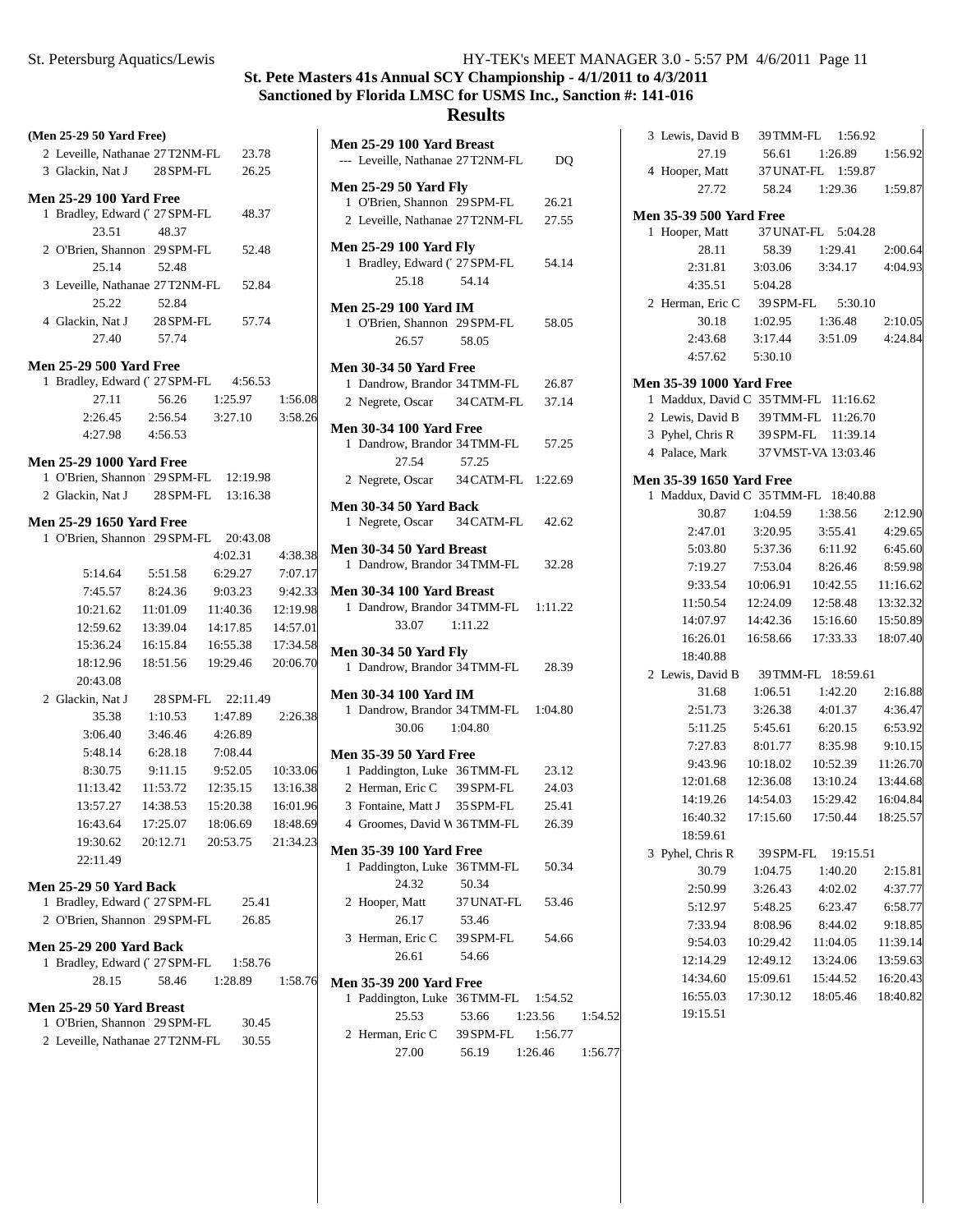# **St. Pete Masters 41s Annual SCY Championship - 4/1/2011 to 4/3/2011 Sanctioned by Florida LMSC for USMS Inc., Sanction #: 141-016**

| (Men 25-29 50 Yard Free)                                        |                                        |                              |                 |                |
|-----------------------------------------------------------------|----------------------------------------|------------------------------|-----------------|----------------|
| 2 Leveille, Nathanae 27 T2NM-FL 23.78                           |                                        |                              |                 | Men<br>$---$   |
| 3 Glackin, Nat J 28 SPM-FL                                      |                                        | 26.25                        |                 |                |
| <b>Men 25-29 100 Yard Free</b>                                  |                                        |                              |                 | Men            |
| 1 Bradley, Edward (27 SPM-FL 48.37                              |                                        |                              |                 | 1              |
| 23.51                                                           | 48.37                                  |                              |                 | $\overline{c}$ |
| 2 O'Brien, Shannon 29 SPM-FL                                    |                                        | 52.48                        |                 | Men            |
| 25.14                                                           | 52.48                                  |                              |                 | $\mathbf{1}$   |
| 3 Leveille, Nathanae 27 T2NM-FL 52.84                           |                                        |                              |                 |                |
| 25.22                                                           | 52.84                                  |                              |                 |                |
| 4 Glackin, Nat J 28 SPM-FL 57.74                                |                                        |                              |                 | Men<br>1       |
|                                                                 | 27.40 57.74                            |                              |                 |                |
|                                                                 |                                        |                              |                 |                |
| <b>Men 25-29 500 Yard Free</b>                                  |                                        |                              |                 | Men            |
| 1 Bradley, Edward (27 SPM-FL 4:56.53                            |                                        |                              |                 | $\mathbf{1}$   |
| 27.11                                                           | 56.26                                  | 1:25.97 1:56.08              |                 | $\overline{c}$ |
| 2:26.45                                                         | 2:56.54                                |                              | 3:27.10 3:58.26 | Men            |
| 4:27.98                                                         | 4:56.53                                |                              |                 | 1              |
| <b>Men 25-29 1000 Yard Free</b>                                 |                                        |                              |                 |                |
| 1 O'Brien, Shannon 29 SPM-FL 12:19.98                           |                                        |                              |                 | $\overline{2}$ |
| 2 Glackin, Nat J 28 SPM-FL 13:16.38                             |                                        |                              |                 |                |
| <b>Men 25-29 1650 Yard Free</b>                                 |                                        |                              |                 | Men<br>1       |
| 1 O'Brien, Shannon 29 SPM-FL 20:43.08                           |                                        |                              |                 |                |
|                                                                 |                                        |                              | 4:02.31 4:38.38 | Men            |
|                                                                 | 5:14.64 5:51.58                        | 6:29.27                      | 7:07.17         | $\mathbf{1}$   |
|                                                                 | 7:45.57 8:24.36                        |                              | 9:03.23 9:42.33 | Men            |
| 10:21.62                                                        |                                        | 11:01.09 11:40.36            | 12:19.98        | $\mathbf{1}$   |
| 12:59.62                                                        |                                        | 13:39.04 14:17.85            | 14:57.01        |                |
| 15:36.24                                                        |                                        | 16:15.84  16:55.38  17:34.58 |                 |                |
| 18:12.96                                                        |                                        | 18:51.56  19:29.46  20:06.70 |                 | Men            |
| 20:43.08                                                        |                                        |                              |                 | $\mathbf{1}$   |
| 2 Glackin, Nat J                                                |                                        | 28 SPM-FL 22:11.49           |                 | Men            |
| 35.38                                                           | 1:10.53                                | 1:47.89                      | 2:26.38         | 1              |
| 3:06.40                                                         | 3:46.46                                | 4:26.89                      |                 |                |
| 5:48.14                                                         | 6:28.18                                | 7:08.44                      |                 | Men            |
| 8:30.75                                                         | 9:11.15                                | 9:52.05                      | 10:33.06        | $\mathbf{1}$   |
| 11:13.42                                                        |                                        | 11:53.72  12:35.15           | 13:16.38        | 2              |
| 13:57.27                                                        |                                        | 14:38.53 15:20.38            | 16:01.96        | 3              |
|                                                                 | 16:43.64  17:25.07  18:06.69  18:48.69 |                              |                 | $\overline{4}$ |
| 19:30.62                                                        | 20:12.71                               | 20:53.75                     | 21:34.23        |                |
| 22:11.49                                                        |                                        |                              |                 | Men<br>1       |
|                                                                 |                                        |                              |                 |                |
| <b>Men 25-29 50 Yard Back</b><br>1 Bradley, Edward (' 27 SPM-FL |                                        | 25.41                        |                 | 2              |
| 2 O'Brien, Shannon 29 SPM-FL                                    |                                        | 26.85                        |                 |                |
|                                                                 |                                        |                              |                 | 3              |
| <b>Men 25-29 200 Yard Back</b>                                  |                                        |                              |                 |                |
| 1 Bradley, Edward (' 27 SPM-FL 1:58.76                          |                                        |                              |                 |                |
| 28.15                                                           | 58.46                                  | 1:28.89                      | 1:58.76         | Men            |
| Men 25-29 50 Yard Breast                                        |                                        |                              |                 | 1              |
| 1 O'Brien, Shannon 29 SPM-FL                                    |                                        | 30.45                        |                 |                |
| 2 Leveille, Nathanae 27 T2NM-FL                                 |                                        | 30.55                        |                 | 2              |
|                                                                 |                                        |                              |                 |                |
|                                                                 |                                        |                              |                 |                |

| DQ                                   |
|--------------------------------------|
| 26.21                                |
| 2 Leveille, Nathanae 27T2NM-FL 27.55 |
| 54.14                                |
| 1 O'Brien, Shannon   29 SPM-FL 58.05 |
|                                      |
| 1 Dandrow, Brandor 34 TMM-FL 26.87   |
| 2 Negrete, Oscar 34 CATM-FL 37.14    |
| 1 Dandrow, Brandor 34 TMM-FL 57.25   |
|                                      |
| 2 Negrete, Oscar 34 CATM-FL 1:22.69  |
| 1 Negrete, Oscar 34 CATM-FL 42.62    |
| 1 Dandrow, Brandor 34 TMM-FL 32.28   |
| 1 Dandrow, Brandor 34 TMM-FL 1:11.22 |
| 1 Dandrow, Brandor 34 TMM-FL 28.39   |
| 1 Dandrow, Brandor 34 TMM-FL 1:04.80 |
|                                      |
| 23.12                                |
| 24.03                                |
| 25.41                                |
| 26.39                                |
|                                      |
| 50.34                                |
|                                      |
| 53.46                                |
|                                      |
| 54.66                                |
|                                      |
| Paddington, Luke 36TMM-FL 1:54.52    |
| 1:54.52<br>1:23.56                   |
| 1:56.77                              |
| 56.19 1:26.46<br>1:56.77             |
|                                      |

|                                 |             | 3 Lewis, David B 39 TMM-FL 1:56.92   |          |
|---------------------------------|-------------|--------------------------------------|----------|
| 27.19                           |             | 56.61  1:26.89  1:56.92              |          |
| 4 Hooper, Matt                  |             | 37 UNAT-FL 1:59.87                   |          |
| 27.72                           |             | 58.24 1:29.36 1:59.87                |          |
| <b>Men 35-39 500 Yard Free</b>  |             |                                      |          |
| 1 Hooper, Matt                  |             | 37 UNAT-FL 5:04.28                   |          |
|                                 | 28.11 58.39 | 1:29.41                              | 2:00.64  |
|                                 |             | 2:31.81 3:03.06 3:34.17              | 4:04.93  |
| 4:35.51   5:04.28               |             |                                      |          |
|                                 |             | 2 Herman, Eric C 39 SPM-FL 5:30.10   |          |
| 30.18                           |             | 1:02.95  1:36.48                     | 2:10.05  |
| 2:43.68                         | 3:17.44     | 3:51.09                              | 4:24.84  |
| 4:57.62                         | 5:30.10     |                                      |          |
| <b>Men 35-39 1000 Yard Free</b> |             |                                      |          |
|                                 |             | 1 Maddux, David C 35 TMM-FL 11:16.62 |          |
|                                 |             | 2 Lewis, David B 39 TMM-FL 11:26.70  |          |
|                                 |             | 3 Pyhel, Chris R 39 SPM-FL 11:39.14  |          |
|                                 |             | 4 Palace, Mark 37 VMST-VA 13:03.46   |          |
| <b>Men 35-39 1650 Yard Free</b> |             |                                      |          |
|                                 |             | 1 Maddux, David C 35 TMM-FL 18:40.88 |          |
| 30.87                           |             | 1:04.59 1:38.56                      | 2:12.90  |
| 2:47.01 3:20.95                 |             | 3:55.41                              | 4:29.65  |
|                                 |             | 5:03.80 5:37.36 6:11.92 6:45.60      |          |
| 7:19.27                         | 7:53.04     | 8:26.46 8:59.98                      |          |
| 9:33.54 10:06.91                |             | 10:42.55 11:16.62                    |          |
| 11:50.54 12:24.09               |             | 12:58.48  13:32.32                   |          |
| 14:07.97                        | 14:42.36    | 15:16.60                             | 15:50.89 |
| 16:26.01                        | 16:58.66    | 17:33.33  18:07.40                   |          |
| 18:40.88                        |             |                                      |          |
|                                 |             | 2 Lewis, David B 39 TMM-FL 18:59.61  |          |
| 31.68                           | 1:06.51     | 1:42.20                              | 2:16.88  |
| 2:51.73                         | 3:26.38     | 4:01.37                              | 4:36.47  |
| 5:11.25                         | 5:45.61     | 6:20.15                              | 6:53.92  |
| 7:27.83                         | 8:01.77     | 8:35.98                              | 9:10.15  |
| 9:43.96 10:18.02                |             | 10:52.39                             | 11:26.70 |
| 12:01.68 12:36.08               |             | 13:10.24  13:44.68                   |          |
| 14:19.26  14:54.03              |             | 15:29.42  16:04.84                   |          |
| 16:40.32                        | 17:15.60    | 17:50.44                             | 18:25.57 |
| 18:59.61                        |             |                                      |          |
| 3 Pyhel, Chris R                |             | 39 SPM-FL 19:15.51                   |          |
| 30.79                           | 1:04.75     | 1:40.20                              | 2:15.81  |
| 2:50.99                         | 3:26.43     | 4:02.02                              | 4:37.77  |
| 5:12.97                         | 5:48.25     | 6:23.47                              | 6:58.77  |
| 7:33.94                         | 8:08.96     | 8:44.02                              | 9:18.85  |
| 9:54.03                         | 10:29.42    | 11:04.05                             | 11:39.14 |
| 12:14.29                        | 12:49.12    | 13:24.06                             | 13:59.63 |
| 14:34.60                        | 15:09.61    | 15:44.52                             | 16:20.43 |
| 16:55.03                        | 17:30.12    | 18:05.46                             | 18:40.82 |
| 19:15.51                        |             |                                      |          |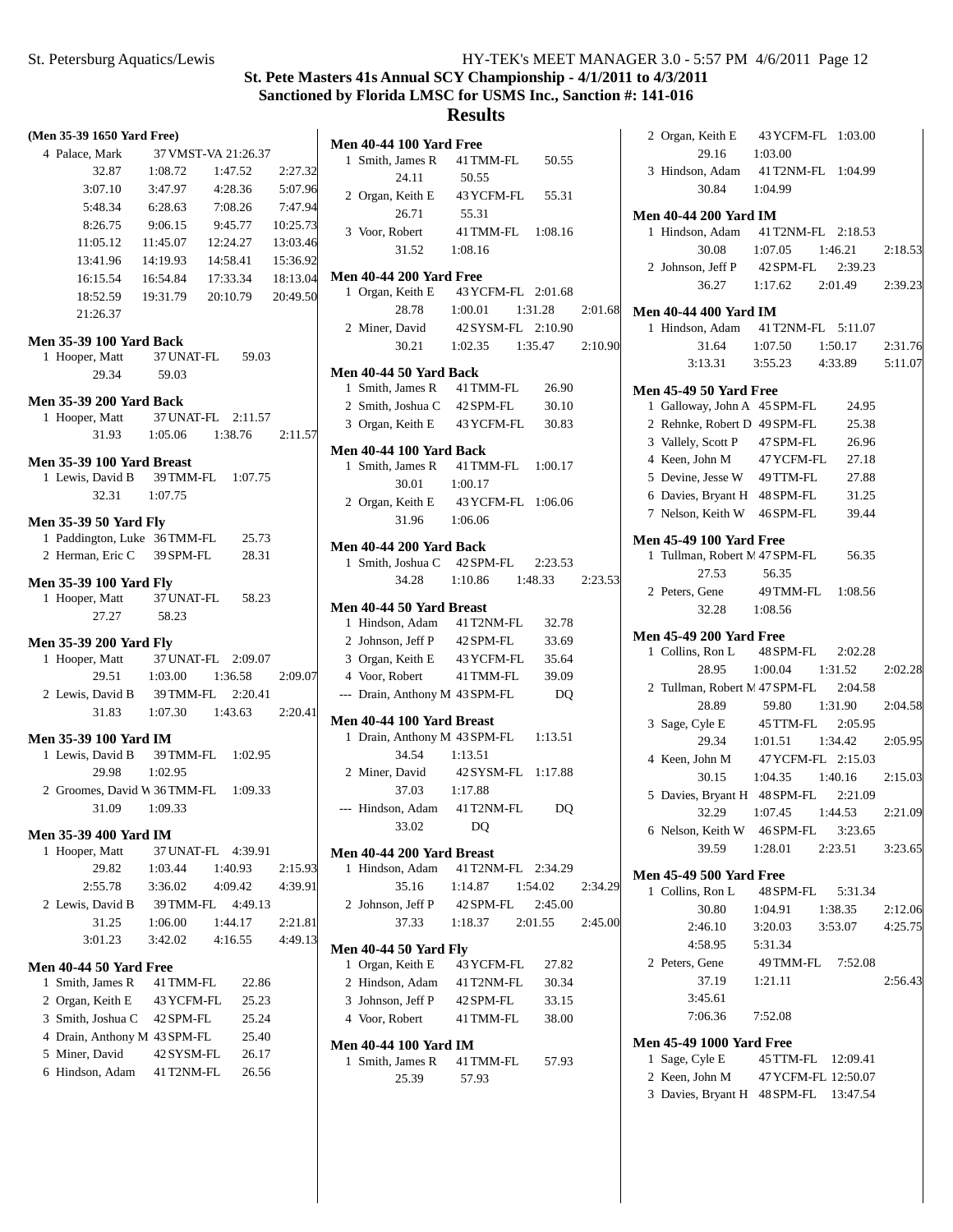| 37 VMST-VA 21:26.37                 |                                                                                                                                                               |                                                                                                |                                                                                                                                                                                                                                                                                                                                                                        | I                                                                                                          |
|-------------------------------------|---------------------------------------------------------------------------------------------------------------------------------------------------------------|------------------------------------------------------------------------------------------------|------------------------------------------------------------------------------------------------------------------------------------------------------------------------------------------------------------------------------------------------------------------------------------------------------------------------------------------------------------------------|------------------------------------------------------------------------------------------------------------|
| 1:08.72                             | 1:47.52                                                                                                                                                       |                                                                                                | 2:27.32                                                                                                                                                                                                                                                                                                                                                                |                                                                                                            |
|                                     |                                                                                                                                                               |                                                                                                | 5:07.96                                                                                                                                                                                                                                                                                                                                                                |                                                                                                            |
|                                     |                                                                                                                                                               |                                                                                                | 7:47.94                                                                                                                                                                                                                                                                                                                                                                |                                                                                                            |
|                                     |                                                                                                                                                               |                                                                                                | 10:25.73                                                                                                                                                                                                                                                                                                                                                               |                                                                                                            |
|                                     |                                                                                                                                                               |                                                                                                | 13:03.46                                                                                                                                                                                                                                                                                                                                                               |                                                                                                            |
|                                     |                                                                                                                                                               |                                                                                                |                                                                                                                                                                                                                                                                                                                                                                        |                                                                                                            |
| 16:54.84                            |                                                                                                                                                               |                                                                                                |                                                                                                                                                                                                                                                                                                                                                                        | I                                                                                                          |
|                                     |                                                                                                                                                               |                                                                                                |                                                                                                                                                                                                                                                                                                                                                                        |                                                                                                            |
|                                     |                                                                                                                                                               |                                                                                                |                                                                                                                                                                                                                                                                                                                                                                        |                                                                                                            |
|                                     |                                                                                                                                                               |                                                                                                |                                                                                                                                                                                                                                                                                                                                                                        |                                                                                                            |
|                                     |                                                                                                                                                               |                                                                                                |                                                                                                                                                                                                                                                                                                                                                                        |                                                                                                            |
|                                     |                                                                                                                                                               |                                                                                                |                                                                                                                                                                                                                                                                                                                                                                        | ľ                                                                                                          |
|                                     |                                                                                                                                                               |                                                                                                |                                                                                                                                                                                                                                                                                                                                                                        |                                                                                                            |
| <b>Men 35-39 200 Yard Back</b>      |                                                                                                                                                               |                                                                                                |                                                                                                                                                                                                                                                                                                                                                                        |                                                                                                            |
|                                     |                                                                                                                                                               |                                                                                                |                                                                                                                                                                                                                                                                                                                                                                        |                                                                                                            |
|                                     |                                                                                                                                                               |                                                                                                |                                                                                                                                                                                                                                                                                                                                                                        |                                                                                                            |
|                                     |                                                                                                                                                               |                                                                                                |                                                                                                                                                                                                                                                                                                                                                                        | ľ                                                                                                          |
|                                     |                                                                                                                                                               |                                                                                                |                                                                                                                                                                                                                                                                                                                                                                        |                                                                                                            |
|                                     |                                                                                                                                                               |                                                                                                |                                                                                                                                                                                                                                                                                                                                                                        |                                                                                                            |
|                                     |                                                                                                                                                               |                                                                                                |                                                                                                                                                                                                                                                                                                                                                                        |                                                                                                            |
|                                     |                                                                                                                                                               |                                                                                                |                                                                                                                                                                                                                                                                                                                                                                        |                                                                                                            |
|                                     |                                                                                                                                                               |                                                                                                |                                                                                                                                                                                                                                                                                                                                                                        | I                                                                                                          |
|                                     |                                                                                                                                                               |                                                                                                |                                                                                                                                                                                                                                                                                                                                                                        |                                                                                                            |
| <b>Men 35-39 100 Yard Fly</b>       |                                                                                                                                                               |                                                                                                |                                                                                                                                                                                                                                                                                                                                                                        |                                                                                                            |
|                                     |                                                                                                                                                               |                                                                                                |                                                                                                                                                                                                                                                                                                                                                                        | ľ                                                                                                          |
| 58.23                               |                                                                                                                                                               |                                                                                                |                                                                                                                                                                                                                                                                                                                                                                        |                                                                                                            |
|                                     |                                                                                                                                                               |                                                                                                |                                                                                                                                                                                                                                                                                                                                                                        |                                                                                                            |
|                                     |                                                                                                                                                               |                                                                                                |                                                                                                                                                                                                                                                                                                                                                                        |                                                                                                            |
|                                     |                                                                                                                                                               |                                                                                                |                                                                                                                                                                                                                                                                                                                                                                        |                                                                                                            |
|                                     |                                                                                                                                                               |                                                                                                |                                                                                                                                                                                                                                                                                                                                                                        |                                                                                                            |
|                                     |                                                                                                                                                               |                                                                                                |                                                                                                                                                                                                                                                                                                                                                                        |                                                                                                            |
|                                     |                                                                                                                                                               |                                                                                                |                                                                                                                                                                                                                                                                                                                                                                        |                                                                                                            |
|                                     |                                                                                                                                                               |                                                                                                |                                                                                                                                                                                                                                                                                                                                                                        | ľ                                                                                                          |
| Men 35-39 100 Yard IM               |                                                                                                                                                               |                                                                                                |                                                                                                                                                                                                                                                                                                                                                                        |                                                                                                            |
| 39 TMM-FL 1:02.95                   |                                                                                                                                                               |                                                                                                |                                                                                                                                                                                                                                                                                                                                                                        |                                                                                                            |
| 1:02.95                             |                                                                                                                                                               |                                                                                                |                                                                                                                                                                                                                                                                                                                                                                        |                                                                                                            |
| 2 Groomes, David W 36TMM-FL 1:09.33 |                                                                                                                                                               |                                                                                                |                                                                                                                                                                                                                                                                                                                                                                        |                                                                                                            |
| 1:09.33                             |                                                                                                                                                               |                                                                                                |                                                                                                                                                                                                                                                                                                                                                                        |                                                                                                            |
| <b>Men 35-39 400 Yard IM</b>        |                                                                                                                                                               |                                                                                                |                                                                                                                                                                                                                                                                                                                                                                        |                                                                                                            |
| 37 UNAT-FL 4:39.91                  |                                                                                                                                                               |                                                                                                |                                                                                                                                                                                                                                                                                                                                                                        | I                                                                                                          |
| 1:03.44                             | 1:40.93                                                                                                                                                       |                                                                                                | 2:15.93                                                                                                                                                                                                                                                                                                                                                                |                                                                                                            |
| 3:36.02                             | 4:09.42                                                                                                                                                       |                                                                                                | 4:39.91                                                                                                                                                                                                                                                                                                                                                                |                                                                                                            |
| 39 TMM-FL                           |                                                                                                                                                               | 4:49.13                                                                                        |                                                                                                                                                                                                                                                                                                                                                                        |                                                                                                            |
| 1:06.00                             | 1:44.17                                                                                                                                                       |                                                                                                | 2:21.81                                                                                                                                                                                                                                                                                                                                                                |                                                                                                            |
| 3:42.02                             | 4:16.55                                                                                                                                                       |                                                                                                | 4:49.13                                                                                                                                                                                                                                                                                                                                                                |                                                                                                            |
| Men 40-44 50 Yard Free              |                                                                                                                                                               |                                                                                                |                                                                                                                                                                                                                                                                                                                                                                        | I                                                                                                          |
| 41 TMM-FL                           |                                                                                                                                                               | 22.86                                                                                          |                                                                                                                                                                                                                                                                                                                                                                        |                                                                                                            |
| 43 YCFM-FL                          |                                                                                                                                                               | 25.23                                                                                          |                                                                                                                                                                                                                                                                                                                                                                        |                                                                                                            |
| 3 Smith, Joshua C 42 SPM-FL         |                                                                                                                                                               | 25.24                                                                                          |                                                                                                                                                                                                                                                                                                                                                                        |                                                                                                            |
|                                     |                                                                                                                                                               | 25.40                                                                                          |                                                                                                                                                                                                                                                                                                                                                                        |                                                                                                            |
| 4 Drain, Anthony M 43 SPM-FL        |                                                                                                                                                               | 26.17                                                                                          |                                                                                                                                                                                                                                                                                                                                                                        | I                                                                                                          |
| 42 SYSM-FL                          |                                                                                                                                                               | 26.56                                                                                          |                                                                                                                                                                                                                                                                                                                                                                        |                                                                                                            |
| 41 T2NM-FL                          |                                                                                                                                                               |                                                                                                |                                                                                                                                                                                                                                                                                                                                                                        |                                                                                                            |
|                                     | <b>Men 35-39 100 Yard Back</b><br>59.03<br><b>Men 35-39 100 Yard Breast</b><br>32.31 1:07.75<br><b>Men 35-39 50 Yard Fly</b><br><b>Men 35-39 200 Yard Fly</b> | 11:45.07<br>14:19.93<br>19:31.79<br>1 Paddington, Luke 36 TMM-FL<br>2 Herman, Eric C 39 SPM-FL | 3:47.97 4:28.36<br>6:28.63 7:08.26<br>9:06.15 9:45.77<br>12:24.27<br>14:58.41<br>17:33.34<br>20:10.79<br>1 Hooper, Matt 37 UNAT-FL 59.03<br>1 Hooper, Matt 37 UNAT-FL 2:11.57<br>1 Lewis, David B 39 TMM-FL 1:07.75<br>25.73<br>28.31<br>1 Hooper, Matt 37 UNAT-FL 58.23<br>1 Hooper, Matt 37 UNAT-FL 2:09.07<br>1:03.00 1:36.58<br>2 Lewis, David B 39 TMM-FL 2:20.41 | 15:36.92<br>18:13.04<br>20:49.50<br>1:05.06 1:38.76<br>2:11.57<br>2:09.07<br>$1:07.30$ $1:43.63$ $2:20.41$ |

|   | <b>Men 40-44 100 Yard Free</b>                   |                                  |       |         |
|---|--------------------------------------------------|----------------------------------|-------|---------|
|   | 1 Smith, James R 41 TMM-FL 50.55                 |                                  |       |         |
|   | 24.11                                            | 50.55                            |       |         |
|   | 2 Organ, Keith E 43 YCFM-FL 55.31                |                                  |       |         |
|   | 26.71                                            | 55.31                            |       |         |
|   | 3 Voor, Robert                                   | 41 TMM-FL 1:08.16                |       |         |
|   | 31.52                                            | 1:08.16                          |       |         |
|   |                                                  |                                  |       |         |
|   | <b>Men 40-44 200 Yard Free</b>                   |                                  |       |         |
|   | 1 Organ, Keith E 43 YCFM-FL 2:01.68              |                                  |       |         |
|   |                                                  | 28.78    1:00.01    1:31.28      |       | 2:01.68 |
|   | 2 Miner, David 42 SYSM-FL 2:10.90                |                                  |       |         |
|   |                                                  | 30.21  1:02.35  1:35.47  2:10.90 |       |         |
|   | Men 40-44 50 Yard Back                           |                                  |       |         |
|   | 1 Smith, James R 41 TMM-FL 26.90                 |                                  |       |         |
|   | 2 Smith, Joshua C 42 SPM-FL 30.10                |                                  |       |         |
|   |                                                  |                                  |       |         |
|   | 3 Organ, Keith E 43 YCFM-FL 30.83                |                                  |       |         |
|   | <b>Men 40-44 100 Yard Back</b>                   |                                  |       |         |
|   | 1 Smith, James R 41 TMM-FL 1:00.17               |                                  |       |         |
|   | 30.01 1:00.17                                    |                                  |       |         |
|   | 2 Organ, Keith E                                 | 43 YCFM-FL 1:06.06               |       |         |
|   | 31.96 1:06.06                                    |                                  |       |         |
|   |                                                  |                                  |       |         |
|   | <b>Men 40-44 200 Yard Back</b>                   |                                  |       |         |
|   | 1 Smith, Joshua C 42 SPM-FL 2:23.53              |                                  |       |         |
|   |                                                  | 34.28 1:10.86 1:48.33 2:23.53    |       |         |
|   | <b>Men 40-44 50 Yard Breast</b>                  |                                  |       |         |
|   | 1 Hindson, Adam 41 T2NM-FL 32.78                 |                                  |       |         |
|   | 2 Johnson, Jeff P 42 SPM-FL                      |                                  | 33.69 |         |
|   | 3 Organ, Keith E 43 YCFM-FL 35.64                |                                  |       |         |
|   | 4 Voor, Robert                                   | 41 TMM-FL 39.09                  |       |         |
|   |                                                  |                                  |       |         |
|   | --- Drain, Anthony M 43 SPM-FL                   |                                  | DQ    |         |
|   | Men 40-44 100 Yard Breast                        |                                  |       |         |
|   | 1 Drain, Anthony M 43 SPM-FL 1:13.51             |                                  |       |         |
|   | 34.54                                            | 1:13.51                          |       |         |
|   | 2 Miner, David                                   | 42 SYSM-FL 1:17.88               |       |         |
|   | 37.03                                            | 1:17.88                          |       |         |
|   | --- Hindson, Adam 41 T2NM-FL                     |                                  | DO    |         |
|   | 33.02 DQ                                         |                                  |       |         |
|   |                                                  |                                  |       |         |
|   | Men 40-44 200 Yard Breast                        |                                  |       |         |
| 1 | Hindson, Adam 41 T2NM-FL 2:34.29                 |                                  |       |         |
|   |                                                  | 35.16 1:14.87 1:54.02            |       | 2:34.29 |
|   | 2 Johnson, Jeff P 42 SPM-FL 2:45.00              |                                  |       |         |
|   |                                                  | 37.33 1:18.37 2:01.55 2:45.00    |       |         |
|   |                                                  |                                  |       |         |
|   | <b>Men 40-44 50 Yard Fly</b><br>1 Organ, Keith E | 43 YCFM-FL                       |       |         |
|   |                                                  |                                  | 27.82 |         |
|   | 2 Hindson, Adam 41 T2NM-FL 30.34                 |                                  |       |         |
|   | 3 Johnson, Jeff P 42 SPM-FL                      |                                  | 33.15 |         |
|   | 4 Voor, Robert 41 TMM-FL                         |                                  | 38.00 |         |
|   | <b>Men 40-44 100 Yard IM</b>                     |                                  |       |         |
|   | 1 Smith, James R 41 TMM-FL                       |                                  | 57.93 |         |
|   | 25.39                                            | 57.93                            |       |         |
|   |                                                  |                                  |       |         |

| $29.16$ 1:03.00                 | 2 Organ, Keith E 43 YCFM-FL 1:03.00                     |         |
|---------------------------------|---------------------------------------------------------|---------|
|                                 | 3 Hindson, Adam 41 T2NM-FL 1:04.99                      |         |
| 30.84 1:04.99                   |                                                         |         |
| <b>Men 40-44 200 Yard IM</b>    |                                                         |         |
|                                 | 1 Hindson, Adam 41 T2NM-FL 2:18.53                      |         |
|                                 |                                                         |         |
|                                 | 30.08 1:07.05 1:46.21                                   | 2:18.53 |
|                                 | 2 Johnson, Jeff P 42 SPM-FL 2:39.23                     |         |
|                                 | 36.27 1:17.62 2:01.49 2:39.23                           |         |
| <b>Men 40-44 400 Yard IM</b>    |                                                         |         |
|                                 | 1 Hindson, Adam 41 T2NM-FL 5:11.07                      |         |
|                                 | 31.64 1:07.50 1:50.17 2:31.76                           |         |
|                                 | 3:13.31   3:55.23   4:33.89   5:11.07                   |         |
| <b>Men 45-49 50 Yard Free</b>   |                                                         |         |
|                                 | 1 Galloway, John A 45 SPM-FL 24.95                      |         |
| 2 Rehnke, Robert D 49 SPM-FL    | 25.38                                                   |         |
| 3 Vallely, Scott P 47 SPM-FL    | 26.96                                                   |         |
|                                 | 4 Keen, John M 47 YCFM-FL 27.18                         |         |
|                                 |                                                         |         |
| 5 Devine, Jesse W 49 TTM-FL     | 27.88                                                   |         |
|                                 | 6 Davies, Bryant H 48 SPM-FL 31.25                      |         |
|                                 | 7 Nelson, Keith W 46 SPM-FL 39.44                       |         |
| <b>Men 45-49 100 Yard Free</b>  |                                                         |         |
|                                 | 1 Tullman, Robert N. 47 SPM-FL 56.35                    |         |
| 27.53                           | 56.35                                                   |         |
|                                 | 2 Peters, Gene 49 TMM-FL 1:08.56                        |         |
|                                 |                                                         |         |
| 32.28 1:08.56                   |                                                         |         |
| <b>Men 45-49 200 Yard Free</b>  |                                                         |         |
|                                 | 1 Collins, Ron L 48 SPM-FL 2:02.28                      |         |
|                                 | 28.95 1:00.04 1:31.52                                   | 2:02.28 |
|                                 | 2 Tullman, Robert M 47 SPM-FL 2:04.58                   |         |
|                                 |                                                         |         |
|                                 | 28.89 59.80 1:31.90<br>3 Sage, Cyle E 45 TTM-FL 2:05.95 | 2:04.58 |
|                                 |                                                         |         |
| 29.34                           | $1:01.51$ $1:34.42$                                     | 2:05.95 |
|                                 | 4 Keen, John M 47 YCFM-FL 2:15.03                       |         |
|                                 | 30.15 1:04.35 1:40.16                                   | 2:15.03 |
|                                 | 5 Davies, Bryant H 48 SPM-FL 2:21.09                    |         |
|                                 | 32.29 1:07.45 1:44.53                                   | 2:21.09 |
|                                 | 6 Nelson, Keith W 46 SPM-FL 3:23.65                     |         |
|                                 | 39.59 1:28.01 2:23.51                                   | 3:23.65 |
|                                 |                                                         |         |
| <b>Men 45-49 500 Yard Free</b>  |                                                         |         |
| 1 Collins, Ron L                | 48 SPM-FL 5:31.34                                       |         |
| 30.80                           | 1:04.91<br>1:38.35                                      | 2:12.06 |
| 2:46.10                         | 3:20.03 3:53.07                                         | 4:25.75 |
| 4:58.95                         | 5:31.34                                                 |         |
| 2 Peters, Gene                  | 49 TMM-FL 7:52.08                                       |         |
| 37.19 1:21.11                   |                                                         | 2:56.43 |
| 3:45.61                         |                                                         |         |
|                                 |                                                         |         |
| 7:06.36 7:52.08                 |                                                         |         |
| <b>Men 45-49 1000 Yard Free</b> |                                                         |         |
| 1 Sage, Cyle E                  | 45 TTM-FL 12:09.41                                      |         |
|                                 |                                                         |         |
|                                 | 2 Keen, John M 47 YCFM-FL 12:50.07                      |         |
|                                 | 3 Davies, Bryant H 48 SPM-FL 13:47.54                   |         |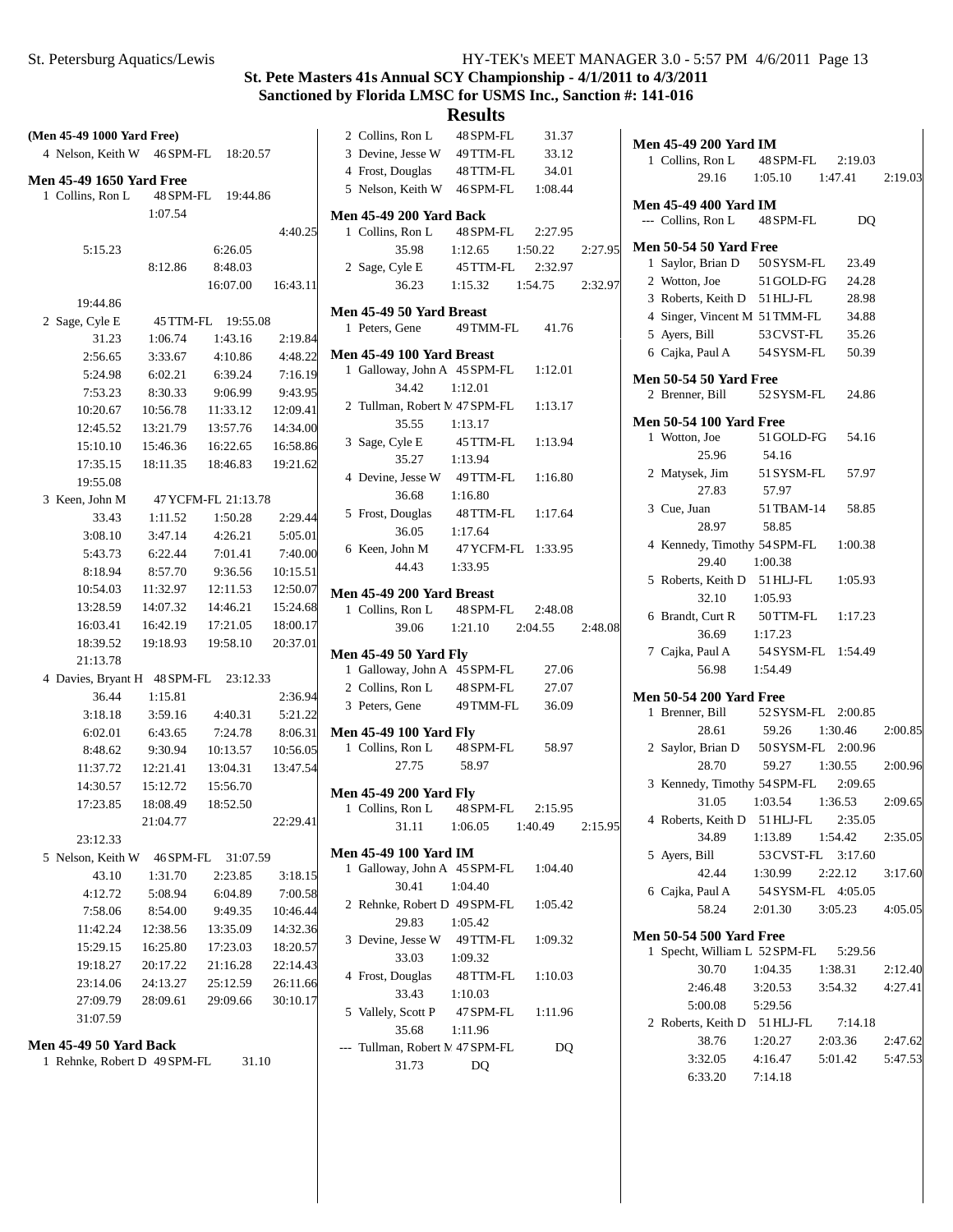# **St. Pete Masters 41s Annual SCY Championship - 4/1/2011 to 4/3/2011 Sanctioned by Florida LMSC for USMS Inc., Sanction #: 141-016**

| (Men 45-49 1000 Yard Free)                          |                      |                      |                      | 2 Collins, Ron L<br>48 SPM-FL<br>31.37                                |
|-----------------------------------------------------|----------------------|----------------------|----------------------|-----------------------------------------------------------------------|
| 4 Nelson, Keith W 46 SPM-FL                         |                      | 18:20.57             |                      | 3 Devine, Jesse W<br>49 TTM-FL<br>33.12                               |
|                                                     |                      |                      |                      | 4 Frost, Douglas<br>48 TTM-FL<br>34.01                                |
| <b>Men 45-49 1650 Yard Free</b><br>1 Collins, Ron L | 48 SPM-FL            | 19:44.86             |                      | 5 Nelson, Keith W<br>46 SPM-FL<br>1:08.44                             |
|                                                     | 1:07.54              |                      |                      | <b>Men 45-49 200 Yard Back</b>                                        |
|                                                     |                      |                      | 4:40.25              | 1 Collins, Ron L<br>48 SPM-FL<br>2:27.95                              |
| 5:15.23                                             |                      | 6:26.05              |                      | 35.98<br>1:12.65<br>1:50.22<br>2:27.95                                |
|                                                     | 8:12.86              | 8:48.03              |                      | 2 Sage, Cyle E<br>45 TTM-FL<br>2:32.97                                |
|                                                     |                      | 16:07.00             | 16:43.11             | 36.23<br>1:15.32<br>1:54.75<br>2:32.97                                |
| 19:44.86                                            |                      |                      |                      |                                                                       |
| 2 Sage, Cyle E                                      |                      | 45 TTM-FL 19:55.08   |                      | Men 45-49 50 Yard Breast                                              |
| 31.23                                               | 1:06.74              | 1:43.16              | 2:19.84              | 1 Peters, Gene<br>49 TMM-FL<br>41.76                                  |
| 2:56.65                                             | 3:33.67              | 4:10.86              | 4:48.22              | Men 45-49 100 Yard Breast                                             |
| 5:24.98                                             | 6:02.21              | 6:39.24              | 7:16.19              | 1 Galloway, John A 45 SPM-FL<br>1:12.01                               |
| 7:53.23                                             | 8:30.33              | 9:06.99              | 9:43.95              | 34.42<br>1:12.01                                                      |
| 10:20.67                                            | 10:56.78             | 11:33.12             | 12:09.41             | 2 Tullman, Robert M 47 SPM-FL<br>1:13.17                              |
| 12:45.52                                            | 13:21.79             | 13:57.76             | 14:34.00             | 35.55<br>1:13.17                                                      |
| 15:10.10                                            | 15:46.36             | 16:22.65             | 16:58.86             | 3 Sage, Cyle E<br>45 TTM-FL<br>1:13.94                                |
| 17:35.15                                            | 18:11.35             | 18:46.83             | 19:21.62             | 35.27<br>1:13.94                                                      |
| 19:55.08                                            |                      |                      |                      | 4 Devine, Jesse W<br>49 TTM-FL<br>1:16.80                             |
| 3 Keen, John M                                      |                      | 47 YCFM-FL 21:13.78  |                      | 36.68<br>1:16.80                                                      |
| 33.43                                               | 1:11.52              | 1:50.28              | 2:29.44              | 5 Frost, Douglas<br>48 TTM-FL<br>1:17.64                              |
| 3:08.10                                             | 3:47.14              | 4:26.21              | 5:05.01              | 36.05<br>1:17.64                                                      |
| 5:43.73                                             | 6:22.44              | 7:01.41              | 7:40.00              | 6 Keen, John M<br>47 YCFM-FL 1:33.95                                  |
| 8:18.94                                             | 8:57.70              | 9:36.56              | 10:15.51             | 44.43<br>1:33.95                                                      |
| 10:54.03                                            | 11:32.97             | 12:11.53             | 12:50.07             | Men 45-49 200 Yard Breast                                             |
| 13:28.59                                            | 14:07.32             | 14:46.21             | 15:24.68             | 1 Collins, Ron L<br>48 SPM-FL<br>2:48.08                              |
| 16:03.41                                            | 16:42.19             | 17:21.05             | 18:00.17             | 39.06<br>1:21.10<br>2:04.55<br>2:48.08                                |
| 18:39.52                                            | 19:18.93             | 19:58.10             | 20:37.01             |                                                                       |
| 21:13.78                                            |                      |                      |                      | <b>Men 45-49 50 Yard Fly</b><br>1 Galloway, John A 45 SPM-FL<br>27.06 |
| 4 Davies, Bryant H 48 SPM-FL                        |                      | 23:12.33             |                      | 2 Collins, Ron L<br>48 SPM-FL<br>27.07                                |
| 36.44                                               | 1:15.81              |                      | 2:36.94              | 3 Peters, Gene<br>49 TMM-FL<br>36.09                                  |
| 3:18.18                                             | 3:59.16              | 4:40.31              | 5:21.22              |                                                                       |
| 6:02.01                                             | 6:43.65              | 7:24.78              | 8:06.31              | <b>Men 45-49 100 Yard Fly</b>                                         |
| 8:48.62                                             | 9:30.94              | 10:13.57             | 10:56.05             | 1 Collins, Ron L<br>48 SPM-FL<br>58.97                                |
| 11:37.72                                            | 12:21.41             | 13:04.31             | 13:47.54             | 27.75<br>58.97                                                        |
| 14:30.57                                            | 15:12.72             | 15:56.70             |                      | <b>Men 45-49 200 Yard Fly</b>                                         |
| 17:23.85                                            | 18:08.49             | 18:52.50             |                      | 1 Collins, Ron L<br>48 SPM-FL<br>2:15.95                              |
|                                                     | 21:04.77             |                      | 22:29.41             | 31.11<br>2:15.95<br>1:06.05<br>1:40.49                                |
| 23:12.33                                            |                      |                      |                      | Men 45-49 100 Yard IM                                                 |
| 5 Nelson, Keith W                                   | 46 SPM-FL            | 31:07.59             |                      | 1 Galloway, John A 45 SPM-FL<br>1:04.40                               |
| 43.10                                               | 1:31.70              | 2:23.85              | 3:18.15              | 30.41<br>1:04.40                                                      |
| 4:12.72                                             | 5:08.94              | 6:04.89              | 7:00.58              | 2 Rehnke, Robert D 49 SPM-FL<br>1:05.42                               |
| 7:58.06                                             | 8:54.00<br>12:38.56  | 9:49.35              | 10:46.44             | 29.83<br>1:05.42                                                      |
| 11:42.24                                            |                      | 13:35.09             | 14:32.36<br>18:20.57 | 3 Devine, Jesse W<br>49 TTM-FL<br>1:09.32                             |
| 15:29.15<br>19:18.27                                | 16:25.80             | 17:23.03             | 22:14.43             | 33.03<br>1:09.32                                                      |
| 23:14.06                                            | 20:17.22<br>24:13.27 | 21:16.28<br>25:12.59 | 26:11.66             | 4 Frost, Douglas<br>48 TTM-FL<br>1:10.03                              |
| 27:09.79                                            | 28:09.61             | 29:09.66             | 30:10.17             | 33.43<br>1:10.03                                                      |
| 31:07.59                                            |                      |                      |                      | 5 Vallely, Scott P<br>47 SPM-FL<br>1:11.96                            |
|                                                     |                      |                      |                      | 35.68<br>1:11.96                                                      |
| <b>Men 45-49 50 Yard Back</b>                       |                      |                      |                      | --- Tullman, Robert M 47 SPM-FL<br>DQ                                 |
| 1 Rehnke, Robert D 49 SPM-FL                        |                      | 31.10                |                      | 31.73<br>DQ                                                           |

| Men 45-49 200 Yard IM          |                                                             |         |         |
|--------------------------------|-------------------------------------------------------------|---------|---------|
| 1 Collins, Ron L               | 48 SPM-FL 2:19.03                                           |         |         |
|                                | $29.16$ 1:05.10 1:47.41 2:19.03                             |         |         |
| <b>Men 45-49 400 Yard IM</b>   |                                                             |         |         |
|                                | --- Collins, Ron L 48 SPM-FL                                | DQ      |         |
| <b>Men 50-54 50 Yard Free</b>  |                                                             |         |         |
|                                | 1 Saylor, Brian D 50 SYSM-FL 23.49                          |         |         |
| 2 Wotton, Joe                  | $51$ GOLD-FG $\,$                                           | 24.28   |         |
|                                | 3 Roberts, Keith D 51 HLJ-FL                                | 28.98   |         |
|                                | 4 Singer, Vincent M 51 TMM-FL                               | 34.88   |         |
| 5 Ayers, Bill                  | 53 CVST-FL 35.26                                            |         |         |
|                                | 6 Cajka, Paul A 54 SYSM-FL                                  | 50.39   |         |
| <b>Men 50-54 50 Yard Free</b>  |                                                             |         |         |
|                                | 2 Brenner, Bill 52 SYSM-FL 24.86                            |         |         |
| <b>Men 50-54 100 Yard Free</b> |                                                             |         |         |
| 1 Wotton, Joe                  | 51 GOLD-FG 54.16                                            |         |         |
|                                | 25.96 54.16                                                 |         |         |
|                                | 2 Matysek, Jim 51 SYSM-FL 57.97                             |         |         |
|                                | 27.83 57.97                                                 |         |         |
| 3 Cue, Juan                    | 51 TBAM-14 58.85                                            |         |         |
| 28.97                          | 58.85                                                       |         |         |
|                                | 4 Kennedy, Timothy 54 SPM-FL 1:00.38                        |         |         |
| 29.40                          | 1:00.38                                                     |         |         |
|                                | 5 Roberts, Keith D 51 HLJ-FL 1:05.93                        |         |         |
|                                | 32.10 1:05.93                                               |         |         |
|                                | 6 Brandt, Curt R 50 TTM-FL 1:17.23                          |         |         |
| 36.69                          | 1:17.23                                                     |         |         |
|                                | 7 Cajka, Paul A 54 SYSM-FL 1:54.49                          |         |         |
|                                | 56.98 1:54.49                                               |         |         |
| <b>Men 50-54 200 Yard Free</b> |                                                             |         |         |
| 1 Brenner, Bill                | 52 SYSM-FL 2:00.85                                          |         |         |
| 28.61                          | 59.26 1:30.46                                               |         | 2:00.85 |
|                                | 2 Saylor, Brian D 50 SYSM-FL 2:00.96<br>28 70 59 27 1:20 55 |         |         |
| 28.70                          | 59.27 1:30.55                                               |         | 2:00.96 |
|                                | 3 Kennedy, Timothy 54 SPM-FL 2:09.65                        |         |         |
|                                | 31.05 1:03.54 1:36.53 2:09.65                               |         |         |
|                                | 4 Roberts, Keith D 51 HLJ-FL 2:35.05                        |         |         |
|                                | 34.89 1:13.89 1:54.42                                       |         | 2:35.05 |
|                                | 5 Ayers, Bill 53 CVST-FL 3:17.60                            |         |         |
|                                | 42.44 1:30.99                                               | 2:22.12 | 3:17.60 |
|                                | 6 Cajka, Paul A 54 SYSM-FL 4:05.05                          |         |         |
|                                | 58.24 2:01.30 3:05.23 4:05.05                               |         |         |
| <b>Men 50-54 500 Yard Free</b> |                                                             |         |         |
|                                | 1 Specht, William L 52 SPM-FL 5:29.56                       |         |         |
| 30.70                          | 1:04.35 1:38.31 2:12.40                                     |         |         |
|                                | 2:46.48 3:20.53 3:54.32 4:27.41                             |         |         |
|                                | 5:00.08 5:29.56                                             |         |         |
|                                | 2 Roberts, Keith D 51 HLJ-FL 7:14.18                        |         |         |
| 38.76                          | 1:20.27 2:03.36 2:47.62                                     |         |         |
| 3:32.05                        | 4:16.47   5:01.42   5:47.53                                 |         |         |
| 6:33.20                        | 7:14.18                                                     |         |         |
|                                |                                                             |         |         |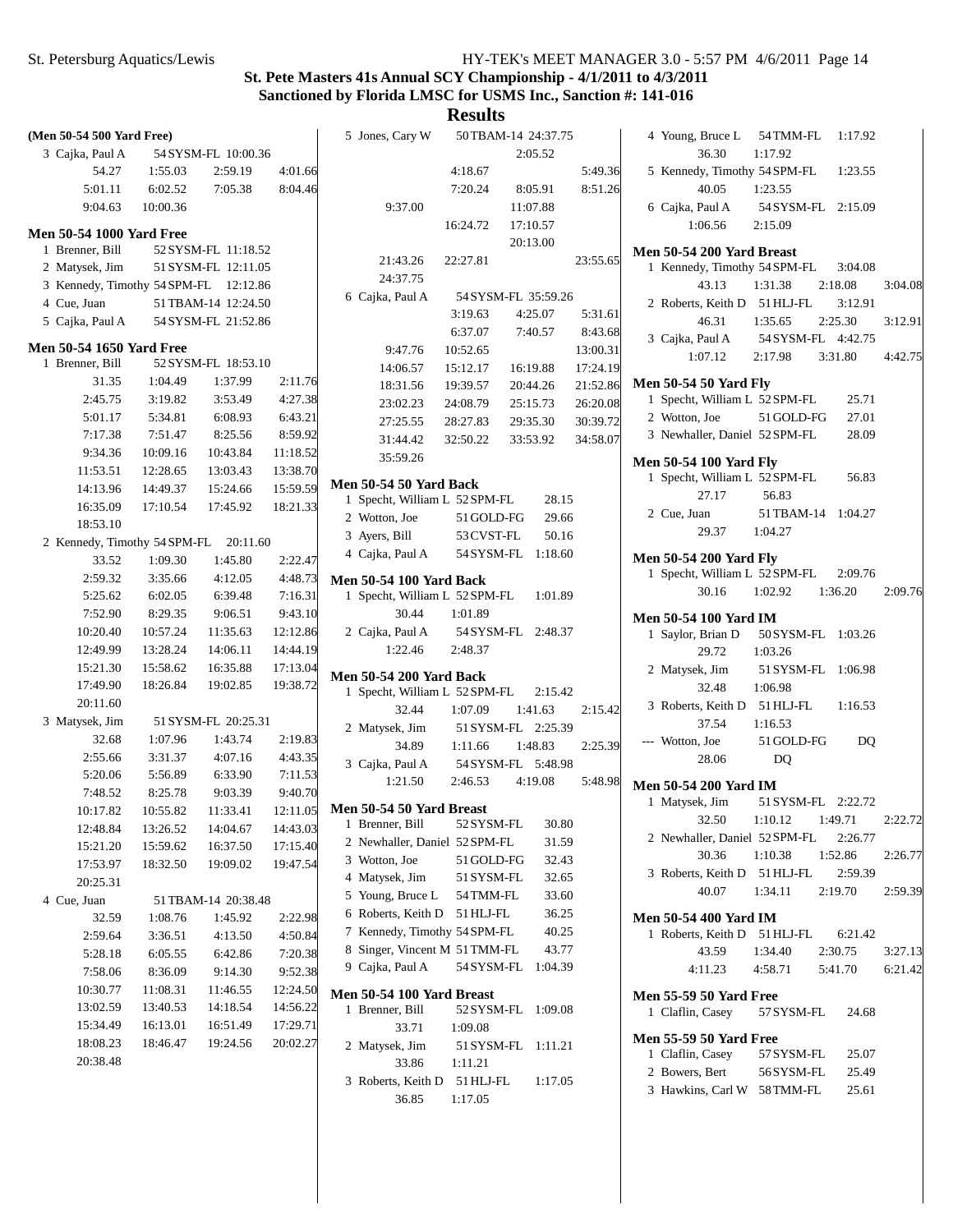| (Men 50-54 500 Yard Free)             |          |                     |          | 5 Jones, Cary W                |            | 50 TBAM-14 24:37.75 |          | 4 Young, Bruce L 54 TMM-FL 1:17.92                             |                     |         |         |
|---------------------------------------|----------|---------------------|----------|--------------------------------|------------|---------------------|----------|----------------------------------------------------------------|---------------------|---------|---------|
| 3 Cajka, Paul A                       |          | 54 SYSM-FL 10:00.36 |          |                                |            | 2:05.52             |          | 36.30                                                          | 1:17.92             |         |         |
| 54.27                                 | 1:55.03  | 2:59.19             | 4:01.66  |                                | 4:18.67    |                     | 5:49.36  | 5 Kennedy, Timothy 54 SPM-FL                                   |                     | 1:23.55 |         |
| 5:01.11                               | 6:02.52  | 7:05.38             | 8:04.46  |                                | 7:20.24    | 8:05.91             | 8:51.26  | 40.05                                                          | 1:23.55             |         |         |
| 9:04.63                               | 10:00.36 |                     |          | 9:37.00                        |            | 11:07.88            |          | 6 Cajka, Paul A                                                | 54 SYSM-FL 2:15.09  |         |         |
|                                       |          |                     |          |                                | 16:24.72   | 17:10.57            |          | 1:06.56                                                        | 2:15.09             |         |         |
| <b>Men 50-54 1000 Yard Free</b>       |          |                     |          |                                |            | 20:13.00            |          |                                                                |                     |         |         |
| 1 Brenner, Bill                       |          | 52 SYSM-FL 11:18.52 |          | 21:43.26                       | 22:27.81   |                     | 23:55.65 | Men 50-54 200 Yard Breast                                      |                     |         |         |
| 2 Matysek, Jim                        |          | 51 SYSM-FL 12:11.05 |          | 24:37.75                       |            |                     |          | 1 Kennedy, Timothy 54 SPM-FL                                   |                     | 3:04.08 |         |
| 3 Kennedy, Timothy 54 SPM-FL 12:12.86 |          |                     |          | 6 Cajka, Paul A                |            | 54 SYSM-FL 35:59.26 |          | 43.13                                                          | 1:31.38             | 2:18.08 | 3:04.08 |
| 4 Cue, Juan                           |          | 51 TBAM-14 12:24.50 |          |                                | 3:19.63    | 4:25.07             | 5:31.61  | 2 Roberts, Keith D 51 HLJ-FL                                   |                     | 3:12.91 |         |
| 5 Cajka, Paul A                       |          | 54 SYSM-FL 21:52.86 |          |                                | 6:37.07    | 7:40.57             | 8:43.68  | 46.31                                                          | 1:35.65             | 2:25.30 | 3:12.91 |
| <b>Men 50-54 1650 Yard Free</b>       |          |                     |          | 9:47.76                        | 10:52.65   |                     | 13:00.31 | 3 Cajka, Paul A                                                | 54 SYSM-FL 4:42.75  |         |         |
| 1 Brenner, Bill                       |          | 52 SYSM-FL 18:53.10 |          |                                |            |                     | 17:24.19 | 1:07.12                                                        | 2:17.98             | 3:31.80 | 4:42.75 |
| 31.35                                 | 1:04.49  | 1:37.99             | 2:11.76  | 14:06.57                       | 15:12.17   | 16:19.88            |          | <b>Men 50-54 50 Yard Fly</b>                                   |                     |         |         |
| 2:45.75                               | 3:19.82  | 3:53.49             | 4:27.38  | 18:31.56                       | 19:39.57   | 20:44.26            | 21:52.86 | 1 Specht, William L 52 SPM-FL                                  |                     | 25.71   |         |
| 5:01.17                               | 5:34.81  | 6:08.93             | 6:43.21  | 23:02.23                       | 24:08.79   | 25:15.73            | 26:20.08 | 2 Wotton, Joe                                                  | 51 GOLD-FG          | 27.01   |         |
| 7:17.38                               | 7:51.47  | 8:25.56             | 8:59.92  | 27:25.55                       | 28:27.83   | 29:35.30            | 30:39.72 | 3 Newhaller, Daniel 52 SPM-FL                                  |                     | 28.09   |         |
| 9:34.36                               | 10:09.16 | 10:43.84            | 11:18.52 | 31:44.42                       | 32:50.22   | 33:53.92            | 34:58.07 |                                                                |                     |         |         |
| 11:53.51                              | 12:28.65 | 13:03.43            | 13:38.70 | 35:59.26                       |            |                     |          | <b>Men 50-54 100 Yard Fly</b>                                  |                     |         |         |
|                                       | 14:49.37 | 15:24.66            | 15:59.59 | <b>Men 50-54 50 Yard Back</b>  |            |                     |          | 1 Specht, William L 52 SPM-FL                                  |                     | 56.83   |         |
| 14:13.96                              |          |                     |          | 1 Specht, William L 52 SPM-FL  |            | 28.15               |          | 27.17                                                          | 56.83               |         |         |
| 16:35.09                              | 17:10.54 | 17:45.92            | 18:21.33 | 2 Wotton, Joe                  | 51 GOLD-FG | 29.66               |          | 2 Cue, Juan                                                    | 51 TBAM-14 1:04.27  |         |         |
| 18:53.10                              |          |                     |          | 3 Ayers, Bill                  | 53 CVST-FL | 50.16               |          | 29.37                                                          | 1:04.27             |         |         |
| 2 Kennedy, Timothy 54 SPM-FL 20:11.60 |          |                     |          | 4 Cajka, Paul A                |            | 54 SYSM-FL 1:18.60  |          |                                                                |                     |         |         |
| 33.52                                 | 1:09.30  | 1:45.80             | 2:22.47  |                                |            |                     |          | <b>Men 50-54 200 Yard Fly</b><br>1 Specht, William L 52 SPM-FL |                     | 2:09.76 |         |
| 2:59.32                               | 3:35.66  | 4:12.05             | 4:48.73  | <b>Men 50-54 100 Yard Back</b> |            |                     |          | 30.16                                                          | 1:02.92             | 1:36.20 | 2:09.76 |
| 5:25.62                               | 6:02.05  | 6:39.48             | 7:16.31  | 1 Specht, William L 52 SPM-FL  |            | 1:01.89             |          |                                                                |                     |         |         |
| 7:52.90                               | 8:29.35  | 9:06.51             | 9:43.10  | 30.44                          | 1:01.89    |                     |          | <b>Men 50-54 100 Yard IM</b>                                   |                     |         |         |
| 10:20.40                              | 10:57.24 | 11:35.63            | 12:12.86 | 2 Cajka, Paul A                |            | 54 SYSM-FL 2:48.37  |          | 1 Saylor, Brian D                                              | 50 SYSM-FL 1:03.26  |         |         |
| 12:49.99                              | 13:28.24 | 14:06.11            | 14:44.19 | 1:22.46                        | 2:48.37    |                     |          | 29.72                                                          | 1:03.26             |         |         |
| 15:21.30                              | 15:58.62 | 16:35.88            | 17:13.04 | <b>Men 50-54 200 Yard Back</b> |            |                     |          | 2 Matysek, Jim                                                 | 51 SYSM-FL 1:06.98  |         |         |
| 17:49.90                              | 18:26.84 | 19:02.85            | 19:38.72 | 1 Specht, William L 52 SPM-FL  |            | 2:15.42             |          | 32.48                                                          | 1:06.98             |         |         |
| 20:11.60                              |          |                     |          | 32.44                          | 1:07.09    | 1:41.63             | 2:15.42  | 3 Roberts, Keith D 51 HLJ-FL                                   |                     | 1:16.53 |         |
| 3 Matysek, Jim                        |          | 51 SYSM-FL 20:25.31 |          | 2 Matysek, Jim                 |            | 51 SYSM-FL 2:25.39  |          | 37.54                                                          | 1:16.53             |         |         |
| 32.68                                 | 1:07.96  | 1:43.74             | 2:19.83  | 34.89                          | 1:11.66    | 1:48.83             | 2:25.39  | --- Wotton, Joe                                                | 51 GOLD-FG          | DQ      |         |
| 2:55.66                               | 3:31.37  | 4:07.16             | 4:43.35  | 3 Cajka, Paul A                |            | 54 SYSM-FL 5:48.98  |          | 28.06                                                          | DQ                  |         |         |
| 5:20.06                               | 5:56.89  | 6:33.90             | 7:11.53  | 1:21.50                        | 2:46.53    | 4:19.08             | 5:48.98  |                                                                |                     |         |         |
| 7:48.52                               | 8:25.78  | 9:03.39             | 9:40.70  |                                |            |                     |          | <b>Men 50-54 200 Yard IM</b>                                   |                     |         |         |
| 10:17.82                              | 10:55.82 | 11:33.41            | 12:11.05 | Men 50-54 50 Yard Breast       |            |                     |          | 1 Matysek, Jim                                                 | 51 SYSM-FL 2:22.72  |         |         |
| 12:48.84                              | 13:26.52 | 14:04.67            | 14:43.03 | 1 Brenner, Bill                |            | 52 SYSM-FL 30.80    |          | 32.50                                                          | $1:10.12$ $1:49.71$ |         | 2:22.72 |
| 15:21.20                              | 15:59.62 | 16:37.50            | 17:15.40 | 2 Newhaller, Daniel 52 SPM-FL  |            | 31.59               |          | 2 Newhaller, Daniel 52 SPM-FL                                  |                     | 2:26.77 |         |
| 17:53.97                              | 18:32.50 | 19:09.02            | 19:47.54 | 3 Wotton, Joe                  | 51 GOLD-FG | 32.43               |          | 30.36                                                          | 1:10.38             | 1:52.86 | 2:26.77 |
| 20:25.31                              |          |                     |          | 4 Matysek, Jim                 | 51 SYSM-FL | 32.65               |          | 3 Roberts, Keith D 51 HLJ-FL                                   |                     | 2:59.39 |         |
| 4 Cue, Juan                           |          | 51 TBAM-14 20:38.48 |          | 5 Young, Bruce L               | 54 TMM-FL  | 33.60               |          | 40.07                                                          | 1:34.11             | 2:19.70 | 2:59.39 |
| 32.59                                 | 1:08.76  | 1:45.92             | 2:22.98  | 6 Roberts, Keith D             | 51 HLJ-FL  | 36.25               |          | Men 50-54 400 Yard IM                                          |                     |         |         |
| 2:59.64                               | 3:36.51  | 4:13.50             | 4:50.84  | 7 Kennedy, Timothy 54 SPM-FL   |            | 40.25               |          | 1 Roberts, Keith D 51 HLJ-FL                                   |                     | 6:21.42 |         |
| 5:28.18                               | 6:05.55  | 6:42.86             | 7:20.38  | 8 Singer, Vincent M 51 TMM-FL  |            | 43.77               |          | 43.59                                                          | 1:34.40             | 2:30.75 | 3:27.13 |
| 7:58.06                               | 8:36.09  | 9:14.30             | 9:52.38  | 9 Cajka, Paul A                |            | 54 SYSM-FL 1:04.39  |          | 4:11.23                                                        | 4:58.71             | 5:41.70 | 6:21.42 |
| 10:30.77                              | 11:08.31 | 11:46.55            | 12:24.50 |                                |            |                     |          |                                                                |                     |         |         |
| 13:02.59                              |          |                     |          | Men 50-54 100 Yard Breast      |            |                     |          | <b>Men 55-59 50 Yard Free</b>                                  |                     |         |         |
|                                       | 13:40.53 | 14:18.54            | 14:56.22 | 1 Brenner, Bill                |            | 52 SYSM-FL 1:09.08  |          | 1 Claflin, Casey                                               | 57 SYSM-FL          | 24.68   |         |
| 15:34.49                              | 16:13.01 | 16:51.49            | 17:29.71 | 33.71                          | 1:09.08    |                     |          | <b>Men 55-59 50 Yard Free</b>                                  |                     |         |         |
| 18:08.23                              | 18:46.47 | 19:24.56            | 20:02.27 | 2 Matysek, Jim                 |            | 51 SYSM-FL 1:11.21  |          | 1 Claflin, Casey                                               | 57 SYSM-FL          | 25.07   |         |
| 20:38.48                              |          |                     |          | 33.86                          | 1:11.21    |                     |          | 2 Bowers, Bert                                                 | 56 SYSM-FL          | 25.49   |         |
|                                       |          |                     |          | 3 Roberts, Keith D 51 HLJ-FL   |            | 1:17.05             |          | 3 Hawkins, Carl W 58 TMM-FL                                    |                     | 25.61   |         |
|                                       |          |                     |          | 36.85                          | 1:17.05    |                     |          |                                                                |                     |         |         |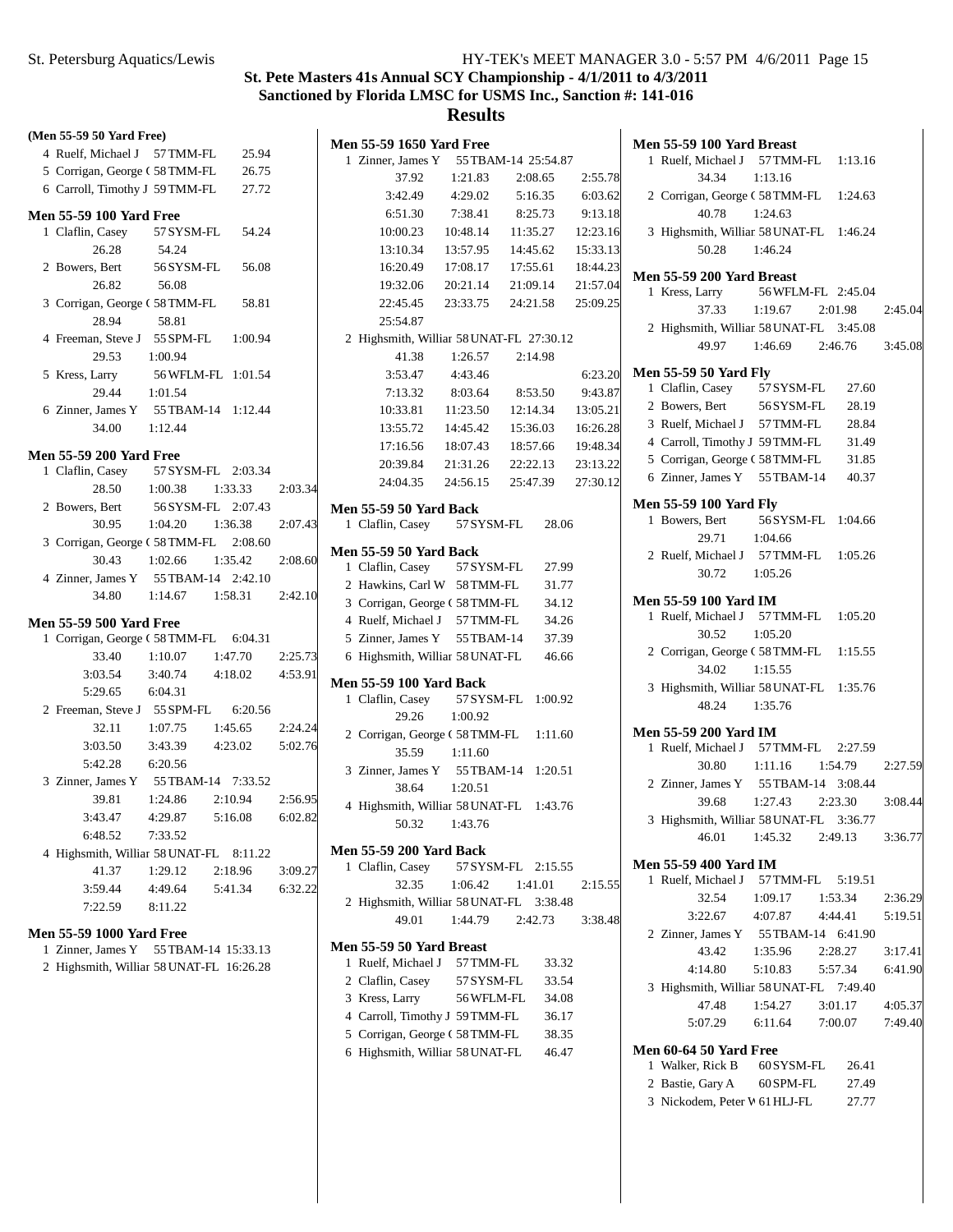## **Results**

| (Men 55-59 50 Yard Free)        |                                         |         |
|---------------------------------|-----------------------------------------|---------|
|                                 | 4 Ruelf, Michael J 57 TMM-FL 25.94      |         |
|                                 | 5 Corrigan, George (58TMM-FL 26.75      |         |
| 6 Carroll, Timothy J 59 TMM-FL  | 27.72                                   |         |
| <b>Men 55-59 100 Yard Free</b>  |                                         |         |
| 1 Claflin, Casey                | 57 SYSM-FL 54.24                        |         |
| 26.28                           | 54.24                                   |         |
| 2 Bowers, Bert                  | 56 SYSM-FL 56.08                        |         |
| 26.82                           | 56.08                                   |         |
|                                 | 3 Corrigan, George (58TMM-FL 58.81      |         |
| 28.94                           | 58.81                                   |         |
|                                 | 4 Freeman, Steve J 55 SPM-FL 1:00.94    |         |
| 29.53 1:00.94                   |                                         |         |
| 5 Kress, Larry                  | 56 WFLM-FL 1:01.54                      |         |
| 29.44 1:01.54                   |                                         |         |
|                                 | 6 Zinner, James Y 55 TBAM-14 1:12.44    |         |
| 34.00                           | 1:12.44                                 |         |
| <b>Men 55-59 200 Yard Free</b>  |                                         |         |
| 1 Claflin, Casey                | 57 SYSM-FL 2:03.34                      |         |
| 28.50 1:00.38                   | 1:33.33                                 | 2:03.34 |
| 2 Bowers, Bert                  | 56 SYSM-FL 2:07.43                      |         |
| 30.95                           | 1:04.20 1:36.38                         | 2:07.43 |
|                                 | 3 Corrigan, George (58TMM-FL 2:08.60    |         |
| 30.43                           | 1:02.66<br>1:35.42                      | 2:08.60 |
|                                 | 4 Zinner, James Y 55 TBAM-14 2:42.10    |         |
|                                 | 34.80   1:14.67   1:58.31   2:42.10     |         |
| <b>Men 55-59 500 Yard Free</b>  |                                         |         |
|                                 | 1 Corrigan, George (58 TMM-FL 6:04.31   |         |
| 33.40                           | 1:10.07<br>1:47.70                      | 2:25.73 |
| 3:03.54                         | $3:40.74$ $4:18.02$ $4:53.91$           |         |
| 5:29.65 6:04.31                 |                                         |         |
|                                 | 2 Freeman, Steve J 55 SPM-FL 6:20.56    |         |
| 32.11                           | 1:07.75<br>1:45.65 2:24.24              |         |
| 3:03.50                         | 3:43.39  4:23.02  5:02.76               |         |
| 5:42.28                         | 6:20.56                                 |         |
|                                 | 3 Zinner, James Y 55 TBAM-14 7:33.52    |         |
| 39.81                           | 1:24.86<br>2:10.94                      | 2:56.95 |
| 3:43.47                         | 4:29.87<br>5:16.08                      | 6:02.82 |
| 6:48.52                         | 7:33.52                                 |         |
|                                 | 4 Highsmith, Williar 58 UNAT-FL 8:11.22 |         |
| 41.37                           | 1:29.12<br>2:18.96 3:09.27              |         |
|                                 | 3:59.44 4:49.64 5:41.34 6:32.22         |         |
| 7:22.59 8:11.22                 |                                         |         |
| <b>Men 55-59 1000 Yard Free</b> |                                         |         |

## **Men 55-59 1000 Yard Free**

- 1 Zinner, James Y 55 TBAM-14 15:33.13
- 2 Highsmith, Williar 58 UNAT-FL 16:26.28

| <b>Men 55-59 1650 Yard Free</b>          |                       |          |                   |
|------------------------------------------|-----------------------|----------|-------------------|
| 1 Zinner, James Y 55 TBAM-14 25:54.87    |                       |          |                   |
| 37.92                                    | 1:21.83               | 2:08.65  | 2:55.78           |
| 3:42.49                                  | 4:29.02               | 5:16.35  | 6:03.62           |
| 6:51.30                                  | 7:38.41               | 8:25.73  | 9:13.18           |
| 10:00.23                                 | 10:48.14              | 11:35.27 | 12:23.16          |
| 13:10.34                                 | 13:57.95              | 14:45.62 | 15:33.13          |
| 16:20.49                                 | 17:08.17  17:55.61    |          | 18:44.23          |
| 19:32.06                                 | 20:21.14              | 21:09.14 | 21:57.04          |
| 22:45.45                                 | 23:33.75              | 24:21.58 | 25:09.25          |
| 25:54.87                                 |                       |          |                   |
| 2 Highsmith, Williar 58 UNAT-FL 27:30.12 |                       |          |                   |
| 41.38                                    | 1:26.57               | 2:14.98  |                   |
| 3:53.47                                  | 4:43.46               |          | 6:23.20           |
| 7:13.32                                  | 8:03.64 8:53.50       |          | 9:43.87           |
| 10:33.81                                 | 11:23.50              | 12:14.34 | 13:05.21          |
| 13:55.72                                 | 14:45.42              | 15:36.03 | 16:26.28          |
| 17:16.56                                 | 18:07.43              | 18:57.66 | 19:48.34          |
| 20:39.84                                 | 21:31.26              | 22:22.13 | 23:13.22          |
| 24:04.35                                 | 24:56.15              |          | 25:47.39 27:30.12 |
| <b>Men 55-59 50 Yard Back</b>            |                       |          |                   |
| 1 Claflin, Casey                         | 57 SYSM-FL 28.06      |          |                   |
| <b>Men 55-59 50 Yard Back</b>            |                       |          |                   |
| 1 Claflin, Casey                         | 57 SYSM-FL            | 27.99    |                   |
| 2 Hawkins, Carl W 58 TMM-FL              |                       | 31.77    |                   |
| 3 Corrigan, George (58 TMM-FL            |                       | 34.12    |                   |
| 4 Ruelf, Michael J 57 TMM-FL             |                       | 34.26    |                   |
| 5 Zinner, James Y 55 TBAM-14             |                       | 37.39    |                   |
| 6 Highsmith, Williar 58 UNAT-FL 46.66    |                       |          |                   |
|                                          |                       |          |                   |
| <b>Men 55-59 100 Yard Back</b>           |                       |          |                   |
| 1 Claflin, Casey                         | 57 SYSM-FL 1:00.92    |          |                   |
|                                          | 29.26 1:00.92         |          |                   |
| 2 Corrigan, George (58 TMM-FL 1:11.60    |                       |          |                   |
| 35.59                                    | 1:11.60               |          |                   |
| 3 Zinner, James Y 55 TBAM-14 1:20.51     |                       |          |                   |
| 38.64                                    | 1:20.51               |          |                   |
| 4 Highsmith, Williar 58 UNAT-FL 1:43.76  |                       |          |                   |
| 50.32                                    | 1:43.76               |          |                   |
| <b>Men 55-59 200 Yard Back</b>           |                       |          |                   |
| 1 Claflin, Casey 57 SYSM-FL 2:15.55      |                       |          |                   |
|                                          | 32.35 1:06.42 1:41.01 |          | 2:15.55           |
| 2 Highsmith, Williar 58 UNAT-FL 3:38.48  |                       |          |                   |
|                                          | 49.01 1:44.79 2:42.73 |          | 3:38.48           |

**Men 55-59 50 Yard Breast**

1 Ruelf, Michael J 57 TMM-FL 33.32 2 Claflin, Casey 57 SYSM-FL 33.54 3 34.08 Kress, Larry 56WFLM-FL 4 Carroll, Timothy J 59 TMM-FL 36.17 5 38.35 Corrigan, George C 58TMM-FL 6 46.47 Highsmith, William 58UNAT-FL

| <b>Men 55-59 100 Yard Breast</b>                                           |                               |       |         |
|----------------------------------------------------------------------------|-------------------------------|-------|---------|
| 1 Ruelf, Michael J 57 TMM-FL 1:13.16                                       |                               |       |         |
| $34.34$ 1:13.16                                                            |                               |       |         |
| 2 Corrigan, George (58 TMM-FL 1:24.63                                      |                               |       |         |
| 40.78 1:24.63                                                              |                               |       |         |
| 3 Highsmith, Williar 58 UNAT-FL 1:46.24                                    |                               |       |         |
| 50.28 1:46.24                                                              |                               |       |         |
| Men 55-59 200 Yard Breast                                                  |                               |       |         |
| 1 Kress, Larry 56 WFLM-FL 2:45.04                                          |                               |       |         |
|                                                                            | 37.33 1:19.67 2:01.98 2:45.04 |       |         |
| 2 Highsmith, Williar 58 UNAT-FL 3:45.08                                    |                               |       |         |
|                                                                            | 49.97 1:46.69 2:46.76 3:45.08 |       |         |
|                                                                            |                               |       |         |
| <b>Men 55-59 50 Yard Fly</b><br>1 Claflin, Casey 57 SYSM-FL 27.60          |                               |       |         |
| 2 Bowers, Bert 56 SYSM-FL 28.19                                            |                               |       |         |
| 3 Ruelf, Michael J 57 TMM-FL 28.84                                         |                               |       |         |
| 4 Carroll, Timothy J 59 TMM-FL 31.49                                       |                               |       |         |
|                                                                            |                               | 31.85 |         |
| 5 Corrigan, George C 58 TMM-FL 31.85<br>6 Zinner, James Y 55 TBAM-14 40.37 |                               |       |         |
|                                                                            |                               |       |         |
| Men 55-59 100 Yard Fly                                                     |                               |       |         |
| 1 Bowers, Bert 56 SYSM-FL 1:04.66                                          |                               |       |         |
| 29.71 1:04.66                                                              |                               |       |         |
| 2 Ruelf, Michael J 57 TMM-FL 1:05.26                                       |                               |       |         |
| 30.72   1:05.26                                                            |                               |       |         |
| Men 55-59 100 Yard IM                                                      |                               |       |         |
| 1 Ruelf, Michael J 57 TMM-FL 1:05.20                                       |                               |       |         |
| $30.52$ 1:05.20                                                            |                               |       |         |
| 2 Corrigan, George (58 TMM-FL 1:15.55                                      |                               |       |         |
| 34.02 1:15.55                                                              |                               |       |         |
| 3 Highsmith, Williar 58 UNAT-FL 1:35.76                                    |                               |       |         |
| 48.24 1:35.76                                                              |                               |       |         |
| <b>Men 55-59 200 Yard IM</b>                                               |                               |       |         |
|                                                                            |                               |       |         |
| 1 Ruelf, Michael J 57TMM-FL 2:27.59<br>30.80 1:11.16 1:54.79 2:27.59       |                               |       |         |
| 2 Zinner, James Y 55 TBAM-14 3:08.44                                       |                               |       |         |
|                                                                            | 39.68 1:27.43 2:23.30 3:08.44 |       |         |
| 3 Highsmith, Williar 58 UNAT-FL 3:36.77                                    |                               |       |         |
|                                                                            | 46.01 1:45.32 2:49.13 3:36.77 |       |         |
| Men 55-59 400 Yard IM                                                      |                               |       |         |
| 1 Ruelf, Michael J 57 TMM-FL 5:19.51                                       |                               |       |         |
|                                                                            | 32.54 1:09.17 1:53.34 2:36.29 |       |         |
| 3:22.67 4:07.87 4:44.41                                                    |                               |       | 5:19.51 |
| 2 Zinner, James Y 55 TBAM-14 6:41.90<br>43.42 1:35.96 2:28.27 3:17.41      |                               |       |         |
|                                                                            |                               |       |         |
| 4:14.80   5:10.83   5:57.34   6:41.90                                      |                               |       |         |
| 3 Highsmith, Williar 58 UNAT-FL 7:49.40                                    |                               |       |         |
|                                                                            | 47.48 1:54.27 3:01.17 4:05.37 |       |         |
| 5:07.29 6:11.64 7:00.07 7:49.40                                            |                               |       |         |
|                                                                            |                               |       |         |
| <b>Men 60-64 50 Yard Free</b><br>1 Walker, Rick B 60 SYSM-FL 26.41         |                               |       |         |
| $P \left( \begin{array}{ccc} 0 & 1 \\ 0 & 0 \end{array} \right)$           |                               |       |         |

| 2 Bastie, Gary A              | 60 SPM-FL | 27.49 |
|-------------------------------|-----------|-------|
| 3 Nickodem, Peter V 61 HLJ-FL |           | 27.77 |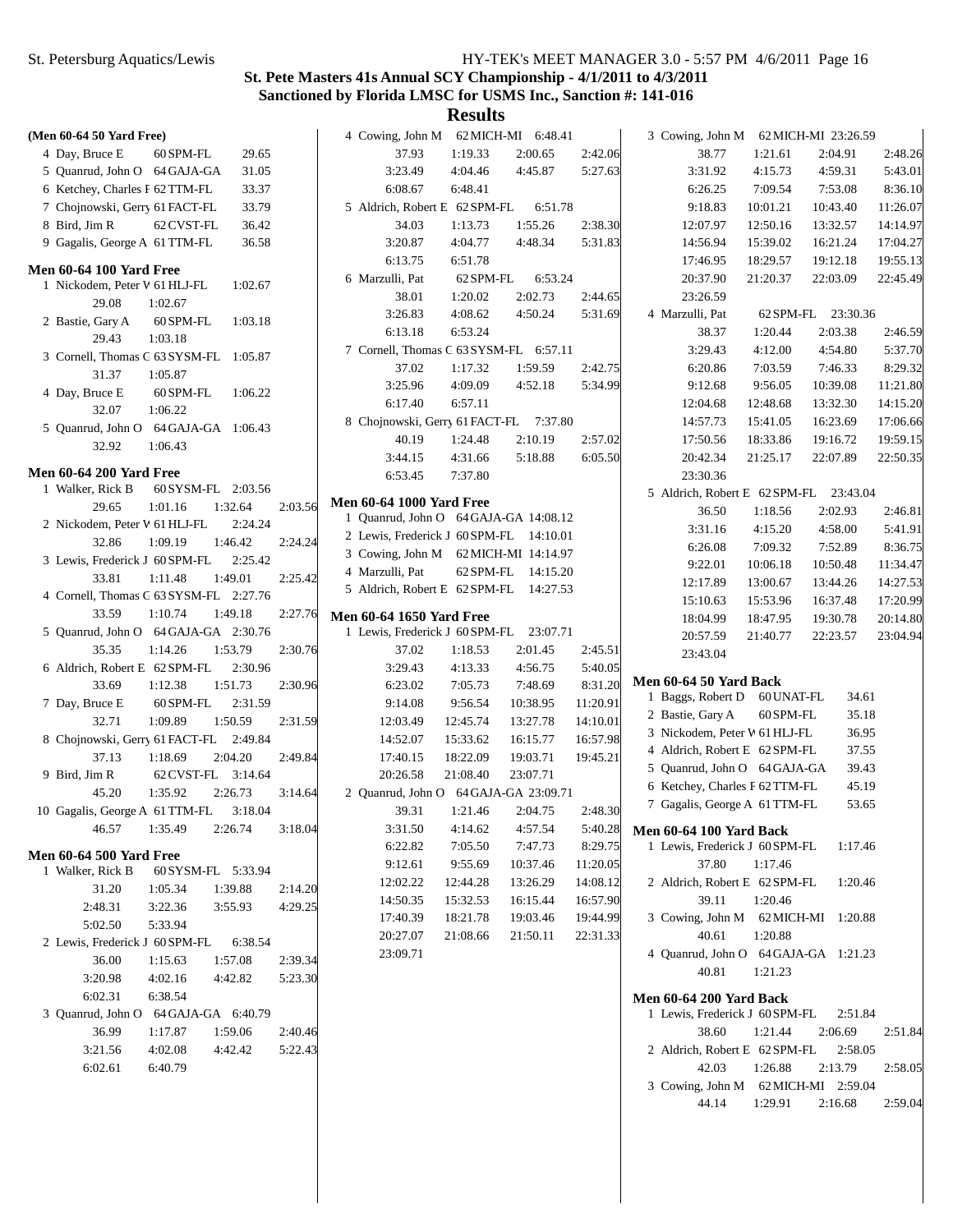# **St. Pete Masters 41s Annual SCY Championship - 4/1/2011 to 4/3/2011 Sanctioned by Florida LMSC for USMS Inc., Sanction #: 141-016**

| (Men 60-64 50 Yard Free)                  |         | 4   |
|-------------------------------------------|---------|-----|
| 60 SPM-FL 29.65<br>4 Day, Bruce E         |         |     |
| 5 Quanrud, John O 64 GAJA-GA<br>31.05     |         |     |
| 6 Ketchey, Charles F 62 TTM-FL<br>33.37   |         |     |
| 7 Chojnowski, Gerry 61 FACT-FL 33.79      |         | 5   |
| 62 CVST-FL 36.42<br>8 Bird, Jim R         |         |     |
| 9 Gagalis, George A 61 TTM-FL 36.58       |         |     |
| <b>Men 60-64 100 Yard Free</b>            |         |     |
| 1 Nickodem, Peter V 61 HLJ-FL 1:02.67     |         | 6   |
| 29.08<br>1:02.67                          |         |     |
| 2 Bastie, Gary A 60 SPM-FL 1:03.18        |         |     |
| 29.43<br>1:03.18                          |         |     |
| 3 Cornell, Thomas C 63 SYSM-FL 1:05.87    |         | 7   |
| 31.37<br>1:05.87                          |         |     |
| 4 Day, Bruce E 60 SPM-FL 1:06.22          |         |     |
| 32.07 1:06.22                             |         |     |
| 5 Quanrud, John O 64 GAJA-GA 1:06.43      |         | 8   |
| 32.92<br>1:06.43                          |         |     |
|                                           |         |     |
| <b>Men 60-64 200 Yard Free</b>            |         |     |
| 1 Walker, Rick B 60 SYSM-FL 2:03.56       |         |     |
| 29.65<br>1:01.16<br>1:32.64               | 2:03.56 | Men |
| 2 Nickodem, Peter V 61 HLJ-FL<br>2:24.24  |         | 1   |
| 32.86<br>1:09.19<br>1:46.42               | 2:24.24 | 2   |
| 3 Lewis, Frederick J 60 SPM-FL 2:25.42    |         | 3   |
| 33.81<br>1:11.48<br>1:49.01               | 2:25.42 | 4   |
| 4 Cornell, Thomas C 63 SYSM-FL 2:27.76    |         | 5   |
| 33.59<br>1:10.74<br>1:49.18               | 2:27.76 | Men |
| 5 Quanrud, John O 64 GAJA-GA 2:30.76      |         | 1   |
|                                           |         |     |
| 35.35<br>1:14.26<br>1:53.79               | 2:30.76 |     |
| 6 Aldrich, Robert E 62 SPM-FL<br>2:30.96  |         |     |
| 1:51.73<br>33.69<br>1:12.38               | 2:30.96 |     |
| 7 Day, Bruce E 60 SPM-FL 2:31.59          |         |     |
| 32.71<br>$1:09.89$ $1:50.59$              | 2:31.59 |     |
| 8 Chojnowski, Gerry 61 FACT-FL 2:49.84    |         |     |
| 1:18.69<br>2:04.20<br>37.13               | 2:49.84 |     |
| 9 Bird, Jim R 62 CVST-FL 3:14.64          |         |     |
| 45.20<br>1:35.92 2:26.73                  | 3:14.64 | 2   |
| 10 Gagalis, George A 61 TTM-FL<br>3:18.04 |         |     |
| 46.57<br>1:35.49<br>2:26.74               | 3:18.04 |     |
|                                           |         |     |
| <b>Men 60-64 500 Yard Free</b>            |         |     |
| 1 Walker, Rick B 60 SYSM-FL 5:33.94       |         |     |
| 31.20 1:05.34<br>1:39.88                  | 2:14.20 |     |
| 2:48.31<br>3:22.36 3:55.93                | 4:29.25 |     |
| 5:02.50    5:33.94                        |         |     |
| 2 Lewis, Frederick J 60SPM-FL 6:38.54     |         |     |
| 36.00<br>1:15.63<br>1:57.08               | 2:39.34 |     |
| 3:20.98<br>$4:02.16$ $4:42.82$            | 5:23.30 |     |
| 6:02.31 6:38.54                           |         |     |
| 3 Ouanrud, John O 64 GAJA-GA 6:40.79      |         |     |
| 36.99<br>1:17.87<br>1:59.06               | 2:40.46 |     |
| 3:21.56<br>4:02.08<br>4:42.42             | 5:22.43 |     |
| 6:02.61<br>6:40.79                        |         |     |

| 4 Cowing, John M 62 MICH-MI 6:48.41                                        |          |                                        |          |
|----------------------------------------------------------------------------|----------|----------------------------------------|----------|
| 37.93                                                                      |          | 1:19.33  2:00.65  2:42.06              |          |
| 3:23.49                                                                    |          | 4:04.46 4:45.87 5:27.63                |          |
| 6:08.67                                                                    | 6:48.41  |                                        |          |
| 5 Aldrich, Robert E 62 SPM-FL 6:51.78                                      |          |                                        |          |
| 34.03                                                                      |          | 1:13.73  1:55.26  2:38.30              |          |
|                                                                            |          | 3:20.87 4:04.77 4:48.34 5:31.83        |          |
| 6:13.75 6:51.78                                                            |          |                                        |          |
| 6 Marzulli, Pat 62 SPM-FL 6:53.24                                          |          |                                        |          |
|                                                                            |          | 38.01  1:20.02  2:02.73  2:44.65       |          |
|                                                                            |          | 3:26.83 4:08.62 4:50.24 5:31.69        |          |
| 6:13.18 6:53.24                                                            |          |                                        |          |
| 7 Cornell, Thomas G 63 SYSM-FL 6:57.11                                     |          |                                        |          |
| 37.02                                                                      | 1:17.32  | 1:59.59                                | 2:42.75  |
| 3:25.96                                                                    | 4:09.09  | 4:52.18 5:34.99                        |          |
| 6:17.40                                                                    | 6:57.11  |                                        |          |
| 8 Chojnowski, Gerry 61 FACT-FL 7:37.80                                     |          |                                        |          |
| 40.19                                                                      |          | 1:24.48 2:10.19 2:57.02                |          |
|                                                                            |          | 3:44.15 4:31.66 5:18.88 6:05.50        |          |
| 6:53.45 7:37.80                                                            |          |                                        |          |
| <b>Men 60-64 1000 Yard Free</b>                                            |          |                                        |          |
| 1 Quanrud, John O 64 GAJA-GA 14:08.12                                      |          |                                        |          |
| 2 Lewis, Frederick J 60 SPM-FL 14:10.01                                    |          |                                        |          |
| 3 Cowing, John M 62 MICH-MI 14:14.97<br>4 Marzulli, Pat 62 SPM-FL 14:15.20 |          |                                        |          |
|                                                                            |          |                                        |          |
| 5 Aldrich, Robert E 62 SPM-FL 14:27.53                                     |          |                                        |          |
| <b>Men 60-64 1650 Yard Free</b>                                            |          |                                        |          |
| 1 Lewis, Frederick J 60 SPM-FL 23:07.71                                    |          |                                        |          |
| 37.02                                                                      | 1:18.53  | 2:01.45                                | 2:45.51  |
| 3:29.43 4:13.33                                                            |          | 4:56.75                                | 5:40.05  |
| 6:23.02                                                                    | 7:05.73  | 7:48.69                                | 8:31.20  |
| 9:14.08                                                                    | 9:56.54  | 10:38.95                               | 11:20.91 |
| 12:03.49                                                                   | 12:45.74 | 13:27.78                               | 14:10.01 |
| 14:52.07                                                                   | 15:33.62 | 16:15.77                               | 16:57.98 |
|                                                                            |          | 17:40.15  18:22.09  19:03.71  19:45.21 |          |
| 20:26.58 21:08.40                                                          |          | 23:07.71                               |          |
| 2 Quanrud, John O 64 GAJA-GA 23:09.71                                      |          |                                        |          |
|                                                                            |          | 39.31 1:21.46 2:04.75 2:48.30          |          |
| 3:31.50                                                                    | 4:14.62  | 4:57.54                                | 5:40.28  |
| 6:22.82                                                                    | 7:05.50  | 7:47.73                                | 8:29.75  |
| 9:12.61                                                                    | 9:55.69  | 10:37.46                               | 11:20.05 |
| 12:02.22                                                                   | 12:44.28 | 13:26.29                               | 14:08.12 |
| 14:50.35                                                                   | 15:32.53 | 16:15.44                               | 16:57.90 |
| 17:40.39                                                                   | 18:21.78 | 19:03.46                               | 19:44.99 |
| 20:27.07                                                                   | 21:08.66 | 21:50.11                               | 22:31.33 |
| 23:09.71                                                                   |          |                                        |          |

| 3 Cowing, John M 62 MICH-MI 23:26.59   |                              |          |          |          |
|----------------------------------------|------------------------------|----------|----------|----------|
| 38.77                                  | 1:21.61                      |          | 2:04.91  | 2:48.26  |
| 3:31.92                                | 4:15.73                      |          | 4:59.31  | 5:43.01  |
| 6:26.25                                | 7:09.54                      |          | 7:53.08  | 8:36.10  |
| 9:18.83                                | 10:01.21  10:43.40           |          |          | 11:26.07 |
| 12:07.97  12:50.16  13:32.57           |                              |          |          | 14:14.97 |
| 14:56.94  15:39.02  16:21.24           |                              |          |          | 17:04.27 |
| 17:46.95                               | 18:29.57  19:12.18  19:55.13 |          |          |          |
| 20:37.90                               | 21:20.37                     |          | 22:03.09 | 22:45.49 |
| 23:26.59                               |                              |          |          |          |
| 4 Marzulli, Pat                        | 62 SPM-FL 23:30.36           |          |          |          |
| 38.37                                  | 1:20.44                      |          | 2:03.38  |          |
|                                        |                              |          |          | 2:46.59  |
| 3:29.43                                | 4:12.00                      |          | 4:54.80  | 5:37.70  |
| 6:20.86                                | 7:03.59                      |          | 7:46.33  | 8:29.32  |
| 9:12.68                                | 9:56.05                      |          | 10:39.08 | 11:21.80 |
| 12:04.68                               | 12:48.68                     |          | 13:32.30 | 14:15.20 |
| 14:57.73   15:41.05                    |                              |          | 16:23.69 | 17:06.66 |
| 17:50.56  18:33.86  19:16.72           |                              |          |          | 19:59.15 |
| 20:42.34                               | 21:25.17 22:07.89            |          |          | 22:50.35 |
| 23:30.36                               |                              |          |          |          |
| 5 Aldrich, Robert E 62 SPM-FL 23:43.04 |                              |          |          |          |
| 36.50                                  | 1:18.56                      |          | 2:02.93  | 2:46.81  |
| 3:31.16                                | 4:15.20                      |          | 4:58.00  | 5:41.91  |
| 6:26.08                                | 7:09.32                      |          | 7:52.89  | 8:36.75  |
| 9:22.01                                | 10:06.18                     | 10:50.48 |          | 11:34.47 |
| 12:17.89                               | 13:00.67                     |          | 13:44.26 | 14:27.53 |
| 15:10.63                               | 15:53.96                     |          | 16:37.48 | 17:20.99 |
| 18:04.99                               | 18:47.95                     |          | 19:30.78 | 20:14.80 |
| 20:57.59                               | 21:40.77                     |          | 22:23.57 | 23:04.94 |
| 23:43.04                               |                              |          |          |          |
|                                        |                              |          |          |          |
| <b>Men 60-64 50 Yard Back</b>          |                              |          |          |          |
| 1 Baggs, Robert D 60 UNAT-FL           |                              |          | 34.61    |          |
| 2 Bastie, Gary A 60 SPM-FL             |                              |          | 35.18    |          |
| 3 Nickodem, Peter V 61 HLJ-FL          |                              |          | 36.95    |          |
| 4 Aldrich, Robert E 62 SPM-FL          |                              |          | 37.55    |          |
| 5 Quanrud, John O 64 GAJA-GA           |                              |          | 39.43    |          |
| 6 Ketchey, Charles F 62 TTM-FL 45.19   |                              |          |          |          |
| 7 Gagalis, George A 61 TTM-FL          |                              |          | 53.65    |          |
| <b>Men 60-64 100 Yard Back</b>         |                              |          |          |          |
| 1 Lewis, Frederick J 60 SPM-FL 1:17.46 |                              |          |          |          |
| 37.80                                  | 1:17.46                      |          |          |          |
| 2 Aldrich, Robert E 62 SPM-FL 1:20.46  |                              |          |          |          |
| 39.11                                  | 1:20.46                      |          |          |          |
| 3 Cowing, John M 62 MICH-MI 1:20.88    |                              |          |          |          |
| 40.61                                  | 1:20.88                      |          |          |          |
| 4 Quanrud, John O 64 GAJA-GA 1:21.23   |                              |          |          |          |
|                                        |                              |          |          |          |
| 40.81 1:21.23                          |                              |          |          |          |
| <b>Men 60-64 200 Yard Back</b>         |                              |          |          |          |
| 1 Lewis, Frederick J 60 SPM-FL 2:51.84 |                              |          |          |          |
| 38.60                                  | 1:21.44 2:06.69              |          |          | 2:51.84  |
| 2 Aldrich, Robert E 62 SPM-FL 2:58.05  |                              |          |          |          |
| 42.03 1:26.88 2:13.79                  |                              |          |          | 2:58.05  |
| 3 Cowing, John M 62 MICH-MI 2:59.04    |                              |          |          |          |
| 44.14  1:29.91  2:16.68                |                              |          |          | 2:59.04  |
|                                        |                              |          |          |          |
|                                        |                              |          |          |          |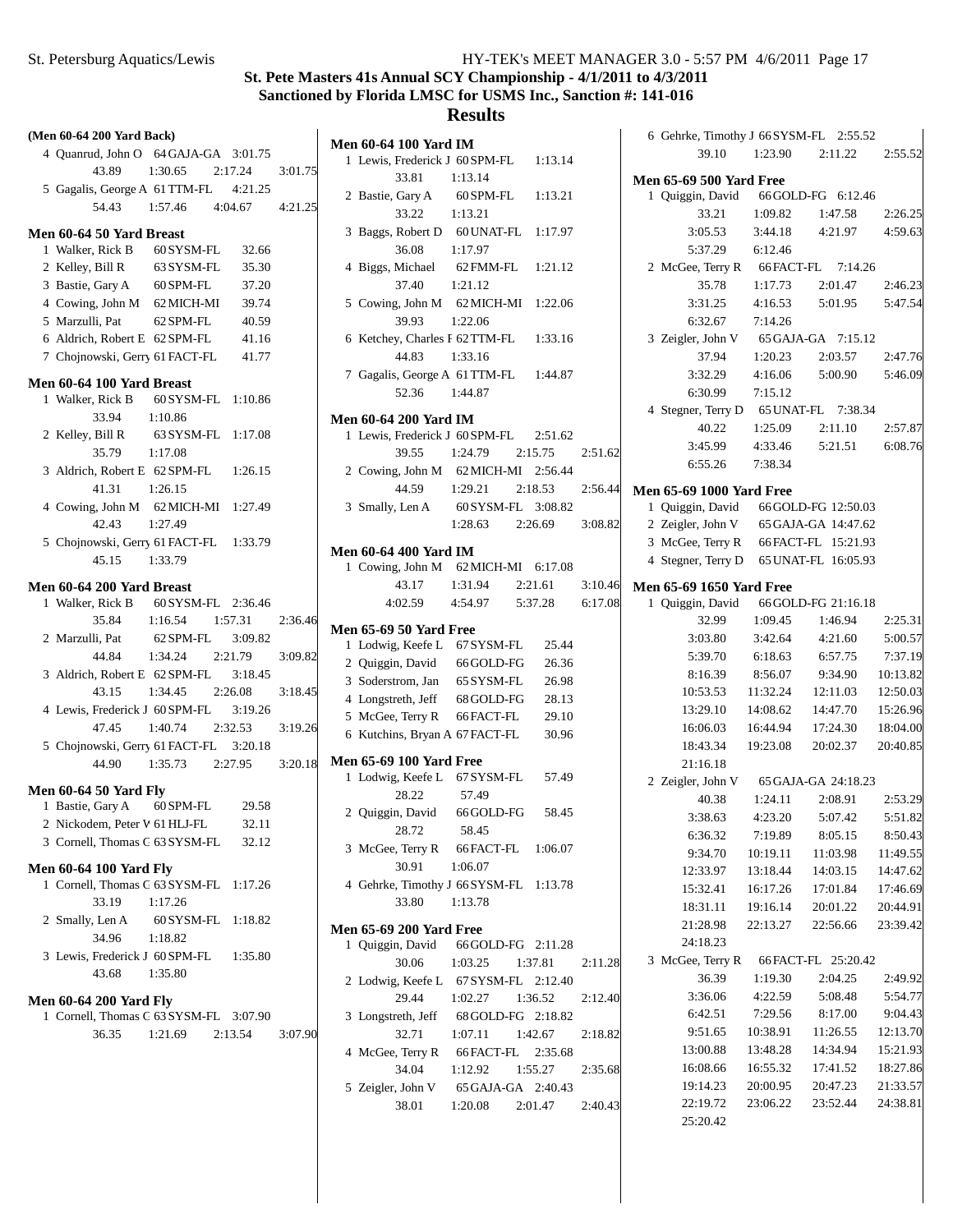# **St. Pete Masters 41s Annual SCY Championship - 4/1/2011 to 4/3/2011 Sanctioned by Florida LMSC for USMS Inc., Sanction #: 141-016**

## **Results**

**Men 60-64 100 Yard IM**

|  | (Men 60-64 200 Yard Back)                                               |                                  |       |         |
|--|-------------------------------------------------------------------------|----------------------------------|-------|---------|
|  | 4 Quanrud, John O 64 GAJA-GA 3:01.75                                    |                                  |       |         |
|  |                                                                         | 43.89 1:30.65 2:17.24 3:01.75    |       |         |
|  | 5 Gagalis, George A 61 TTM-FL 4:21.25                                   |                                  |       |         |
|  |                                                                         | 54.43 1:57.46 4:04.67 4:21.25    |       |         |
|  |                                                                         |                                  |       |         |
|  | Men 60-64 50 Yard Breast                                                |                                  | 32.66 |         |
|  | 1 Walker, Rick B 60 SYSM-FL<br>2 Kelley, Bill R 63 SYSM-FL 35.30        |                                  |       |         |
|  | 3 Bastie, Gary A 60 SPM-FL                                              |                                  | 37.20 |         |
|  | 4 Cowing, John M 62 MICH-MI 39.74                                       |                                  |       |         |
|  | 5 Marzulli, Pat                                                         | 62 SPM-FL 40.59                  |       |         |
|  | 6 Aldrich, Robert E 62 SPM-FL                                           |                                  | 41.16 |         |
|  | 7 Chojnowski, Gerry 61 FACT-FL 41.77                                    |                                  |       |         |
|  |                                                                         |                                  |       |         |
|  | Men 60-64 100 Yard Breast<br>1 Walker, Rick B 60 SYSM-FL 1:10.86        |                                  |       |         |
|  | 33.94 1:10.86                                                           |                                  |       |         |
|  | 2 Kelley, Bill R 63 SYSM-FL 1:17.08                                     |                                  |       |         |
|  | 35.79                                                                   | 1:17.08                          |       |         |
|  | 3 Aldrich, Robert E 62 SPM-FL 1:26.15                                   |                                  |       |         |
|  | 41.31                                                                   | 1:26.15                          |       |         |
|  | 4 Cowing, John M 62 MICH-MI 1:27.49                                     |                                  |       |         |
|  | 42.43                                                                   | 1:27.49                          |       |         |
|  | 5 Chojnowski, Gerry 61 FACT-FL 1:33.79                                  |                                  |       |         |
|  | 45.15 1:33.79                                                           |                                  |       |         |
|  |                                                                         |                                  |       |         |
|  | Men 60-64 200 Yard Breast<br>1 Walker, Rick B 60 SYSM-FL 2:36.46        |                                  |       |         |
|  |                                                                         | 35.84 1:16.54 1:57.31            |       | 2:36.46 |
|  | 2 Marzulli, Pat 62 SPM-FL 3:09.82                                       |                                  |       |         |
|  | 44.84                                                                   | 1:34.24 2:21.79                  |       | 3:09.82 |
|  | 3 Aldrich, Robert E 62 SPM-FL 3:18.45                                   |                                  |       |         |
|  | 43.15                                                                   | 1:34.45 2:26.08                  |       | 3:18.45 |
|  | 4 Lewis, Frederick J 60 SPM-FL 3:19.26                                  |                                  |       |         |
|  | 47.45                                                                   | 1:40.74 2:32.53                  |       | 3:19.26 |
|  | 5 Chojnowski, Gerry 61 FACT-FL 3:20.18                                  |                                  |       |         |
|  |                                                                         | 44.90  1:35.73  2:27.95  3:20.18 |       |         |
|  | <b>Men 60-64 50 Yard Fly</b>                                            |                                  |       |         |
|  | 1 Bastie, Gary A 60 SPM-FL 29.58                                        |                                  |       |         |
|  | 2 Nickodem, Peter V 61 HLJ-FL                                           |                                  | 32.11 |         |
|  | 3 Cornell, Thomas C 63 SYSM-FL                                          |                                  | 32.12 |         |
|  |                                                                         |                                  |       |         |
|  | <b>Men 60-64 100 Yard Fly</b><br>1 Cornell, Thomas C 63 SYSM-FL 1:17.26 |                                  |       |         |
|  | 33.19                                                                   | 1:17.26                          |       |         |
|  | 2 Smally, Len A 60 SYSM-FL 1:18.82                                      |                                  |       |         |
|  | 34.96                                                                   | 1:18.82                          |       |         |
|  | 3 Lewis, Frederick J 60 SPM-FL 1:35.80                                  |                                  |       |         |
|  | 43.68                                                                   | 1:35.80                          |       |         |
|  |                                                                         |                                  |       |         |
|  | Men 60-64 200 Yard Fly                                                  |                                  |       |         |
|  | 1 Cornell, Thomas C 63 SYSM-FL 3:07.90<br>36.35                         | $1:21.69$ $2:13.54$ $3:07.90$    |       |         |
|  |                                                                         |                                  |       |         |
|  |                                                                         |                                  |       |         |
|  |                                                                         |                                  |       |         |

|  | 1 Lewis, Frederick J 60 SPM-FL 1:13.14                       |                                    |         |         |
|--|--------------------------------------------------------------|------------------------------------|---------|---------|
|  | 33.81                                                        | 1:13.14                            |         |         |
|  | 2 Bastie, Gary A 60 SPM-FL 1:13.21                           |                                    |         |         |
|  | $33.22 \t1:13.21$                                            |                                    |         |         |
|  | 3 Baggs, Robert D 60 UNAT-FL 1:17.97                         |                                    |         |         |
|  | 36.08 1:17.97                                                |                                    |         |         |
|  | 4 Biggs, Michael 62 FMM-FL 1:21.12                           |                                    |         |         |
|  | 37.40                                                        | 1:21.12                            |         |         |
|  | 5 Cowing, John M 62 MICH-MI 1:22.06                          |                                    |         |         |
|  | 39.93                                                        | 1:22.06                            |         |         |
|  | 6 Ketchey, Charles F 62 TTM-FL 1:33.16                       |                                    |         |         |
|  | 44.83                                                        | 1:33.16                            |         |         |
|  | 7 Gagalis, George A 61 TTM-FL 1:44.87                        |                                    |         |         |
|  | 52.36 1:44.87                                                |                                    |         |         |
|  |                                                              |                                    |         |         |
|  | <b>Men 60-64 200 Yard IM</b>                                 |                                    |         |         |
|  | 1 Lewis, Frederick J 60 SPM-FL 2:51.62                       |                                    |         |         |
|  |                                                              | 39.55 1:24.79 2:15.75              |         | 2:51.62 |
|  | 2 Cowing, John M 62 MICH-MI 2:56.44                          |                                    |         |         |
|  | 44.59                                                        | $1:29.21$ $2:18.53$ $2:56.44$      |         |         |
|  | 3 Smally, Len A 60 SYSM-FL 3:08.82                           |                                    |         |         |
|  |                                                              | 1:28.63 2:26.69 3:08.82            |         |         |
|  | Men 60-64 400 Yard IM                                        |                                    |         |         |
|  | 1 Cowing, John M 62 MICH-MI 6:17.08                          |                                    |         |         |
|  |                                                              | 43.17 1:31.94 2:21.61 3:10.46      |         |         |
|  |                                                              | 4:02.59  4:54.97  5:37.28  6:17.08 |         |         |
|  |                                                              |                                    |         |         |
|  | <b>Men 65-69 50 Yard Free</b>                                |                                    |         |         |
|  | 1 Lodwig, Keefe L 67 SYSM-FL 25.44                           |                                    |         |         |
|  | 2 Quiggin, David 66 GOLD-FG 26.36                            |                                    |         |         |
|  | 3 Soderstrom, Jan 65 SYSM-FL 26.98                           |                                    |         |         |
|  | 4 Longstreth, Jeff 68 GOLD-FG 28.13                          |                                    |         |         |
|  | 5 McGee, Terry R 66 FACT-FL 29.10                            |                                    |         |         |
|  | 6 Kutchins, Bryan A 67 FACT-FL 30.96                         |                                    |         |         |
|  | <b>Men 65-69 100 Yard Free</b>                               |                                    |         |         |
|  | 1 Lodwig, Keefe L 67 SYSM-FL 57.49                           |                                    |         |         |
|  | 28.22                                                        | 57.49                              |         |         |
|  | 2 Quiggin, David 66 GOLD-FG 58.45                            |                                    |         |         |
|  | 28.72                                                        | 58.45                              |         |         |
|  | 3 McGee, Terry R 66 FACT-FL 1:06.07                          |                                    |         |         |
|  | 30.91                                                        | 1:06.07                            |         |         |
|  | 4 Gehrke, Timothy J 66 SYSM-FL 1:13.78                       |                                    |         |         |
|  | 33.80                                                        | 1:13.78                            |         |         |
|  |                                                              |                                    |         |         |
|  | <b>Men 65-69 200 Yard Free</b>                               |                                    |         |         |
|  | 1 Quiggin, David 66 GOLD-FG 2:11.28<br>30.06 1:03.25 1:37.81 |                                    |         |         |
|  |                                                              |                                    |         | 2:11.28 |
|  | 2 Lodwig, Keefe L 67 SYSM-FL 2:12.40                         |                                    |         |         |
|  | 29.44                                                        | 1:02.27                            | 1:36.52 | 2:12.40 |
|  | 3 Longstreth, Jeff 68 GOLD-FG 2:18.82                        |                                    |         |         |
|  | 32.71                                                        | 1:07.11                            | 1:42.67 | 2:18.82 |
|  | 4 McGee, Terry R 66 FACT-FL 2:35.68                          |                                    |         |         |
|  | 34.04 1:12.92                                                |                                    | 1:55.27 | 2:35.68 |
|  | 5 Zeigler, John V 65 GAJA-GA 2:40.43                         |                                    |         |         |
|  | 38.01                                                        | 1:20.08 2:01.47                    |         | 2:40.43 |
|  |                                                              |                                    |         |         |

| 6 Gehrke, Timothy J 66 SYSM-FL 2:55.52                                        |          |                                        |                      |
|-------------------------------------------------------------------------------|----------|----------------------------------------|----------------------|
| 39.10                                                                         |          | 1:23.90 2:11.22 2:55.52                |                      |
| <b>Men 65-69 500 Yard Free</b>                                                |          |                                        |                      |
| 1 Quiggin, David 66 GOLD-FG 6:12.46                                           |          |                                        |                      |
| 33.21                                                                         |          | 1:09.82   1:47.58                      | 2:26.25              |
| 3:05.53                                                                       | 3:44.18  | 4:21.97 4:59.63                        |                      |
| 5:37.29 6:12.46                                                               |          |                                        |                      |
| 2 McGee, Terry R 66 FACT-FL 7:14.26                                           |          |                                        |                      |
| 35.78                                                                         |          | $1:17.73$ $2:01.47$                    | 2:46.23              |
| 3:31.25                                                                       | 4:16.53  | 5:01.95                                | 5:47.54              |
| 6:32.67                                                                       | 7:14.26  |                                        |                      |
| 3 Zeigler, John V 65 GAJA-GA 7:15.12                                          |          |                                        |                      |
| 37.94                                                                         |          | 1:20.23 2:03.57 2:47.76                |                      |
|                                                                               |          | 3:32.29  4:16.06  5:00.90  5:46.09     |                      |
| 6:30.99 7:15.12                                                               |          |                                        |                      |
| 4 Stegner, Terry D 65 UNAT-FL 7:38.34                                         |          |                                        |                      |
|                                                                               |          | 40.22   1:25.09   2:11.10   2:57.87    |                      |
| 3:45.99                                                                       | 4:33.46  | 5:21.51 6:08.76                        |                      |
| 6:55.26 7:38.34                                                               |          |                                        |                      |
| <b>Men 65-69 1000 Yard Free</b>                                               |          |                                        |                      |
| 1 Quiggin, David 66 GOLD-FG 12:50.03<br>2 Zeigler, John V 65 GAJA-GA 14:47.62 |          |                                        |                      |
| 3 McGee, Terry R 66 FACT-FL 15:21.93                                          |          |                                        |                      |
| 4 Stegner, Terry D 65 UNAT-FL 16:05.93                                        |          |                                        |                      |
|                                                                               |          |                                        |                      |
| Men 65-69 1650 Yard Free                                                      |          |                                        |                      |
| 1 Quiggin, David 66 GOLD-FG 21:16.18                                          |          |                                        |                      |
| 32.99                                                                         | 1:09.45  | 1:46.94                                | 2:25.31              |
| 3:03.80                                                                       | 3:42.64  | 4:21.60                                | 5:00.57              |
| 5:39.70                                                                       | 6:18.63  | 6:57.75                                | 7:37.19              |
| 8:16.39                                                                       |          | 8:56.07 9:34.90                        | 10:13.82<br>12:50.03 |
| 10:53.53<br>13:29.10                                                          |          | 11:32.24 12:11.03<br>14:08.62 14:47.70 | 15:26.96             |
| 16:06.03                                                                      |          | 16:44.94 17:24.30                      | 18:04.00             |
| 18:43.34                                                                      |          | 19:23.08 20:02.37                      | 20:40.85             |
| 21:16.18                                                                      |          |                                        |                      |
| 2 Zeigler, John V 65 GAJA-GA 24:18.23                                         |          |                                        |                      |
| 40.38                                                                         |          | $1:24.11$ $2:08.91$                    | 2:53.29              |
| 3:38.63                                                                       | 4:23.20  | 5:07.42                                | 5:51.82              |
| 6:36.32                                                                       | 7:19.89  | 8:05.15                                | 8:50.43              |
| 9:34.70                                                                       | 10:19.11 | 11:03.98                               | 11:49.55             |
| 12:33.97                                                                      | 13:18.44 | 14:03.15                               | 14:47.62             |
| 15:32.41                                                                      | 16:17.26 | 17:01.84                               | 17:46.69             |
| 18:31.11                                                                      |          | 19:16.14 20:01.22                      | 20:44.91             |
| 21:28.98                                                                      | 22:13.27 | 22:56.66                               | 23:39.42             |
| 24:18.23                                                                      |          |                                        |                      |
| 3 McGee, Terry R 66 FACT-FL 25:20.42                                          |          |                                        |                      |
| 36.39                                                                         | 1:19.30  | 2:04.25                                | 2:49.92              |
| 3:36.06                                                                       | 4:22.59  | 5:08.48                                | 5:54.77              |
| 6:42.51                                                                       | 7:29.56  | 8:17.00                                | 9:04.43              |
| 9:51.65                                                                       | 10:38.91 | 11:26.55                               | 12:13.70             |
| 13:00.88                                                                      | 13:48.28 | 14:34.94                               | 15:21.93             |
| 16:08.66                                                                      | 16:55.32 | 17:41.52                               | 18:27.86             |
| 19:14.23                                                                      |          | 20:00.95 20:47.23                      | 21:33.57             |
| 22:19.72                                                                      |          | 23:06.22 23:52.44                      | 24:38.81             |
| 25:20.42                                                                      |          |                                        |                      |
|                                                                               |          |                                        |                      |

 $\overline{\phantom{a}}$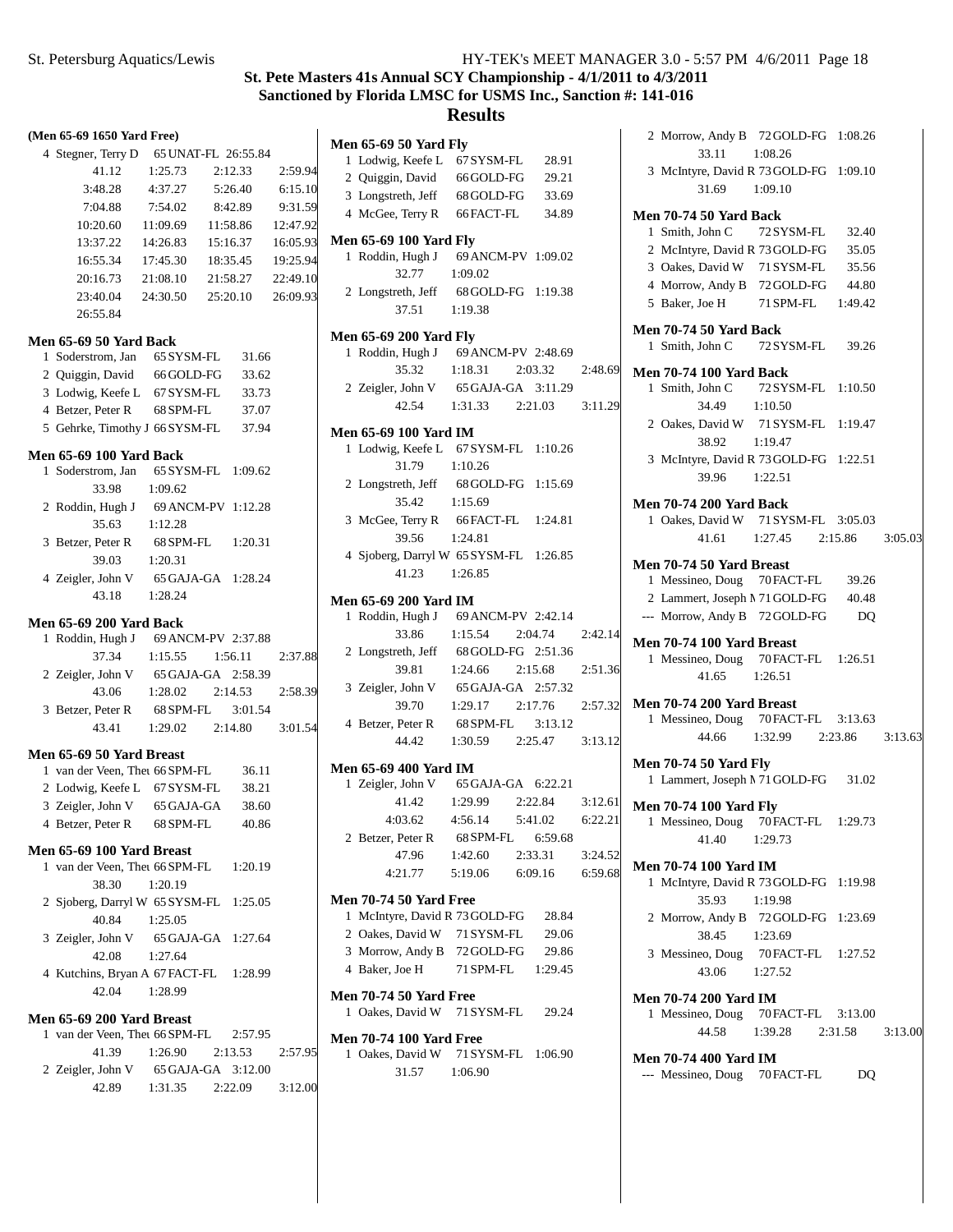# **Results**

| (Men 65-69 1650 Yard Free)                                             |                               |          |                    |
|------------------------------------------------------------------------|-------------------------------|----------|--------------------|
| 4 Stegner, Terry D 65 UNAT-FL 26:55.84                                 |                               |          |                    |
| 41.12                                                                  | 1:25.73                       | 2:12.33  | 2:59.94            |
| 3:48.28                                                                | 4:37.27 5:26.40               |          | 6:15.10            |
| 7:04.88 7:54.02 8:42.89 9:31.59                                        |                               |          |                    |
| 10:20.60 11:09.69                                                      |                               | 11:58.86 | 12:47.92           |
| 13:37.22  14:26.83                                                     |                               |          | 15:16.37  16:05.93 |
| 16:55.34 17:45.30                                                      |                               |          | 18:35.45  19:25.94 |
| 20:16.73  21:08.10  21:58.27  22:49.10                                 |                               |          |                    |
| 23:40.04                                                               | 24:30.50 25:20.10 26:09.93    |          |                    |
| 26:55.84                                                               |                               |          |                    |
| Men 65-69 50 Yard Back                                                 |                               |          |                    |
| 1 Soderstrom, Jan 65 SYSM-FL                                           |                               | 31.66    |                    |
| 2 Quiggin, David 66 GOLD-FG 33.62                                      |                               |          |                    |
| 3 Lodwig, Keefe L 67SYSM-FL 33.73                                      |                               |          |                    |
| 4 Betzer, Peter R                                                      | 68 SPM-FL 37.07               |          |                    |
| 5 Gehrke, Timothy J 66 SYSM-FL 37.94                                   |                               |          |                    |
|                                                                        |                               |          |                    |
| <b>Men 65-69 100 Yard Back</b><br>1 Soderstrom, Jan 65 SYSM-FL 1:09.62 |                               |          |                    |
| 33.98                                                                  | 1:09.62                       |          |                    |
| 2 Roddin, Hugh J 69 ANCM-PV 1:12.28                                    |                               |          |                    |
| 35.63                                                                  | 1:12.28                       |          |                    |
| 3 Betzer, Peter R 68 SPM-FL 1:20.31                                    |                               |          |                    |
| 39.03                                                                  | 1:20.31                       |          |                    |
|                                                                        |                               |          |                    |
| 4 Zeigler, John V 65 GAJA-GA 1:28.24<br>43.18 1:28.24                  |                               |          |                    |
|                                                                        |                               |          |                    |
| <b>Men 65-69 200 Yard Back</b>                                         |                               |          |                    |
| 1 Roddin, Hugh J 69 ANCM-PV 2:37.88                                    |                               |          |                    |
| 37.34                                                                  | 1:15.55                       | 1:56.11  | 2:37.88            |
| 2 Zeigler, John V 65 GAJA-GA 2:58.39                                   |                               |          |                    |
| 43.06                                                                  | $1:28.02$ $2:14.53$ $2:58.39$ |          |                    |
| 3 Betzer, Peter R 68 SPM-FL 3:01.54                                    |                               |          |                    |
|                                                                        | 43.41 1:29.02 2:14.80         |          | 3:01.54            |
| Men 65-69 50 Yard Breast                                               |                               |          |                    |
| 1 van der Veen, Thet 66 SPM-FL                                         |                               | 36.11    |                    |
| 2 Lodwig, Keefe L 67 SYSM-FL 38.21                                     |                               |          |                    |
| 3 Zeigler, John V 65 GAJA-GA 38.60                                     |                               |          |                    |
| 4 Betzer, Peter R 68 SPM-FL 40.86                                      |                               |          |                    |
| Men 65-69 100 Yard Breast                                              |                               |          |                    |
| 1 van der Veen, Thet 66 SPM-FL 1:20.19                                 |                               |          |                    |
| 38.30                                                                  | 1:20.19                       |          |                    |
| 2 Sjoberg, Darryl W 65 SYSM-FL 1:25.05                                 |                               |          |                    |
| 40.84                                                                  | 1:25.05                       |          |                    |
| 3 Zeigler, John V                                                      | 65 GAJA-GA 1:27.64            |          |                    |
| 42.08                                                                  | 1:27.64                       |          |                    |
| 4 Kutchins, Bryan A 67 FACT-FL 1:28.99                                 |                               |          |                    |
| 42.04                                                                  | 1:28.99                       |          |                    |
| Men 65-69 200 Yard Breast                                              |                               |          |                    |
| 1 van der Veen, Thet 66 SPM-FL 2:57.95                                 |                               |          |                    |
| 41.39                                                                  | 1:26.90                       | 2:13.53  | 2:57.95            |
|                                                                        |                               |          |                    |
| 2 Zeigler, John V 65 GAJA-GA 3:12.00<br>42.89                          | $1:31.35$ $2:22.09$ $3:12.00$ |          |                    |
|                                                                        |                               |          |                    |
|                                                                        |                               |          |                    |

| <b>Men 65-69 50 Yard Fly</b>                                 |                                                                      |         |
|--------------------------------------------------------------|----------------------------------------------------------------------|---------|
|                                                              | 28.91                                                                |         |
| 1 Lodwig, Keefe L 67 SYSM-FL<br>2 Quiggin, David 66 GOLD-FG  | 29.21                                                                |         |
| 3 Longstreth, Jeff 68 GOLD-FG                                | 33.69                                                                |         |
| 4 McGee, Terry R 66 FACT-FL                                  | 34.89                                                                |         |
|                                                              |                                                                      |         |
| <b>Men 65-69 100 Yard Fly</b>                                | 1 Roddin, Hugh J 69 ANCM-PV 1:09.02                                  |         |
| 32.77                                                        | 1:09.02                                                              |         |
|                                                              | 2 Longstreth, Jeff 68 GOLD-FG 1:19.38                                |         |
| 37.51                                                        | 1:19.38                                                              |         |
|                                                              |                                                                      |         |
| Men 65-69 200 Yard Fly                                       |                                                                      |         |
|                                                              | 1 Roddin, Hugh J 69 ANCM-PV 2:48.69                                  |         |
|                                                              | 35.32 1:18.31 2:03.32                                                | 2:48.69 |
|                                                              | 2 Zeigler, John V 65 GAJA-GA 3:11.29                                 |         |
|                                                              | 42.54 1:31.33 2:21.03 3:11.29                                        |         |
| Men 65-69 100 Yard IM                                        |                                                                      |         |
|                                                              | 1 Lodwig, Keefe L 67 SYSM-FL 1:10.26                                 |         |
| 31.79 1:10.26                                                |                                                                      |         |
|                                                              | 2 Longstreth, Jeff 68 GOLD-FG 1:15.69                                |         |
| 35.42 1:15.69                                                |                                                                      |         |
|                                                              | 3 McGee, Terry R 66 FACT-FL 1:24.81                                  |         |
| 39.56                                                        | 1:24.81                                                              |         |
|                                                              | 4 Sjoberg, Darryl W 65 SYSM-FL 1:26.85                               |         |
| 41.23                                                        | 1:26.85                                                              |         |
|                                                              |                                                                      |         |
|                                                              |                                                                      |         |
| Men 65-69 200 Yard IM                                        |                                                                      |         |
|                                                              |                                                                      |         |
|                                                              | 1 Roddin, Hugh J 69 ANCM-PV 2:42.14<br>33.86 1:15.54 2:04.74 2:42.14 |         |
|                                                              | 2 Longstreth, Jeff 68 GOLD-FG 2:51.36                                |         |
| 39.81                                                        | 1:24.66 2:15.68                                                      | 2:51.36 |
|                                                              | 3 Zeigler, John V 65 GAJA-GA 2:57.32                                 |         |
| 39.70                                                        | $1:29.17$ $2:17.76$ $2:57.32$                                        |         |
|                                                              | 4 Betzer, Peter R 68 SPM-FL 3:13.12                                  |         |
|                                                              | 44.42 1:30.59 2:25.47 3:13.12                                        |         |
| <b>Men 65-69 400 Yard IM</b>                                 |                                                                      |         |
|                                                              |                                                                      |         |
|                                                              | 1 Zeigler, John V 65 GAJA-GA 6:22.21<br>41.42 1:29.99 2:22.84        | 3:12.61 |
|                                                              | $4:03.62$ $4:56.14$ $5:41.02$                                        | 6:22.21 |
| 2 Betzer, Peter R 68 SPM-FL                                  | 6:59.68                                                              |         |
| 47.96                                                        | $1:42.60$ $2:33.31$                                                  | 3:24.52 |
| 4:21.77                                                      | 5:19.06 6:09.16 6:59.68                                              |         |
| <b>Men 70-74 50 Yard Free</b>                                |                                                                      |         |
| 1 McIntyre, David R 73 GOLD-FG                               | 28.84                                                                |         |
| 2 Oakes, David W 71 SYSM-FL                                  | 29.06                                                                |         |
| 3 Morrow, Andy B 72 GOLD-FG                                  | 29.86                                                                |         |
|                                                              | 4 Baker, Joe H 71 SPM-FL 1:29.45                                     |         |
|                                                              |                                                                      |         |
| <b>Men 70-74 50 Yard Free</b><br>1 Oakes, David W 71 SYSM-FL | 29.24                                                                |         |

**Men 70-74 100 Yard Free** 1 Oakes, David W 71 SYSM-FL 1:06.90 31.57 1:06.90

|                               | 2 Morrow, Andy B 72 GOLD-FG 1:08.26                                   |       |  |
|-------------------------------|-----------------------------------------------------------------------|-------|--|
|                               | 33.11 1:08.26                                                         |       |  |
|                               | 3 McIntyre, David R 73 GOLD-FG 1:09.10                                |       |  |
|                               | 31.69 1:09.10                                                         |       |  |
| Men 70-74 50 Yard Back        |                                                                       |       |  |
|                               | 1 Smith, John C 72 SYSM-FL 32.40                                      |       |  |
|                               | 2 McIntyre, David R 73 GOLD-FG                                        | 35.05 |  |
|                               | 3 Oakes, David W 71 SYSM-FL                                           | 35.56 |  |
|                               | 4 Morrow, Andy B 72 GOLD-FG 44.80                                     |       |  |
|                               | 5 Baker, Joe H 71 SPM-FL 1:49.42                                      |       |  |
| <b>Men 70-74 50 Yard Back</b> |                                                                       |       |  |
|                               | 1 Smith, John C 72 SYSM-FL 39.26                                      |       |  |
|                               | <b>Men 70-74 100 Yard Back</b>                                        |       |  |
|                               | 1 Smith, John C 72 SYSM-FL 1:10.50                                    |       |  |
|                               | 34.49 1:10.50                                                         |       |  |
|                               | 2 Oakes, David W 71 SYSM-FL 1:19.47                                   |       |  |
| 38.92                         | 1:19.47                                                               |       |  |
|                               | 3 McIntyre, David R 73 GOLD-FG 1:22.51                                |       |  |
|                               | 39.96 1:22.51                                                         |       |  |
|                               | <b>Men 70-74 200 Yard Back</b>                                        |       |  |
|                               |                                                                       |       |  |
|                               | 1 Oakes, David W 71 SYSM-FL 3:05.03<br>41.61 1:27.45 2:15.86 3:05.03  |       |  |
|                               |                                                                       |       |  |
|                               | Men 70-74 50 Yard Breast                                              |       |  |
|                               | 1 Messineo, Doug 70 FACT-FL                                           | 39.26 |  |
|                               | 2 Lammert, Joseph M 71 GOLD-FG 40.48<br>--- Morrow, Andy B 72 GOLD-FG |       |  |
|                               |                                                                       | DQ    |  |
|                               | Men 70-74 100 Yard Breast                                             |       |  |
|                               | 1 Messineo, Doug 70 FACT-FL 1:26.51                                   |       |  |
|                               | 41.65 1:26.51                                                         |       |  |
|                               | Men 70-74 200 Yard Breast                                             |       |  |
|                               | 1 Messineo, Doug 70 FACT-FL 3:13.63                                   |       |  |
|                               | 44.66 1:32.99 2:23.86 3:13.63                                         |       |  |
| <b>Men 70-74 50 Yard Fly</b>  |                                                                       |       |  |
|                               | 1 Lammert, Joseph M 71 GOLD-FG 31.02                                  |       |  |
|                               |                                                                       |       |  |
| <b>Men 70-74 100 Yard Fly</b> |                                                                       |       |  |
|                               | 1 Messineo, Doug 70 FACT-FL 1:29.73                                   |       |  |
|                               | 41.40 1:29.73                                                         |       |  |
| <b>Men 70-74 100 Yard IM</b>  |                                                                       |       |  |
|                               | 1 McIntyre, David R 73 GOLD-FG 1:19.98                                |       |  |
| 35.93                         | 1:19.98                                                               |       |  |
|                               | 2 Morrow, Andy B 72 GOLD-FG 1:23.69                                   |       |  |
| 38.45                         | 1:23.69                                                               |       |  |
|                               | 3 Messineo, Doug 70 FACT-FL 1:27.52                                   |       |  |
|                               | 43.06 1:27.52                                                         |       |  |
| <b>Men 70-74 200 Yard IM</b>  |                                                                       |       |  |
|                               | 1 Messineo, Doug 70 FACT-FL 3:13.00                                   |       |  |
|                               | 44.58 1:39.28 2:31.58 3:13.00                                         |       |  |
| <b>Men 70-74 400 Yard IM</b>  |                                                                       |       |  |
|                               | --- Messineo, Doug 70 FACT-FL DQ                                      |       |  |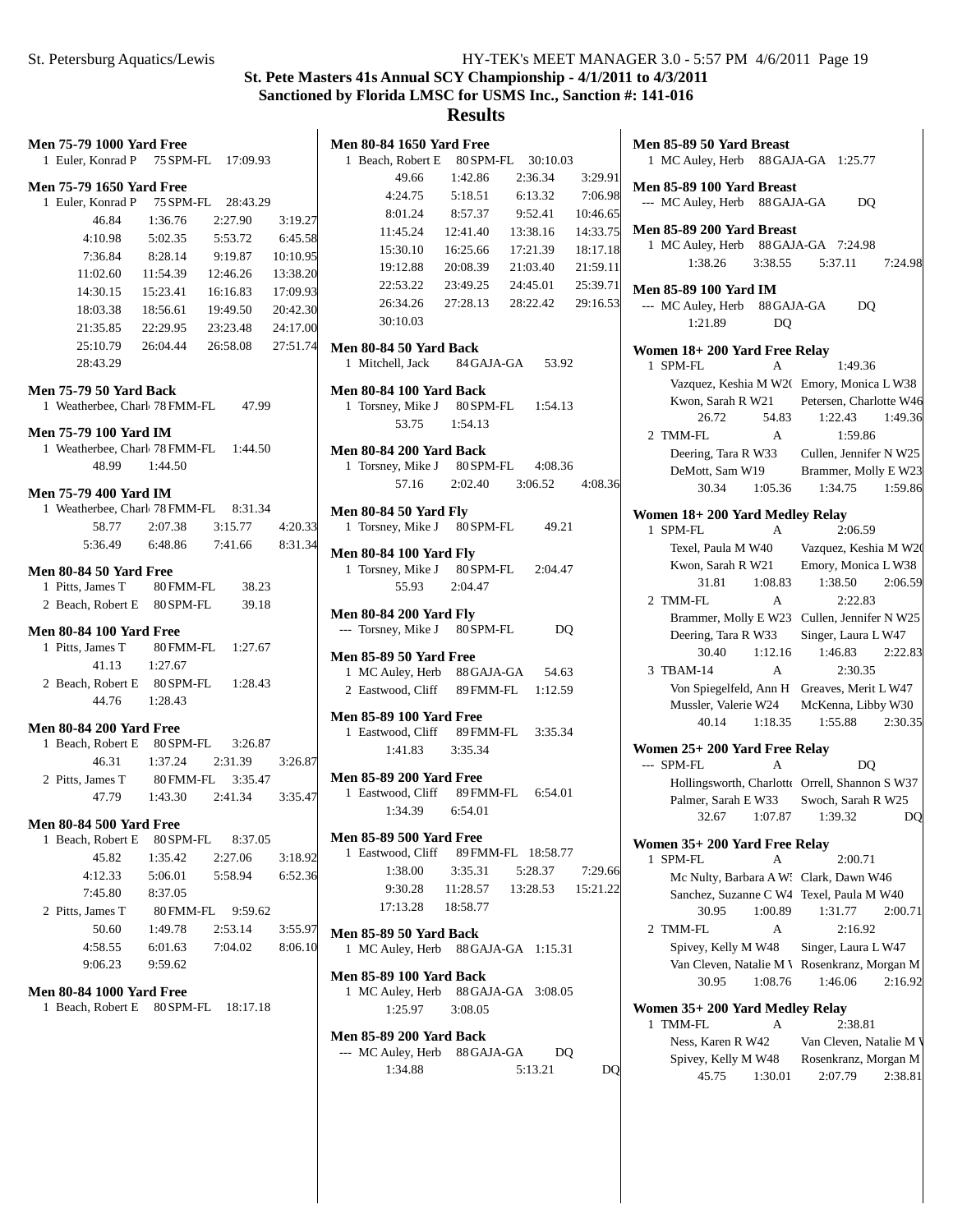## **St. Pete Masters 41s Annual SCY Championship - 4/1/2011 to 4/3/2011 Sanctioned by Florida LMSC for USMS Inc., Sanction #: 141-016 Results**

| <b>Men 75-79 1000 Yard Free</b>                               |           |                    |          | Men 80-84 1650 Yard Free                                                    | Men 85-89 50 Yard Breast                                         |
|---------------------------------------------------------------|-----------|--------------------|----------|-----------------------------------------------------------------------------|------------------------------------------------------------------|
| 1 Euler, Konrad P                                             |           | 75 SPM-FL 17:09.93 |          | 1 Beach, Robert E<br>80 SPM-FL<br>30:10.03                                  | 1 MC Auley, Herb 88 GAJA-GA 1:25.77                              |
| <b>Men 75-79 1650 Yard Free</b>                               |           |                    |          | 2:36.34<br>3:29.91<br>49.66<br>1:42.86                                      | Men 85-89 100 Yard Breast                                        |
| 1 Euler, Konrad P                                             | 75 SPM-FL | 28:43.29           |          | 6:13.32<br>7:06.98<br>4:24.75<br>5:18.51                                    | --- MC Auley, Herb 88 GAJA-GA<br>DQ                              |
| 46.84                                                         | 1:36.76   | 2:27.90            | 3:19.27  | 9:52.41<br>8:01.24<br>8:57.37<br>10:46.65                                   |                                                                  |
| 4:10.98                                                       | 5:02.35   | 5:53.72            | 6:45.58  | 13:38.16<br>14:33.75<br>11:45.24<br>12:41.40                                | Men 85-89 200 Yard Breast<br>1 MC Auley, Herb 88 GAJA-GA 7:24.98 |
| 7:36.84                                                       | 8:28.14   | 9:19.87            | 10:10.95 | 15:30.10<br>17:21.39<br>18:17.18<br>16:25.66                                | 3:38.55<br>7:24.98<br>1:38.26<br>5:37.11                         |
| 11:02.60                                                      | 11:54.39  | 12:46.26           | 13:38.20 | 21:59.11<br>19:12.88<br>20:08.39<br>21:03.40                                |                                                                  |
| 14:30.15                                                      | 15:23.41  | 16:16.83           | 17:09.93 | 22:53.22<br>23:49.25<br>24:45.01<br>25:39.71                                | <b>Men 85-89 100 Yard IM</b>                                     |
| 18:03.38                                                      | 18:56.61  | 19:49.50           | 20:42.30 | 26:34.26<br>27:28.13<br>28:22.42<br>29:16.53                                | --- MC Auley, Herb<br>88 GAJA-GA<br>DQ                           |
| 21:35.85                                                      | 22:29.95  | 23:23.48           | 24:17.00 | 30:10.03                                                                    | 1:21.89<br>DQ                                                    |
| 25:10.79                                                      | 26:04.44  | 26:58.08           | 27:51.74 | Men 80-84 50 Yard Back                                                      | Women 18+200 Yard Free Relay                                     |
| 28:43.29                                                      |           |                    |          | 1 Mitchell, Jack<br>84 GAJA-GA<br>53.92                                     | 1 SPM-FL<br>1:49.36<br>A                                         |
| <b>Men 75-79 50 Yard Back</b>                                 |           |                    |          | <b>Men 80-84 100 Yard Back</b>                                              | Vazquez, Keshia M W2(Emory, Monica L W38)                        |
| 1 Weatherbee, Charl 78 FMM-FL                                 |           | 47.99              |          | 1 Torsney, Mike J<br>80 SPM-FL<br>1:54.13                                   | Kwon, Sarah R W21<br>Petersen, Charlotte W46                     |
|                                                               |           |                    |          | 53.75<br>1:54.13                                                            | 26.72<br>1:22.43<br>1:49.36<br>54.83                             |
| <b>Men 75-79 100 Yard IM</b><br>1 Weatherbee, Charl 78 FMM-FL |           | 1:44.50            |          |                                                                             | A<br>1:59.86<br>2 TMM-FL                                         |
| 48.99                                                         | 1:44.50   |                    |          | <b>Men 80-84 200 Yard Back</b><br>1 Torsney, Mike J<br>80 SPM-FL<br>4:08.36 | Deering, Tara R W33<br>Cullen, Jennifer N W25                    |
|                                                               |           |                    |          | 2:02.40<br>57.16<br>3:06.52<br>4:08.36                                      | DeMott, Sam W19<br>Brammer, Molly E W23                          |
| <b>Men 75-79 400 Yard IM</b>                                  |           |                    |          |                                                                             | 30.34<br>1:59.86<br>1:05.36<br>1:34.75                           |
| 1 Weatherbee, Charl 78 FMM-FL                                 |           | 8:31.34            |          | <b>Men 80-84 50 Yard Fly</b>                                                | Women 18+200 Yard Medley Relay                                   |
| 58.77                                                         | 2:07.38   | 3:15.77            | 4:20.33  | 1 Torsney, Mike J<br>80 SPM-FL<br>49.21                                     | 1 SPM-FL<br>2:06.59<br>A                                         |
| 5:36.49                                                       | 6:48.86   | 7:41.66            | 8:31.34  | <b>Men 80-84 100 Yard Fly</b>                                               | Texel, Paula M W40<br>Vazquez, Keshia M W20                      |
| Men 80-84 50 Yard Free                                        |           |                    |          | 80 SPM-FL<br>1 Torsney, Mike J<br>2:04.47                                   | Kwon, Sarah R W21<br>Emory, Monica L W38                         |
| 1 Pitts, James T                                              | 80 FMM-FL | 38.23              |          | 55.93<br>2:04.47                                                            | 1:38.50<br>2:06.59<br>31.81<br>1:08.83                           |
| 2 Beach, Robert E                                             | 80 SPM-FL | 39.18              |          |                                                                             | 2 TMM-FL<br>A<br>2:22.83                                         |
|                                                               |           |                    |          | <b>Men 80-84 200 Yard Fly</b>                                               | Brammer, Molly E W23 Cullen, Jennifer N W25                      |
| <b>Men 80-84 100 Yard Free</b>                                |           |                    |          | --- Torsney, Mike J 80 SPM-FL<br>DQ                                         | Deering, Tara R W33<br>Singer, Laura L W47                       |
| 1 Pitts, James T                                              | 80 FMM-FL | 1:27.67            |          | <b>Men 85-89 50 Yard Free</b>                                               | 1:46.83<br>2:22.83<br>30.40<br>1:12.16                           |
| 41.13                                                         | 1:27.67   |                    |          | 1 MC Auley, Herb<br>88 GAJA-GA<br>54.63                                     | 3 TBAM-14<br>A<br>2:30.35                                        |
| 2 Beach, Robert E                                             | 80 SPM-FL | 1:28.43            |          | 2 Eastwood, Cliff<br>89 FMM-FL<br>1:12.59                                   | Von Spiegelfeld, Ann H Greaves, Merit L W47                      |
| 44.76                                                         | 1:28.43   |                    |          |                                                                             | Mussler, Valerie W24<br>McKenna, Libby W30                       |
| <b>Men 80-84 200 Yard Free</b>                                |           |                    |          | <b>Men 85-89 100 Yard Free</b><br>89 FMM-FL<br>1 Eastwood, Cliff<br>3:35.34 | 1:55.88<br>40.14<br>1:18.35<br>2:30.35                           |
| 1 Beach, Robert E                                             | 80 SPM-FL | 3:26.87            |          | 3:35.34<br>1:41.83                                                          | Women 25+ 200 Yard Free Relay                                    |
| 46.31                                                         | 1:37.24   | 2:31.39            | 3:26.87  |                                                                             | --- SPM-FL<br>A<br>DQ                                            |
| 2 Pitts, James T                                              | 80 FMM-FL | 3:35.47            |          | <b>Men 85-89 200 Yard Free</b>                                              | Hollingsworth, Charlotte Orrell, Shannon S W37                   |
| 47.79                                                         | 1:43.30   | 2:41.34            | 3:35.47  | 1 Eastwood, Cliff<br>89 FMM-FL<br>6:54.01                                   | Palmer, Sarah E W33<br>Swoch, Sarah R W25                        |
|                                                               |           |                    |          | 1:34.39<br>6:54.01                                                          | 1:07.87<br>32.67<br>1:39.32<br>DQ                                |
| <b>Men 80-84 500 Yard Free</b><br>1 Beach, Robert E           | 80 SPM-FL | 8:37.05            |          | <b>Men 85-89 500 Yard Free</b>                                              |                                                                  |
| 45.82                                                         | 1:35.42   | 2:27.06            | 3:18.92  | 1 Eastwood, Cliff<br>89 FMM-FL 18:58.77                                     | Women 35+ 200 Yard Free Relay                                    |
|                                                               |           | 5:58.94            |          | 1:38.00<br>3:35.31<br>5:28.37<br>7:29.66                                    | 1 SPM-FL<br>2:00.71<br>А                                         |
| 4:12.33<br>7:45.80                                            | 5:06.01   |                    | 6:52.36  | 9:30.28<br>11:28.57<br>13:28.53<br>15:21.22                                 | Mc Nulty, Barbara A W: Clark, Dawn W46                           |
|                                                               | 8:37.05   |                    |          | 17:13.28<br>18:58.77                                                        | Sanchez, Suzanne C W4 Texel, Paula M W40                         |
| 2 Pitts, James T                                              | 80 FMM-FL | 9:59.62            |          |                                                                             | 30.95<br>1:00.89<br>1:31.77<br>2:00.71                           |
| 50.60                                                         | 1:49.78   | 2:53.14            | 3:55.97  | Men 85-89 50 Yard Back                                                      | 2 TMM-FL<br>2:16.92<br>A                                         |
| 4:58.55                                                       | 6:01.63   | 7:04.02            | 8:06.10  | 1 MC Auley, Herb 88 GAJA-GA 1:15.31                                         | Spivey, Kelly M W48<br>Singer, Laura L W47                       |
| 9:06.23                                                       | 9:59.62   |                    |          | <b>Men 85-89 100 Yard Back</b>                                              | Van Cleven, Natalie M V Rosenkranz, Morgan M                     |
| <b>Men 80-84 1000 Yard Free</b>                               |           |                    |          | 1 MC Auley, Herb<br>88 GAJA-GA 3:08.05                                      | 30.95<br>1:08.76<br>1:46.06<br>2:16.92                           |
| 1 Beach, Robert E 80 SPM-FL 18:17.18                          |           |                    |          | 1:25.97<br>3:08.05                                                          | Women 35+200 Yard Medley Relay                                   |
|                                                               |           |                    |          |                                                                             | 1 TMM-FL<br>2:38.81<br>A                                         |
|                                                               |           |                    |          | <b>Men 85-89 200 Yard Back</b>                                              | Ness, Karen R W42<br>Van Cleven, Natalie M V                     |
|                                                               |           |                    |          | DQ<br>--- MC Auley, Herb 88 GAJA-GA                                         | Spivey, Kelly M W48<br>Rosenkranz, Morgan M                      |
|                                                               |           |                    |          | 1:34.88<br>5:13.21<br>DQ                                                    | 1:30.01<br>2:07.79<br>2:38.81<br>45.75                           |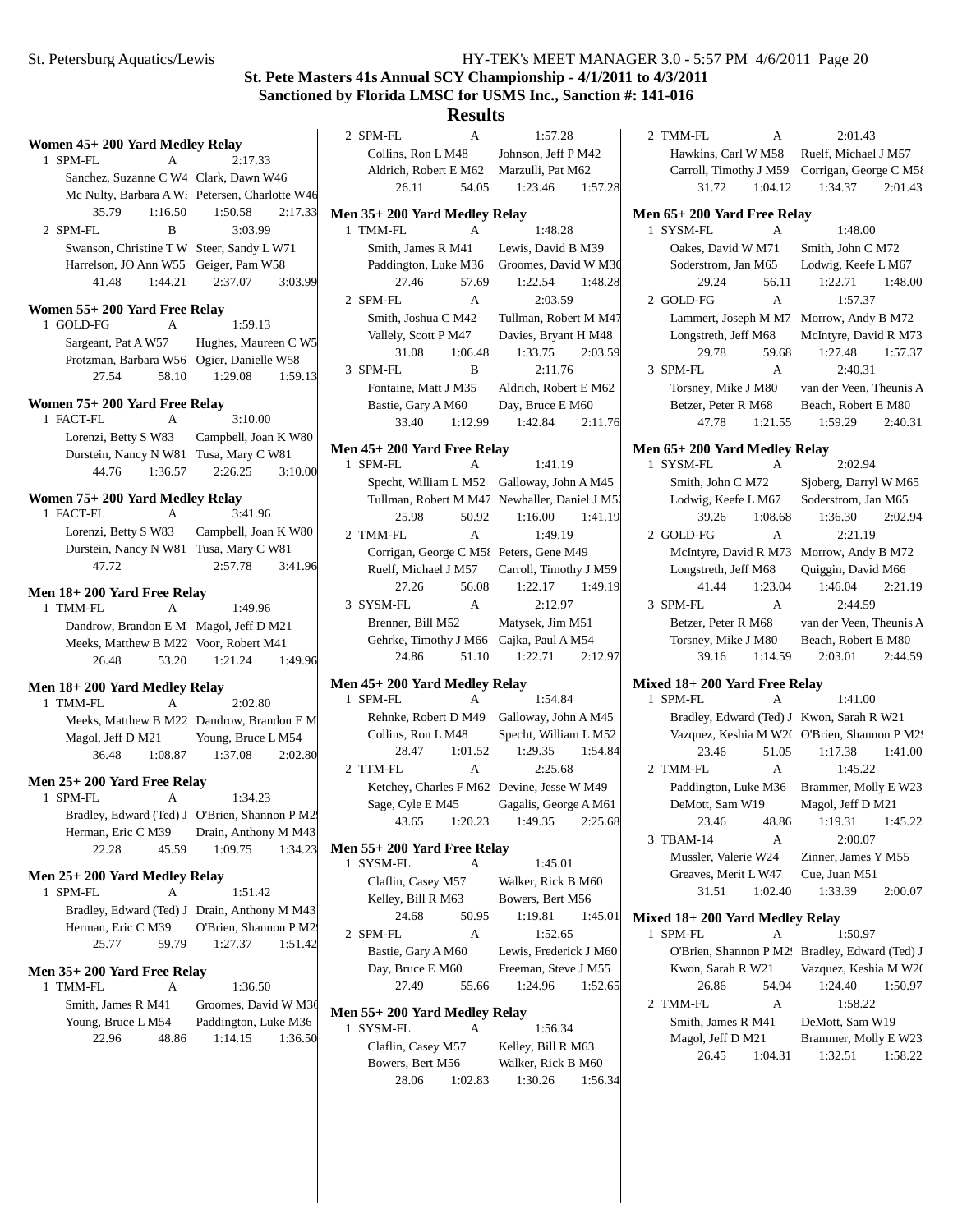# **St. Pete Masters 41s Annual SCY Championship - 4/1/2011 to 4/3/2011 Sanctioned by Florida LMSC for USMS Inc., Sanction #: 141-016**

| Women 45+ 200 Yard Medley Relay                         |                                                | 2 SPM-FL                                            | A       | 1:57.28                                       |         | 2 TMM-FL                                   | A       | 2:01.43                                        |         |
|---------------------------------------------------------|------------------------------------------------|-----------------------------------------------------|---------|-----------------------------------------------|---------|--------------------------------------------|---------|------------------------------------------------|---------|
| 1 SPM-FL<br>$\mathbf{A}$                                | 2:17.33                                        | Collins, Ron L M48                                  |         | Johnson, Jeff P M42                           |         | Hawkins, Carl W M58                        |         | Ruelf, Michael J M57                           |         |
| Sanchez, Suzanne C W4 Clark, Dawn W46                   |                                                | Aldrich, Robert E M62                               |         | Marzulli, Pat M62                             |         |                                            |         | Carroll, Timothy J M59 Corrigan, George C M58  |         |
|                                                         | Mc Nulty, Barbara A W: Petersen, Charlotte W46 | 26.11                                               | 54.05   | 1:23.46                                       | 1:57.28 | 31.72                                      | 1:04.12 | 1:34.37                                        | 2:01.43 |
| 35.79<br>1:16.50                                        | 1:50.58<br>2:17.33                             | Men 35+200 Yard Medley Relay                        |         |                                               |         | Men 65+200 Yard Free Relay                 |         |                                                |         |
| 2 SPM-FL<br>B                                           | 3:03.99                                        | 1 TMM-FL                                            | A       | 1:48.28                                       |         | 1 SYSM-FL                                  | A       | 1:48.00                                        |         |
| Swanson, Christine T W Steer, Sandy L W71               |                                                | Smith, James R M41                                  |         | Lewis, David B M39                            |         | Oakes, David W M71                         |         | Smith, John C M72                              |         |
| Harrelson, JO Ann W55 Geiger, Pam W58                   |                                                | Paddington, Luke M36                                |         | Groomes, David W M36                          |         | Soderstrom, Jan M65                        |         | Lodwig, Keefe L M67                            |         |
| 41.48<br>1:44.21                                        | 3:03.99<br>2:37.07                             | 27.46                                               | 57.69   | 1:22.54                                       | 1:48.28 | 29.24                                      | 56.11   | 1:22.71                                        | 1:48.00 |
|                                                         |                                                | 2 SPM-FL                                            | A       | 2:03.59                                       |         | 2 GOLD-FG                                  | A       | 1:57.37                                        |         |
| Women 55+ 200 Yard Free Relay<br>1 GOLD-FG<br>A         | 1:59.13                                        | Smith, Joshua C M42                                 |         | Tullman, Robert M M47                         |         |                                            |         | Lammert, Joseph M M7 Morrow, Andy B M72        |         |
| Sargeant, Pat A W57                                     | Hughes, Maureen C W5                           | Vallely, Scott P M47                                |         | Davies, Bryant H M48                          |         | Longstreth, Jeff M68                       |         | McIntyre, David R M73                          |         |
| Protzman, Barbara W56 Ogier, Danielle W58               |                                                | 31.08                                               | 1:06.48 | 1:33.75                                       | 2:03.59 | 29.78                                      | 59.68   | 1:27.48                                        | 1:57.37 |
| 27.54<br>58.10                                          | 1:29.08<br>1:59.13                             | 3 SPM-FL                                            | B       | 2:11.76                                       |         | 3 SPM-FL                                   | A       | 2:40.31                                        |         |
|                                                         |                                                | Fontaine, Matt J M35                                |         | Aldrich, Robert E M62                         |         | Torsney, Mike J M80                        |         | van der Veen, Theunis A                        |         |
| Women 75+ 200 Yard Free Relay                           |                                                | Bastie, Gary A M60                                  |         | Day, Bruce E M60                              |         | Betzer, Peter R M68                        |         | Beach, Robert E M80                            |         |
| 1 FACT-FL<br>A                                          | 3:10.00                                        | 33.40                                               | 1:12.99 | 1:42.84                                       | 2:11.76 | 47.78                                      | 1:21.55 | 1:59.29                                        | 2:40.31 |
| Lorenzi, Betty S W83                                    | Campbell, Joan K W80                           | Men 45+200 Yard Free Relay                          |         |                                               |         | Men 65+200 Yard Medley Relay               |         |                                                |         |
| Durstein, Nancy N W81 Tusa, Mary C W81                  |                                                | 1 SPM-FL                                            | A       | 1:41.19                                       |         | 1 SYSM-FL                                  | A       | 2:02.94                                        |         |
| 44.76<br>1:36.57                                        | 3:10.00<br>2:26.25                             | Specht, William L M52 Galloway, John A M45          |         |                                               |         | Smith, John C M72                          |         | Sjoberg, Darryl W M65                          |         |
| Women 75+200 Yard Medley Relay                          |                                                |                                                     |         | Tullman, Robert M M47 Newhaller, Daniel J M5. |         | Lodwig, Keefe L M67                        |         | Soderstrom, Jan M65                            |         |
| A<br>1 FACT-FL                                          | 3:41.96                                        | 25.98                                               | 50.92   | 1:16.00                                       | 1:41.19 | 39.26                                      | 1:08.68 | 1:36.30                                        | 2:02.94 |
| Lorenzi, Betty S W83                                    | Campbell, Joan K W80                           | 2 TMM-FL                                            | A       | 1:49.19                                       |         | 2 GOLD-FG                                  | A       | 2:21.19                                        |         |
| Durstein, Nancy N W81 Tusa, Mary C W81                  |                                                | Corrigan, George C M5 <sup>{</sup> Peters, Gene M49 |         |                                               |         |                                            |         | McIntyre, David R M73 Morrow, Andy B M72       |         |
| 47.72                                                   | 2:57.78<br>3:41.96                             | Ruelf, Michael J M57                                |         | Carroll, Timothy J M59                        |         | Longstreth, Jeff M68                       |         | Quiggin, David M66                             |         |
| Men 18+200 Yard Free Relay                              |                                                | 27.26                                               | 56.08   | 1:22.17                                       | 1:49.19 | 41.44                                      | 1:23.04 | 1:46.04                                        | 2:21.19 |
| 1 TMM-FL<br>$\mathbf{A}$                                | 1:49.96                                        | 3 SYSM-FL                                           | A       | 2:12.97                                       |         | 3 SPM-FL                                   | A       | 2:44.59                                        |         |
| Dandrow, Brandon E M Magol, Jeff D M21                  |                                                | Brenner, Bill M52                                   |         | Matysek, Jim M51                              |         | Betzer, Peter R M68                        |         | van der Veen, Theunis A                        |         |
| Meeks, Matthew B M22 Voor, Robert M41                   |                                                | Gehrke, Timothy J M66 Cajka, Paul A M54             |         |                                               |         | Torsney, Mike J M80                        |         | Beach, Robert E M80                            |         |
| 26.48<br>53.20                                          | 1:21.24<br>1:49.96                             | 24.86                                               | 51.10   | 1:22.71                                       | 2:12.97 | 39.16                                      | 1:14.59 | 2:03.01                                        | 2:44.59 |
|                                                         |                                                | Men 45+200 Yard Medley Relay                        |         |                                               |         | Mixed 18+200 Yard Free Relay               |         |                                                |         |
| Men 18+200 Yard Medley Relay<br>1 TMM-FL<br>A           | 2:02.80                                        | 1 SPM-FL                                            | A       | 1:54.84                                       |         | 1 SPM-FL                                   | A       | 1:41.00                                        |         |
|                                                         | Meeks, Matthew B M22 Dandrow, Brandon E M      | Rehnke, Robert D M49                                |         | Galloway, John A M45                          |         |                                            |         | Bradley, Edward (Ted) J Kwon, Sarah R W21      |         |
| Magol, Jeff D M21                                       | Young, Bruce L M54                             | Collins, Ron L M48                                  |         | Specht, William L M52                         |         |                                            |         | Vazquez, Keshia M W2(O'Brien, Shannon P M2     |         |
| 36.48<br>1:08.87                                        | 1:37.08<br>2:02.80                             | 28.47                                               | 1:01.52 | 1:29.35                                       | 1:54.84 | 23.46                                      | 51.05   | 1:17.38                                        | 1:41.00 |
|                                                         |                                                | 2 TTM-FL                                            | A       | 2:25.68                                       |         | 2 TMM-FL                                   |         |                                                |         |
| Men 25+ 200 Yard Free Relay<br>1 SPM-FL<br>$\mathbf{A}$ |                                                |                                                     |         |                                               |         |                                            | A       | 1:45.22                                        |         |
|                                                         |                                                |                                                     |         | Ketchey, Charles F M62 Devine, Jesse W M49    |         |                                            |         | Paddington, Luke M36 Brammer, Molly E W23      |         |
|                                                         | 1:34.23                                        | Sage, Cyle E M45                                    |         | Gagalis, George A M61                         |         | DeMott, Sam W19                            |         | Magol, Jeff D M21                              |         |
|                                                         | Bradley, Edward (Ted) J O'Brien, Shannon P M2  |                                                     |         | 43.65 1:20.23 1:49.35 2:25.68                 |         |                                            |         | 23.46 48.86 1:19.31 1:45.22                    |         |
| Herman, Eric C M39                                      | Drain, Anthony M M43                           |                                                     |         |                                               |         | 3 TBAM-14                                  | A       | 2:00.07                                        |         |
| 22.28<br>45.59                                          | 1:09.75<br>1:34.23                             | Men 55+200 Yard Free Relay<br>1 SYSM-FL             | A       |                                               |         | Mussler, Valerie W24                       |         | Zinner, James Y M55                            |         |
| Men 25+200 Yard Medley Relay                            |                                                | Claflin, Casey M57                                  |         | 1:45.01                                       |         | Greaves, Merit L W47                       |         | Cue, Juan M51                                  |         |
| 1 SPM-FL<br>A                                           | 1:51.42                                        | Kelley, Bill R M63                                  |         | Walker, Rick B M60<br>Bowers, Bert M56        |         | 31.51                                      | 1:02.40 | 1:33.39                                        | 2:00.07 |
|                                                         | Bradley, Edward (Ted) J Drain, Anthony M M43   | 24.68                                               | 50.95   | 1:19.81                                       | 1:45.01 |                                            |         |                                                |         |
| Herman, Eric C M39                                      | O'Brien, Shannon P M29                         | 2 SPM-FL                                            | A       | 1:52.65                                       |         | Mixed 18+200 Yard Medley Relay<br>1 SPM-FL | A       | 1:50.97                                        |         |
| 25.77<br>59.79                                          | 1:27.37<br>1:51.42                             | Bastie, Gary A M60                                  |         | Lewis, Frederick J M60                        |         |                                            |         | O'Brien, Shannon P M2! Bradley, Edward (Ted) J |         |
| Men 35+200 Yard Free Relay                              |                                                | Day, Bruce E M60                                    |         | Freeman, Steve J M55                          |         | Kwon, Sarah R W21                          |         | Vazquez, Keshia M W20                          |         |
| 1 TMM-FL<br>A                                           | 1:36.50                                        | 27.49                                               | 55.66   | 1:24.96                                       | 1:52.65 | 26.86                                      | 54.94   | 1:24.40                                        | 1:50.97 |
| Smith, James R M41                                      | Groomes, David W M36                           |                                                     |         |                                               |         | 2 TMM-FL                                   | A       | 1:58.22                                        |         |
| Young, Bruce L M54                                      | Paddington, Luke M36                           | Men 55+200 Yard Medley Relay                        | A       |                                               |         | Smith, James R M41                         |         | DeMott, Sam W19                                |         |
| 22.96<br>48.86                                          | 1:14.15<br>1:36.50                             | 1 SYSM-FL                                           |         | 1:56.34                                       |         | Magol, Jeff D M21                          |         | Brammer, Molly E W23                           |         |
|                                                         |                                                | Claflin, Casey M57<br>Bowers, Bert M56              |         | Kelley, Bill R M63<br>Walker, Rick B M60      |         | 26.45                                      | 1:04.31 | 1:32.51                                        | 1:58.22 |
|                                                         |                                                | 28.06                                               | 1:02.83 | 1:30.26                                       | 1:56.34 |                                            |         |                                                |         |
|                                                         |                                                |                                                     |         |                                               |         |                                            |         |                                                |         |
|                                                         |                                                |                                                     |         |                                               |         |                                            |         |                                                |         |